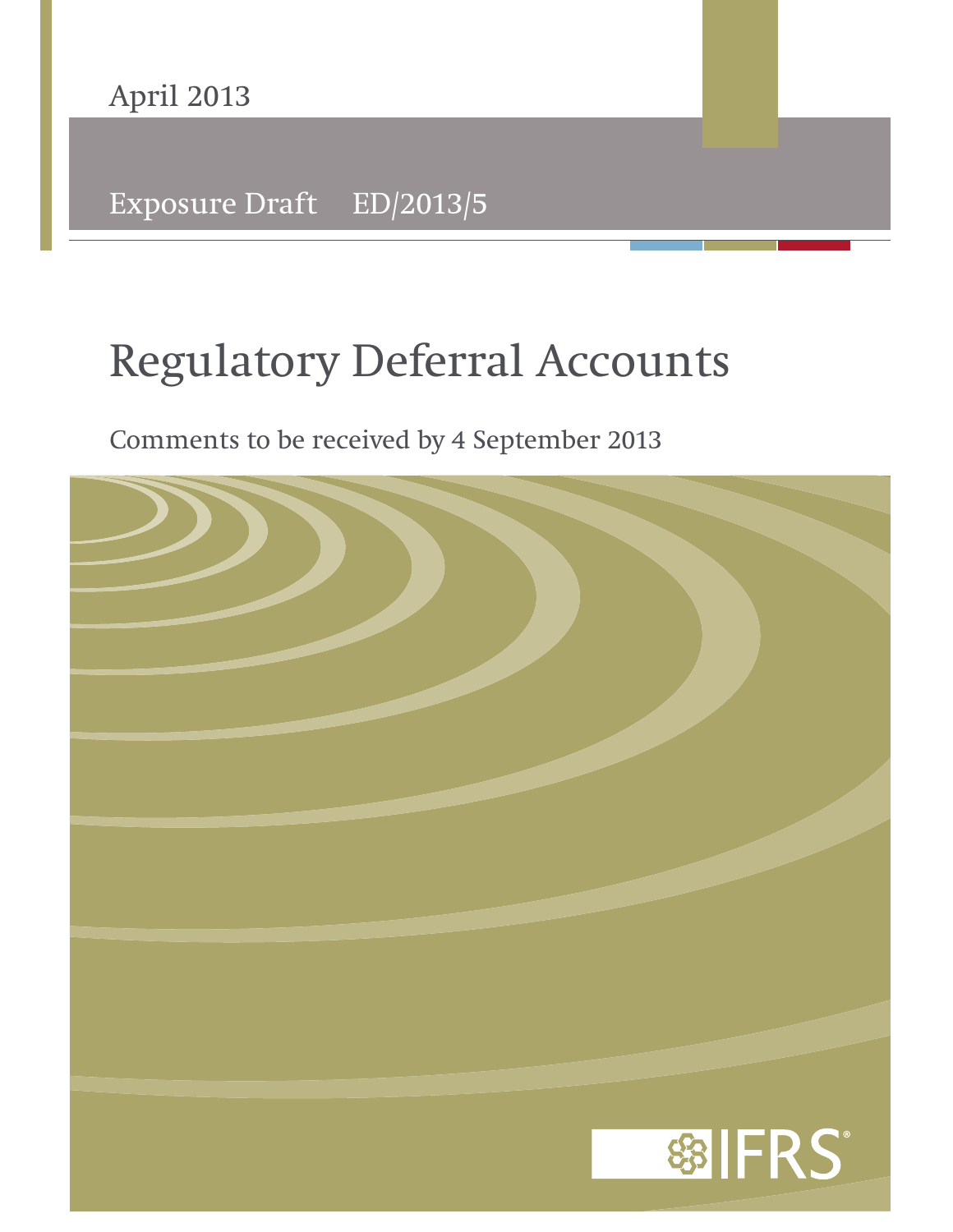

Exposure Draft ED/2013/5

# **Regulatory Deferral Accounts**

Comments to be received by 4 September 2013

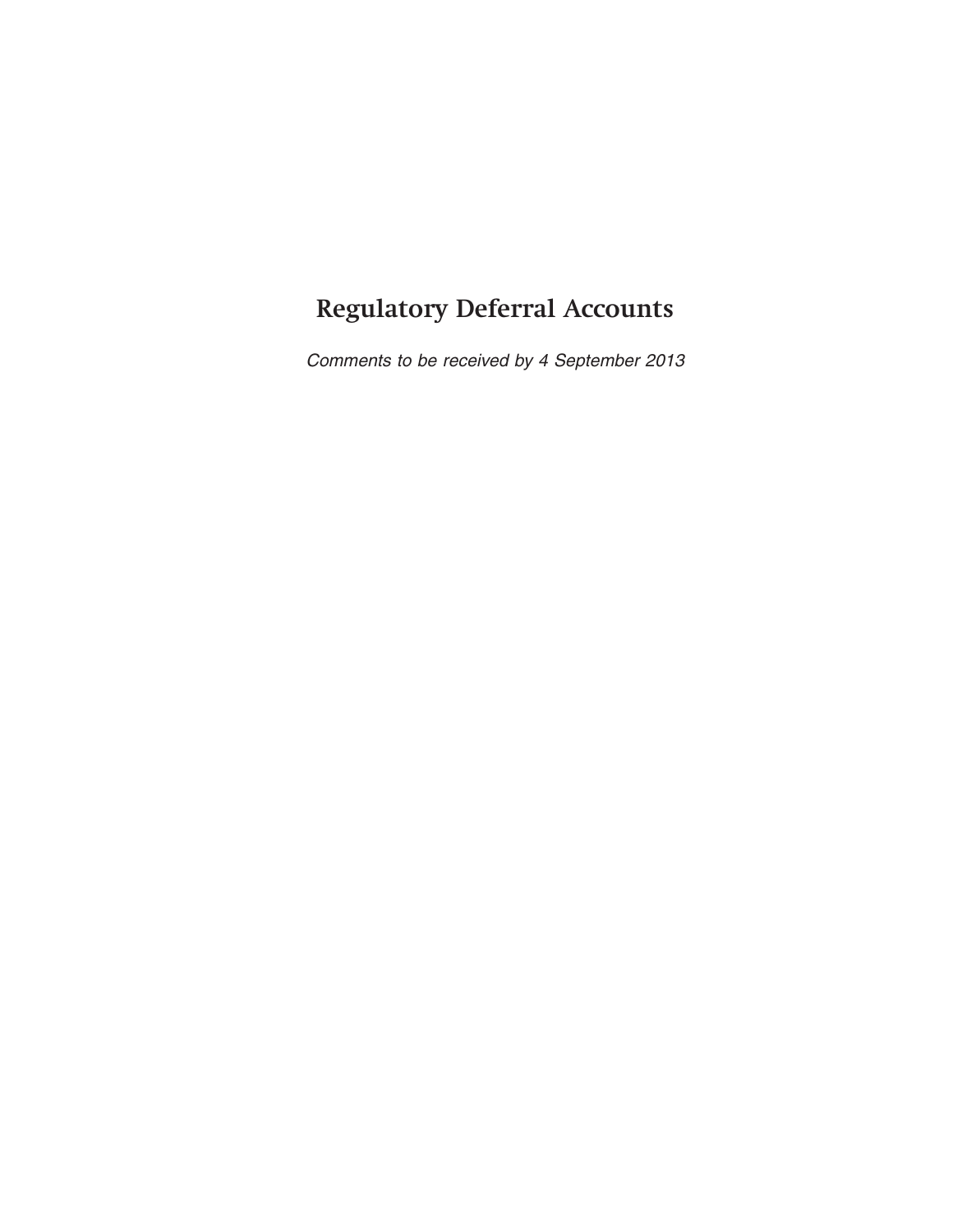## **Regulatory Deferral Accounts**

Comments to be received by 4 September 2013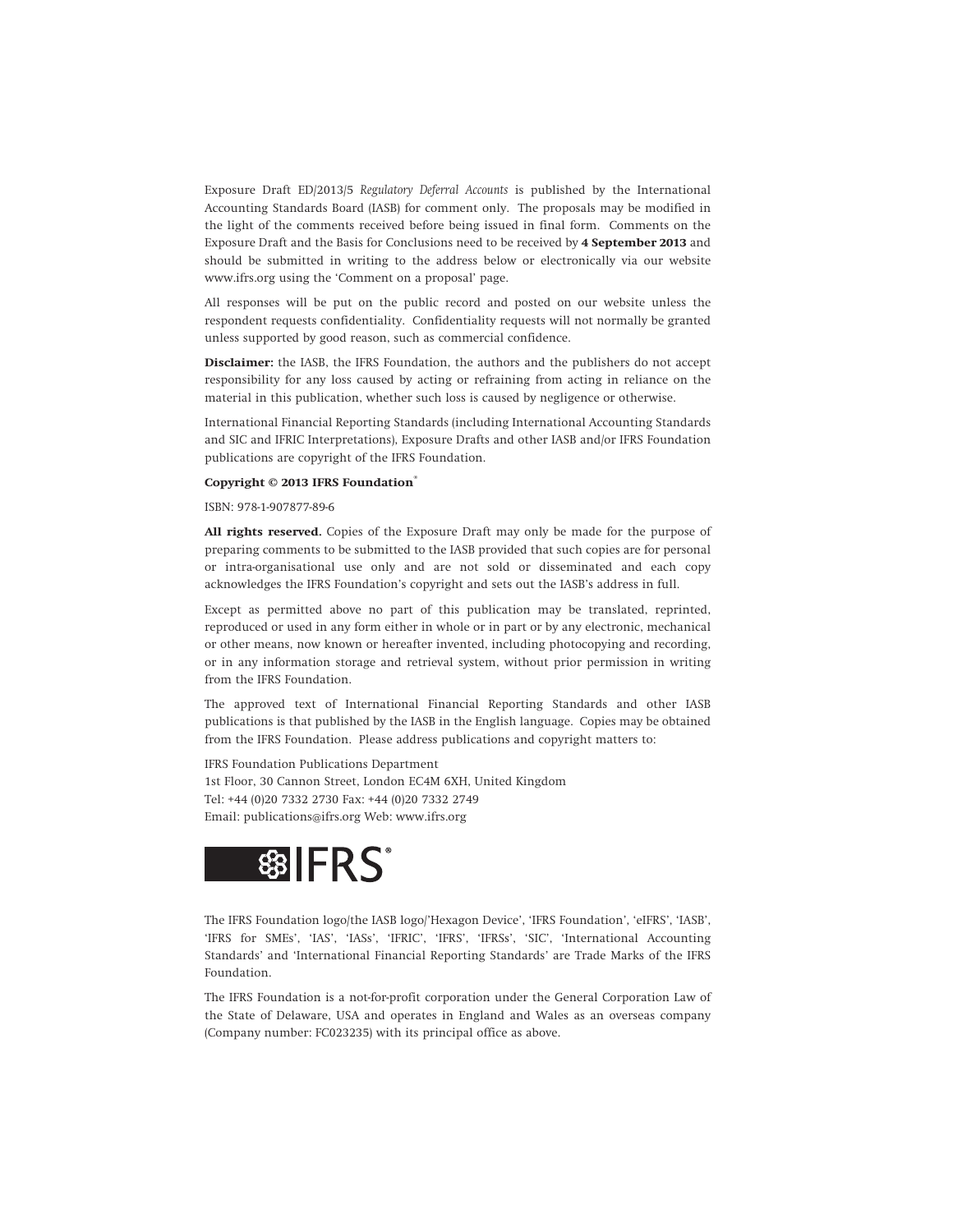Exposure Draft ED/2013/5 *Regulatory Deferral Accounts* is published by the International Accounting Standards Board (IASB) for comment only. The proposals may be modified in the light of the comments received before being issued in final form. Comments on the Exposure Draft and the Basis for Conclusions need to be received by **4 September 2013** and should be submitted in writing to the address below or electronically via our website www.ifrs.org using the 'Comment on a proposal' page.

All responses will be put on the public record and posted on our website unless the respondent requests confidentiality. Confidentiality requests will not normally be granted unless supported by good reason, such as commercial confidence.

**Disclaimer:** the IASB, the IFRS Foundation, the authors and the publishers do not accept responsibility for any loss caused by acting or refraining from acting in reliance on the material in this publication, whether such loss is caused by negligence or otherwise.

International Financial Reporting Standards (including International Accounting Standards and SIC and IFRIC Interpretations), Exposure Drafts and other IASB and/or IFRS Foundation publications are copyright of the IFRS Foundation.

#### **Copyright © 2013 IFRS Foundation®**

ISBN: 978-1-907877-89-6

**All rights reserved.** Copies of the Exposure Draft may only be made for the purpose of preparing comments to be submitted to the IASB provided that such copies are for personal or intra-organisational use only and are not sold or disseminated and each copy acknowledges the IFRS Foundation's copyright and sets out the IASB's address in full.

Except as permitted above no part of this publication may be translated, reprinted, reproduced or used in any form either in whole or in part or by any electronic, mechanical or other means, now known or hereafter invented, including photocopying and recording, or in any information storage and retrieval system, without prior permission in writing from the IFRS Foundation.

The approved text of International Financial Reporting Standards and other IASB publications is that published by the IASB in the English language. Copies may be obtained from the IFRS Foundation. Please address publications and copyright matters to:

IFRS Foundation Publications Department 1st Floor, 30 Cannon Street, London EC4M 6XH, United Kingdom Tel: +44 (0)20 7332 2730 Fax: +44 (0)20 7332 2749 Email: publications@ifrs.org Web: www.ifrs.org



The IFRS Foundation logo/the IASB logo/'Hexagon Device', 'IFRS Foundation', 'eIFRS', 'IASB', 'IFRS for SMEs', 'IAS', 'IASs', 'IFRIC', 'IFRS', 'IFRSs', 'SIC', 'International Accounting Standards' and 'International Financial Reporting Standards' are Trade Marks of the IFRS Foundation.

The IFRS Foundation is a not-for-profit corporation under the General Corporation Law of the State of Delaware, USA and operates in England and Wales as an overseas company (Company number: FC023235) with its principal office as above.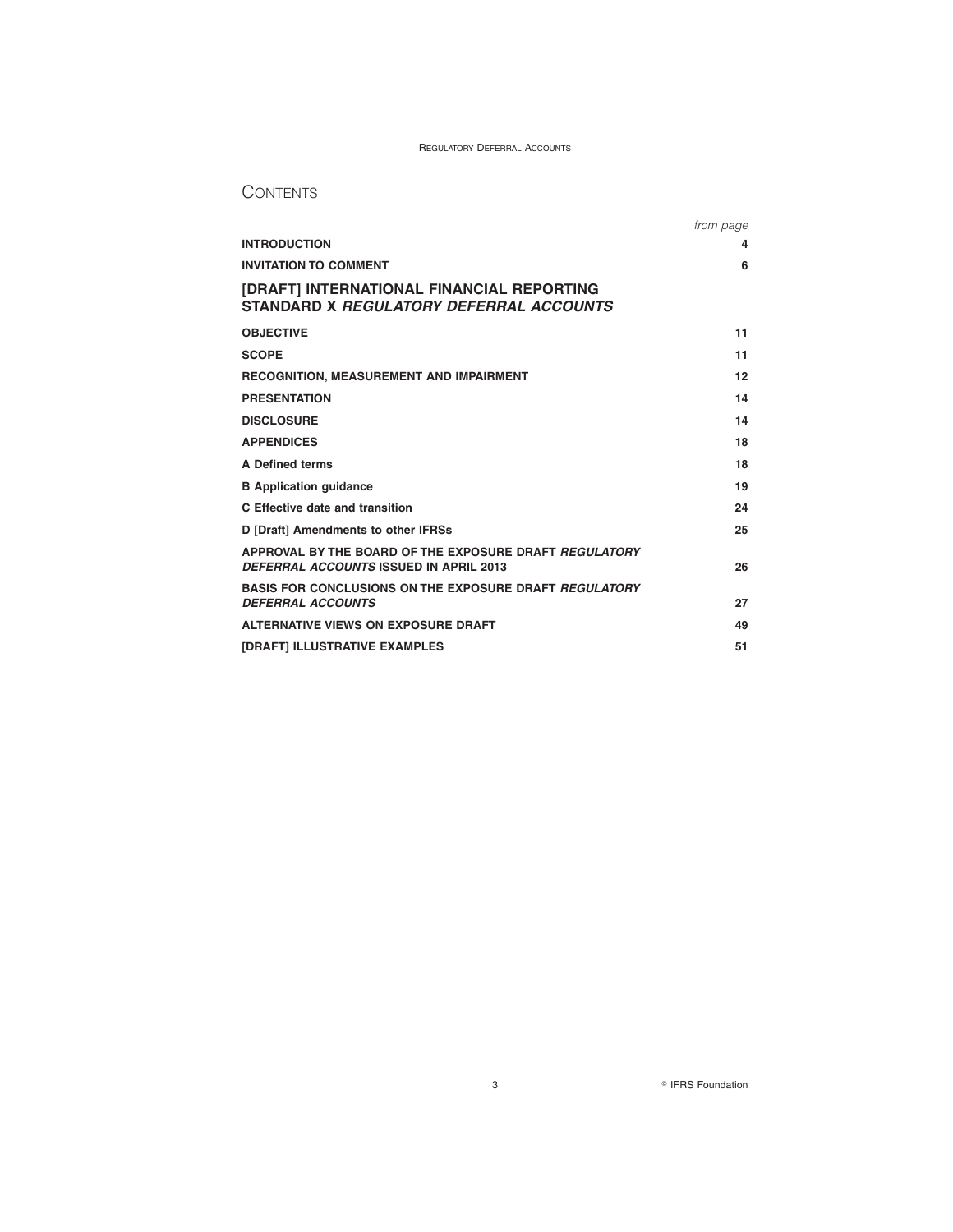### **CONTENTS**

|                                                                                                  | from page |  |
|--------------------------------------------------------------------------------------------------|-----------|--|
| <b>INTRODUCTION</b>                                                                              | 4         |  |
| <b>INVITATION TO COMMENT</b>                                                                     | 6         |  |
| [DRAFT] INTERNATIONAL FINANCIAL REPORTING<br>STANDARD X REGULATORY DEFERRAL ACCOUNTS             |           |  |
| <b>OBJECTIVE</b>                                                                                 | 11        |  |
| <b>SCOPE</b>                                                                                     | 11        |  |
| <b>RECOGNITION, MEASUREMENT AND IMPAIRMENT</b>                                                   | 12        |  |
| <b>PRESENTATION</b>                                                                              | 14        |  |
| <b>DISCLOSURE</b>                                                                                | 14        |  |
| <b>APPENDICES</b>                                                                                | 18        |  |
| <b>A Defined terms</b>                                                                           | 18        |  |
| <b>B</b> Application quidance                                                                    | 19        |  |
| C Effective date and transition                                                                  | 24        |  |
| D [Draft] Amendments to other IFRSs                                                              | 25        |  |
| APPROVAL BY THE BOARD OF THE EXPOSURE DRAFT REGULATORY<br>DEFERRAL ACCOUNTS ISSUED IN APRIL 2013 | 26        |  |
| <b>BASIS FOR CONCLUSIONS ON THE EXPOSURE DRAFT REGULATORY</b><br><b>DEFERRAL ACCOUNTS</b>        | 27        |  |
| ALTERNATIVE VIEWS ON EXPOSURE DRAFT                                                              | 49        |  |
| [DRAFT] ILLUSTRATIVE EXAMPLES                                                                    | 51        |  |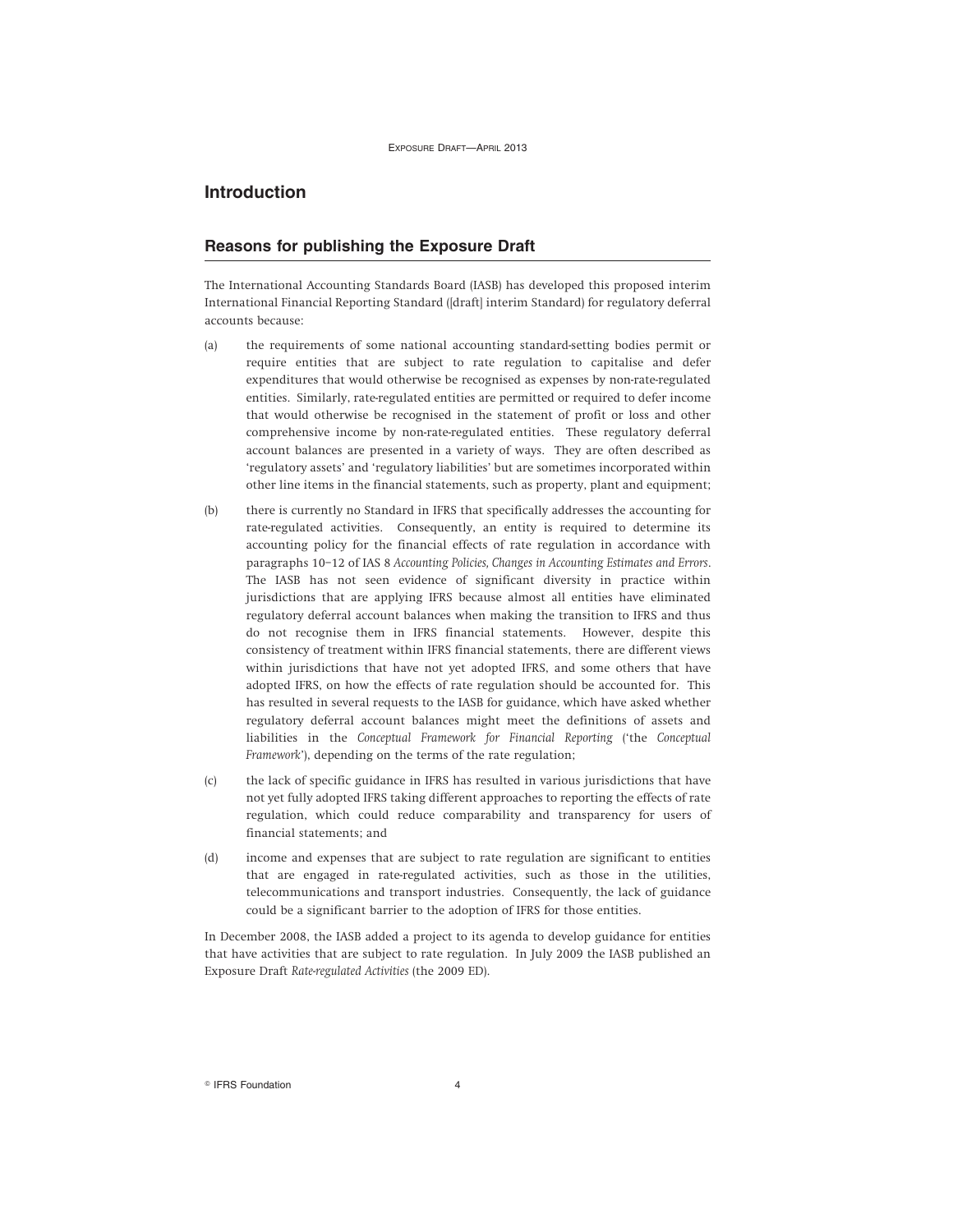### **Introduction**

### **Reasons for publishing the Exposure Draft**

The International Accounting Standards Board (IASB) has developed this proposed interim International Financial Reporting Standard ([draft] interim Standard) for regulatory deferral accounts because:

- (a) the requirements of some national accounting standard-setting bodies permit or require entities that are subject to rate regulation to capitalise and defer expenditures that would otherwise be recognised as expenses by non-rate-regulated entities. Similarly, rate-regulated entities are permitted or required to defer income that would otherwise be recognised in the statement of profit or loss and other comprehensive income by non-rate-regulated entities. These regulatory deferral account balances are presented in a variety of ways. They are often described as 'regulatory assets' and 'regulatory liabilities' but are sometimes incorporated within other line items in the financial statements, such as property, plant and equipment;
- (b) there is currently no Standard in IFRS that specifically addresses the accounting for rate-regulated activities. Consequently, an entity is required to determine its accounting policy for the financial effects of rate regulation in accordance with paragraphs 10–12 of IAS 8 *Accounting Policies, Changes in Accounting Estimates and Errors*. The IASB has not seen evidence of significant diversity in practice within jurisdictions that are applying IFRS because almost all entities have eliminated regulatory deferral account balances when making the transition to IFRS and thus do not recognise them in IFRS financial statements. However, despite this consistency of treatment within IFRS financial statements, there are different views within jurisdictions that have not yet adopted IFRS, and some others that have adopted IFRS, on how the effects of rate regulation should be accounted for. This has resulted in several requests to the IASB for guidance, which have asked whether regulatory deferral account balances might meet the definitions of assets and liabilities in the *Conceptual Framework for Financial Reporting* ('the *Conceptual Framework*'), depending on the terms of the rate regulation;
- (c) the lack of specific guidance in IFRS has resulted in various jurisdictions that have not yet fully adopted IFRS taking different approaches to reporting the effects of rate regulation, which could reduce comparability and transparency for users of financial statements; and
- (d) income and expenses that are subject to rate regulation are significant to entities that are engaged in rate-regulated activities, such as those in the utilities, telecommunications and transport industries. Consequently, the lack of guidance could be a significant barrier to the adoption of IFRS for those entities.

In December 2008, the IASB added a project to its agenda to develop guidance for entities that have activities that are subject to rate regulation. In July 2009 the IASB published an Exposure Draft *Rate-regulated Activities* (the 2009 ED).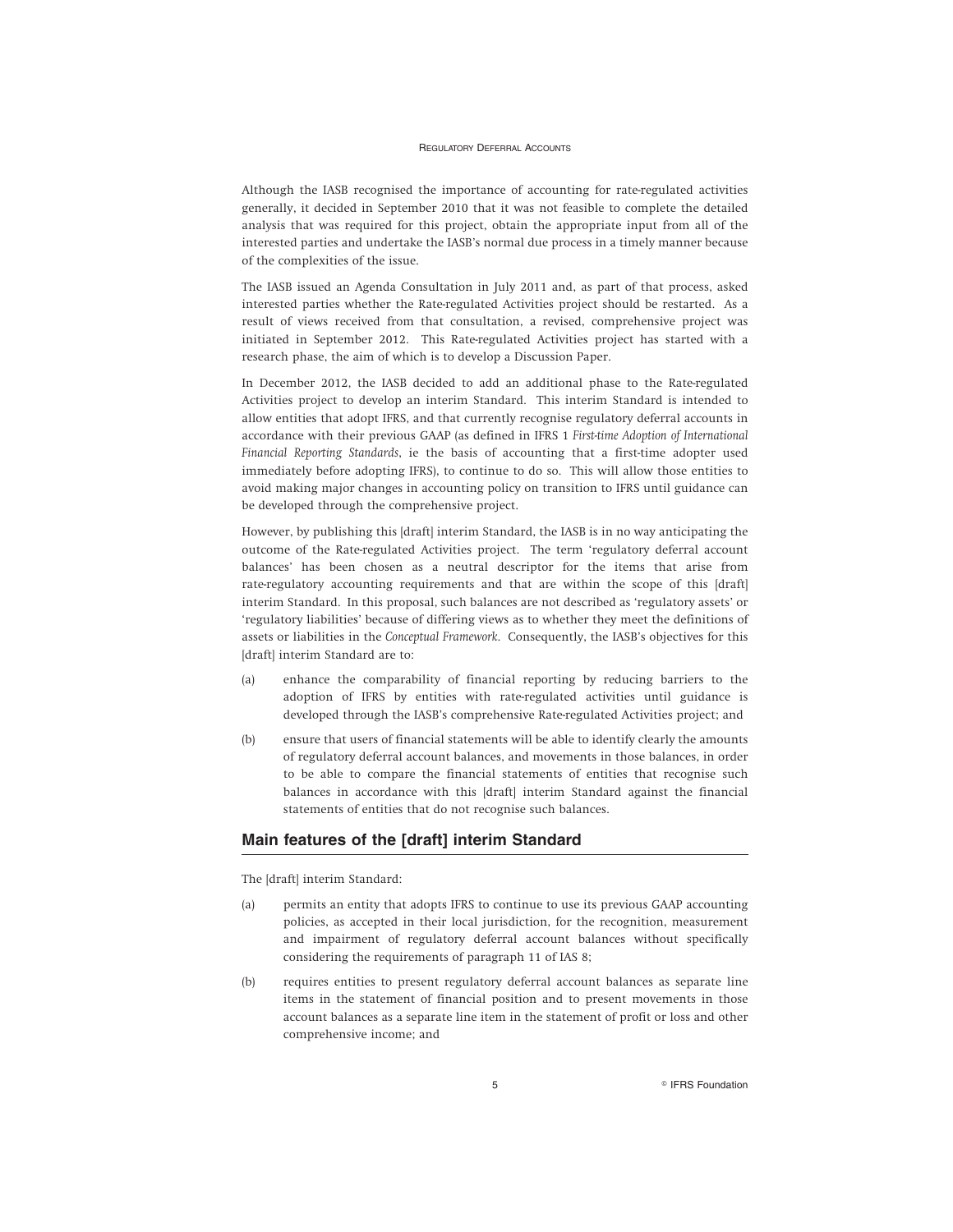Although the IASB recognised the importance of accounting for rate-regulated activities generally, it decided in September 2010 that it was not feasible to complete the detailed analysis that was required for this project, obtain the appropriate input from all of the interested parties and undertake the IASB's normal due process in a timely manner because of the complexities of the issue.

The IASB issued an Agenda Consultation in July 2011 and, as part of that process, asked interested parties whether the Rate-regulated Activities project should be restarted. As a result of views received from that consultation, a revised, comprehensive project was initiated in September 2012. This Rate-regulated Activities project has started with a research phase, the aim of which is to develop a Discussion Paper.

In December 2012, the IASB decided to add an additional phase to the Rate-regulated Activities project to develop an interim Standard. This interim Standard is intended to allow entities that adopt IFRS, and that currently recognise regulatory deferral accounts in accordance with their previous GAAP (as defined in IFRS 1 *First-time Adoption of International Financial Reporting Standards*, ie the basis of accounting that a first-time adopter used immediately before adopting IFRS), to continue to do so. This will allow those entities to avoid making major changes in accounting policy on transition to IFRS until guidance can be developed through the comprehensive project.

However, by publishing this [draft] interim Standard, the IASB is in no way anticipating the outcome of the Rate-regulated Activities project. The term 'regulatory deferral account balances' has been chosen as a neutral descriptor for the items that arise from rate-regulatory accounting requirements and that are within the scope of this [draft] interim Standard. In this proposal, such balances are not described as 'regulatory assets' or 'regulatory liabilities' because of differing views as to whether they meet the definitions of assets or liabilities in the *Conceptual Framework*. Consequently, the IASB's objectives for this [draft] interim Standard are to:

- (a) enhance the comparability of financial reporting by reducing barriers to the adoption of IFRS by entities with rate-regulated activities until guidance is developed through the IASB's comprehensive Rate-regulated Activities project; and
- (b) ensure that users of financial statements will be able to identify clearly the amounts of regulatory deferral account balances, and movements in those balances, in order to be able to compare the financial statements of entities that recognise such balances in accordance with this [draft] interim Standard against the financial statements of entities that do not recognise such balances.

### **Main features of the [draft] interim Standard**

The [draft] interim Standard:

- (a) permits an entity that adopts IFRS to continue to use its previous GAAP accounting policies, as accepted in their local jurisdiction, for the recognition, measurement and impairment of regulatory deferral account balances without specifically considering the requirements of paragraph 11 of IAS 8;
- (b) requires entities to present regulatory deferral account balances as separate line items in the statement of financial position and to present movements in those account balances as a separate line item in the statement of profit or loss and other comprehensive income; and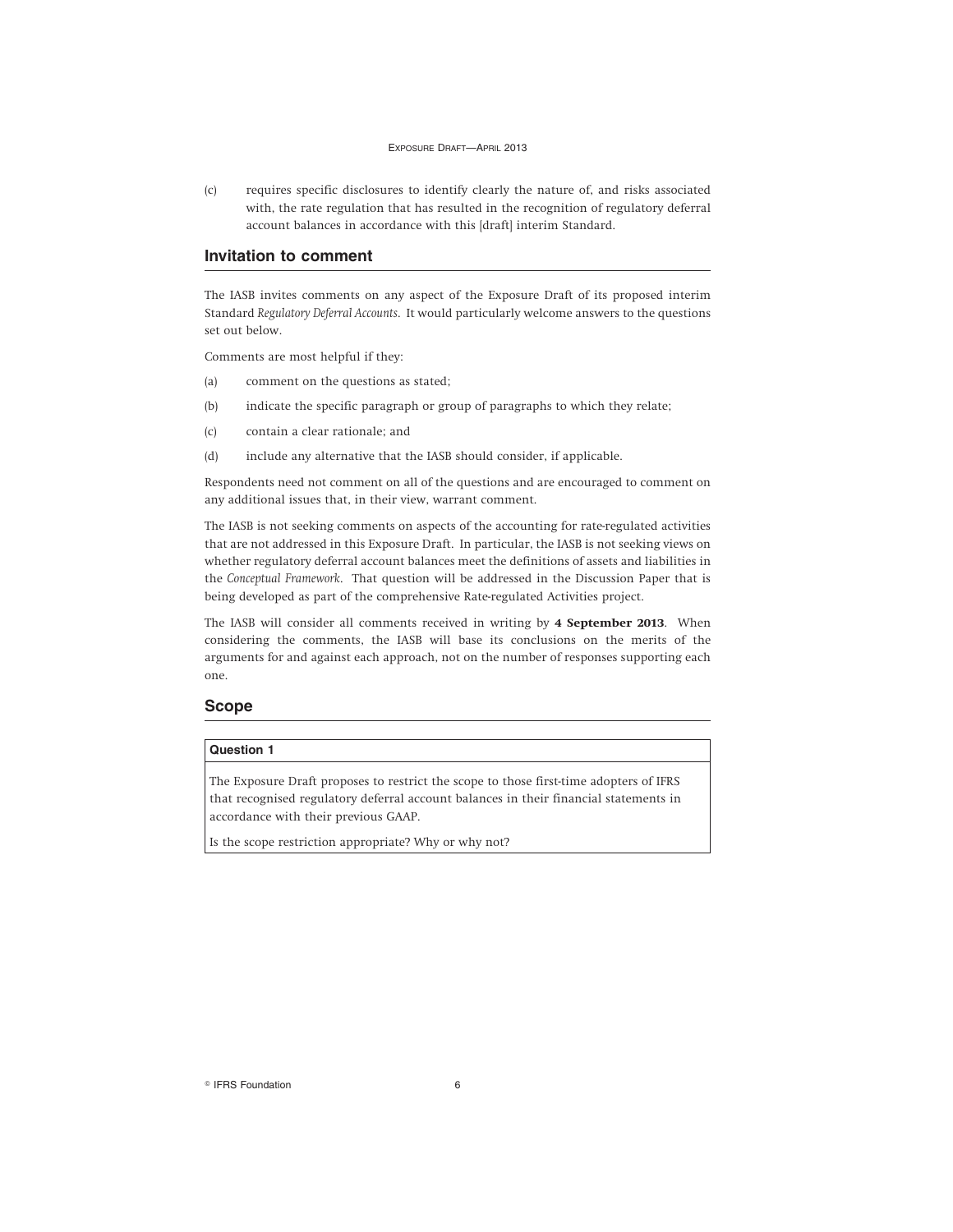(c) requires specific disclosures to identify clearly the nature of, and risks associated with, the rate regulation that has resulted in the recognition of regulatory deferral account balances in accordance with this [draft] interim Standard.

### **Invitation to comment**

The IASB invites comments on any aspect of the Exposure Draft of its proposed interim Standard *Regulatory Deferral Accounts*. It would particularly welcome answers to the questions set out below.

Comments are most helpful if they:

- (a) comment on the questions as stated;
- (b) indicate the specific paragraph or group of paragraphs to which they relate;
- (c) contain a clear rationale; and
- (d) include any alternative that the IASB should consider, if applicable.

Respondents need not comment on all of the questions and are encouraged to comment on any additional issues that, in their view, warrant comment.

The IASB is not seeking comments on aspects of the accounting for rate-regulated activities that are not addressed in this Exposure Draft. In particular, the IASB is not seeking views on whether regulatory deferral account balances meet the definitions of assets and liabilities in the *Conceptual Framework*. That question will be addressed in the Discussion Paper that is being developed as part of the comprehensive Rate-regulated Activities project.

The IASB will consider all comments received in writing by **4 September 2013**. When considering the comments, the IASB will base its conclusions on the merits of the arguments for and against each approach, not on the number of responses supporting each one.

### **Scope**

#### **Question 1**

The Exposure Draft proposes to restrict the scope to those first-time adopters of IFRS that recognised regulatory deferral account balances in their financial statements in accordance with their previous GAAP.

Is the scope restriction appropriate? Why or why not?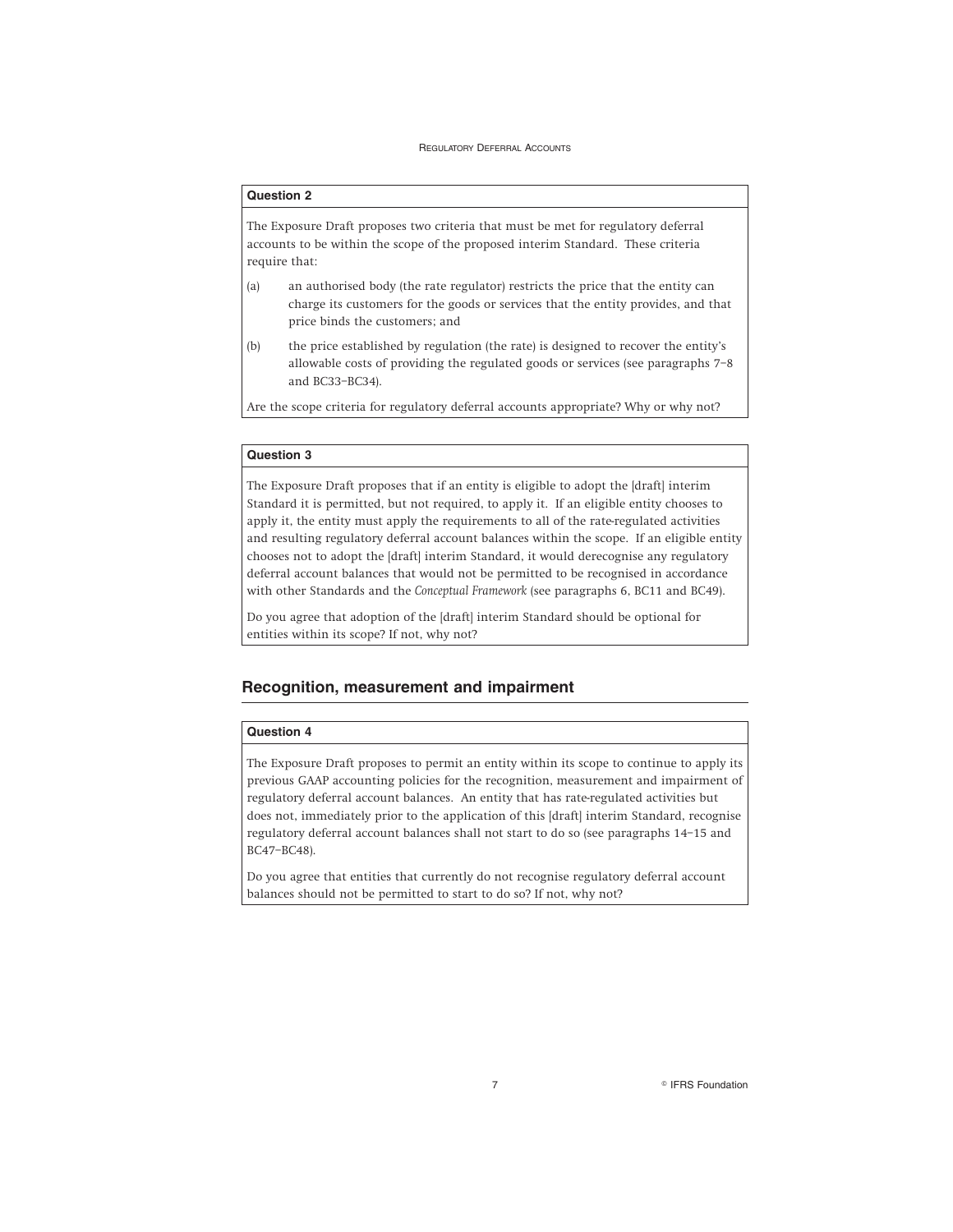### **Question 2**

The Exposure Draft proposes two criteria that must be met for regulatory deferral accounts to be within the scope of the proposed interim Standard. These criteria require that:

- (a) an authorised body (the rate regulator) restricts the price that the entity can charge its customers for the goods or services that the entity provides, and that price binds the customers; and
- (b) the price established by regulation (the rate) is designed to recover the entity's allowable costs of providing the regulated goods or services (see paragraphs 7–8 and BC33–BC34).

Are the scope criteria for regulatory deferral accounts appropriate? Why or why not?

#### **Question 3**

The Exposure Draft proposes that if an entity is eligible to adopt the [draft] interim Standard it is permitted, but not required, to apply it. If an eligible entity chooses to apply it, the entity must apply the requirements to all of the rate-regulated activities and resulting regulatory deferral account balances within the scope. If an eligible entity chooses not to adopt the [draft] interim Standard, it would derecognise any regulatory deferral account balances that would not be permitted to be recognised in accordance with other Standards and the *Conceptual Framework* (see paragraphs 6, BC11 and BC49).

Do you agree that adoption of the [draft] interim Standard should be optional for entities within its scope? If not, why not?

### **Recognition, measurement and impairment**

### **Question 4**

The Exposure Draft proposes to permit an entity within its scope to continue to apply its previous GAAP accounting policies for the recognition, measurement and impairment of regulatory deferral account balances. An entity that has rate-regulated activities but does not, immediately prior to the application of this [draft] interim Standard, recognise regulatory deferral account balances shall not start to do so (see paragraphs 14–15 and BC47–BC48).

Do you agree that entities that currently do not recognise regulatory deferral account balances should not be permitted to start to do so? If not, why not?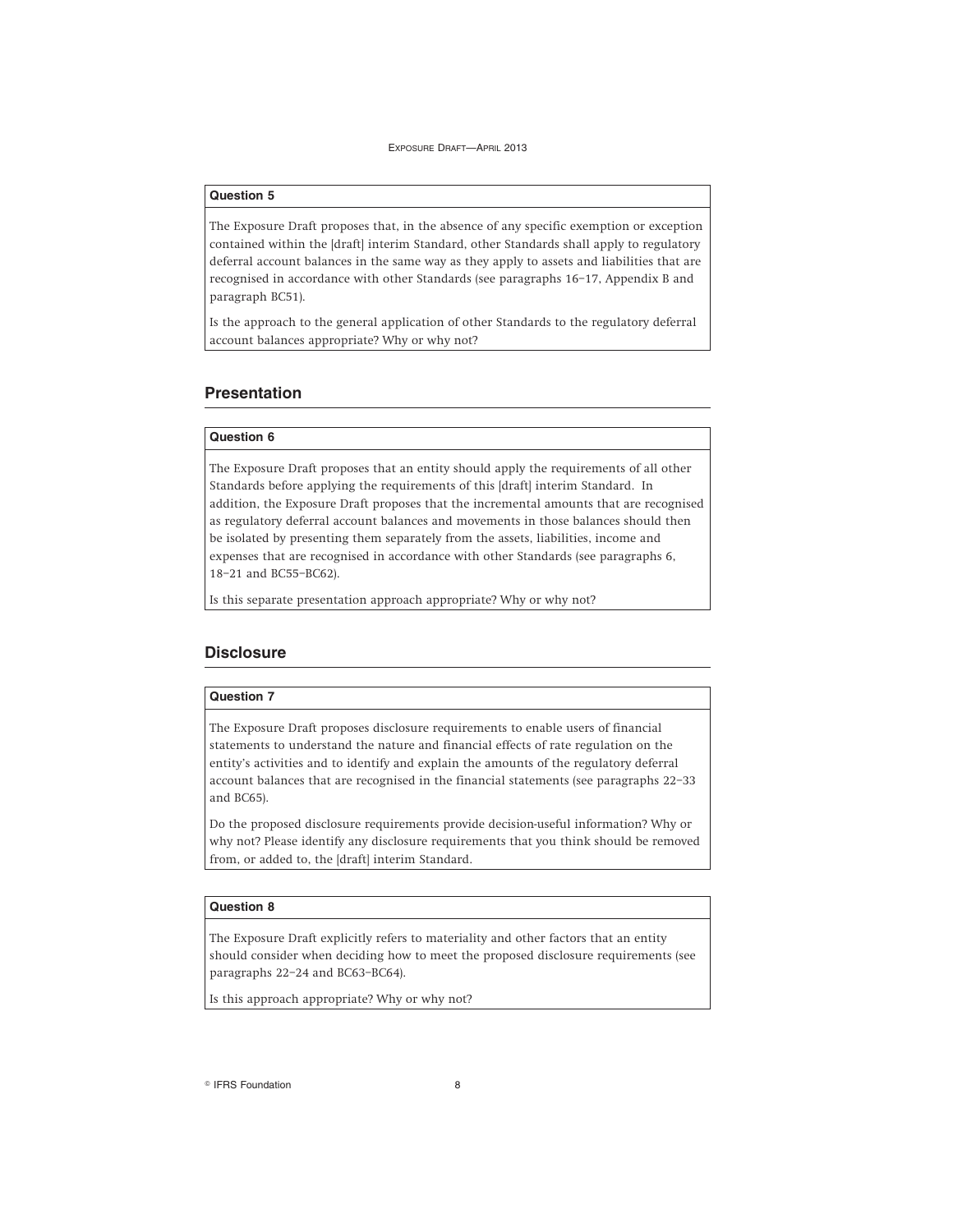### **Question 5**

The Exposure Draft proposes that, in the absence of any specific exemption or exception contained within the [draft] interim Standard, other Standards shall apply to regulatory deferral account balances in the same way as they apply to assets and liabilities that are recognised in accordance with other Standards (see paragraphs 16–17, Appendix B and paragraph BC51).

Is the approach to the general application of other Standards to the regulatory deferral account balances appropriate? Why or why not?

### **Presentation**

### **Question 6**

The Exposure Draft proposes that an entity should apply the requirements of all other Standards before applying the requirements of this [draft] interim Standard. In addition, the Exposure Draft proposes that the incremental amounts that are recognised as regulatory deferral account balances and movements in those balances should then be isolated by presenting them separately from the assets, liabilities, income and expenses that are recognised in accordance with other Standards (see paragraphs 6, 18–21 and BC55–BC62).

Is this separate presentation approach appropriate? Why or why not?

### **Disclosure**

### **Question 7**

The Exposure Draft proposes disclosure requirements to enable users of financial statements to understand the nature and financial effects of rate regulation on the entity's activities and to identify and explain the amounts of the regulatory deferral account balances that are recognised in the financial statements (see paragraphs 22–33 and BC65).

Do the proposed disclosure requirements provide decision-useful information? Why or why not? Please identify any disclosure requirements that you think should be removed from, or added to, the [draft] interim Standard.

#### **Question 8**

The Exposure Draft explicitly refers to materiality and other factors that an entity should consider when deciding how to meet the proposed disclosure requirements (see paragraphs 22–24 and BC63–BC64).

Is this approach appropriate? Why or why not?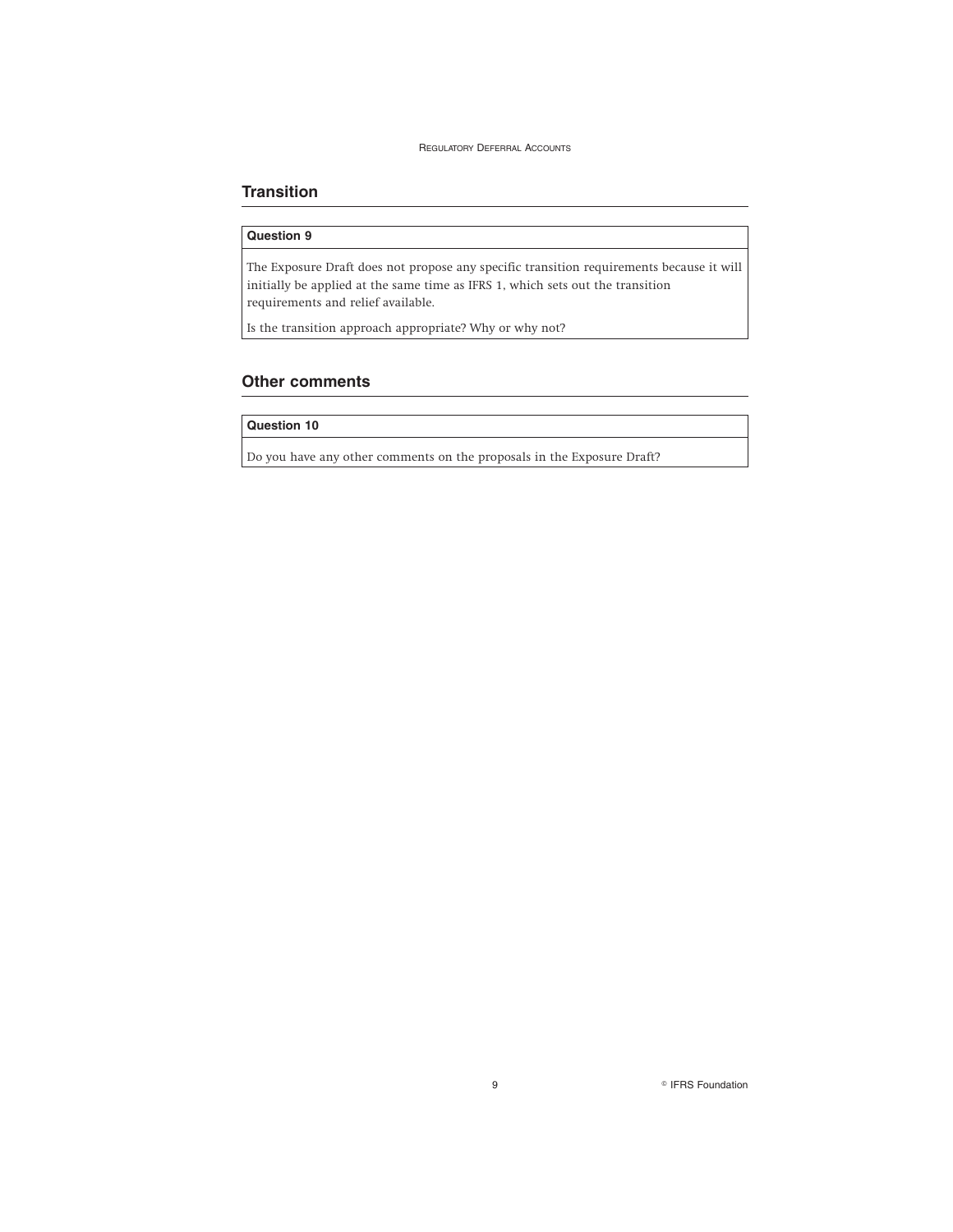### **Transition**

### **Question 9**

The Exposure Draft does not propose any specific transition requirements because it will initially be applied at the same time as IFRS 1, which sets out the transition requirements and relief available.

Is the transition approach appropriate? Why or why not?

### **Other comments**

### **Question 10**

Do you have any other comments on the proposals in the Exposure Draft?

9 **PERS Foundation**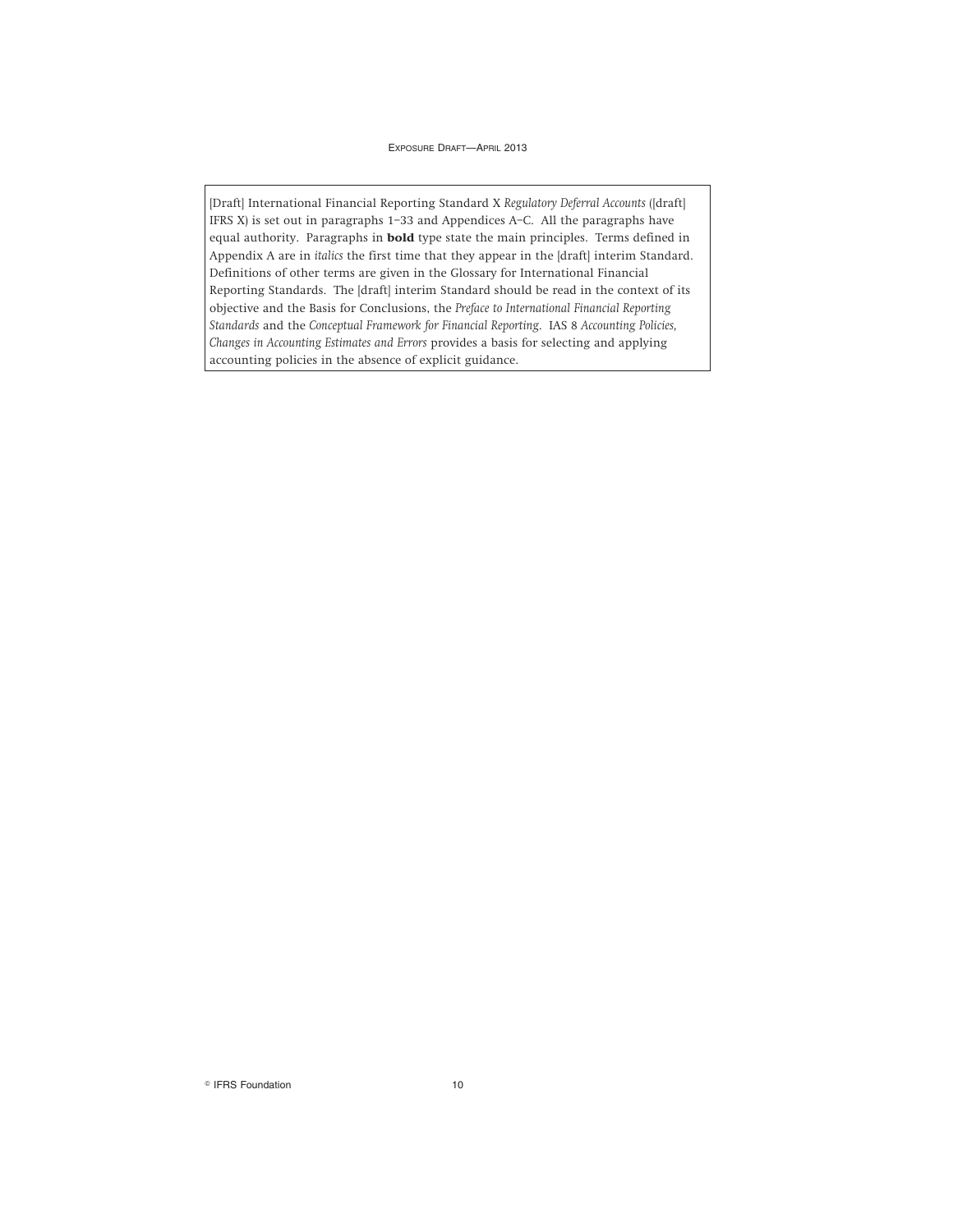[Draft] International Financial Reporting Standard X *Regulatory Deferral Accounts* ([draft] IFRS X) is set out in paragraphs 1–33 and Appendices A–C. All the paragraphs have equal authority. Paragraphs in **bold** type state the main principles. Terms defined in Appendix A are in *italics* the first time that they appear in the [draft] interim Standard. Definitions of other terms are given in the Glossary for International Financial Reporting Standards. The [draft] interim Standard should be read in the context of its objective and the Basis for Conclusions, the *Preface to International Financial Reporting Standards* and the *Conceptual Framework for Financial Reporting*. IAS 8 *Accounting Policies, Changes in Accounting Estimates and Errors* provides a basis for selecting and applying accounting policies in the absence of explicit guidance.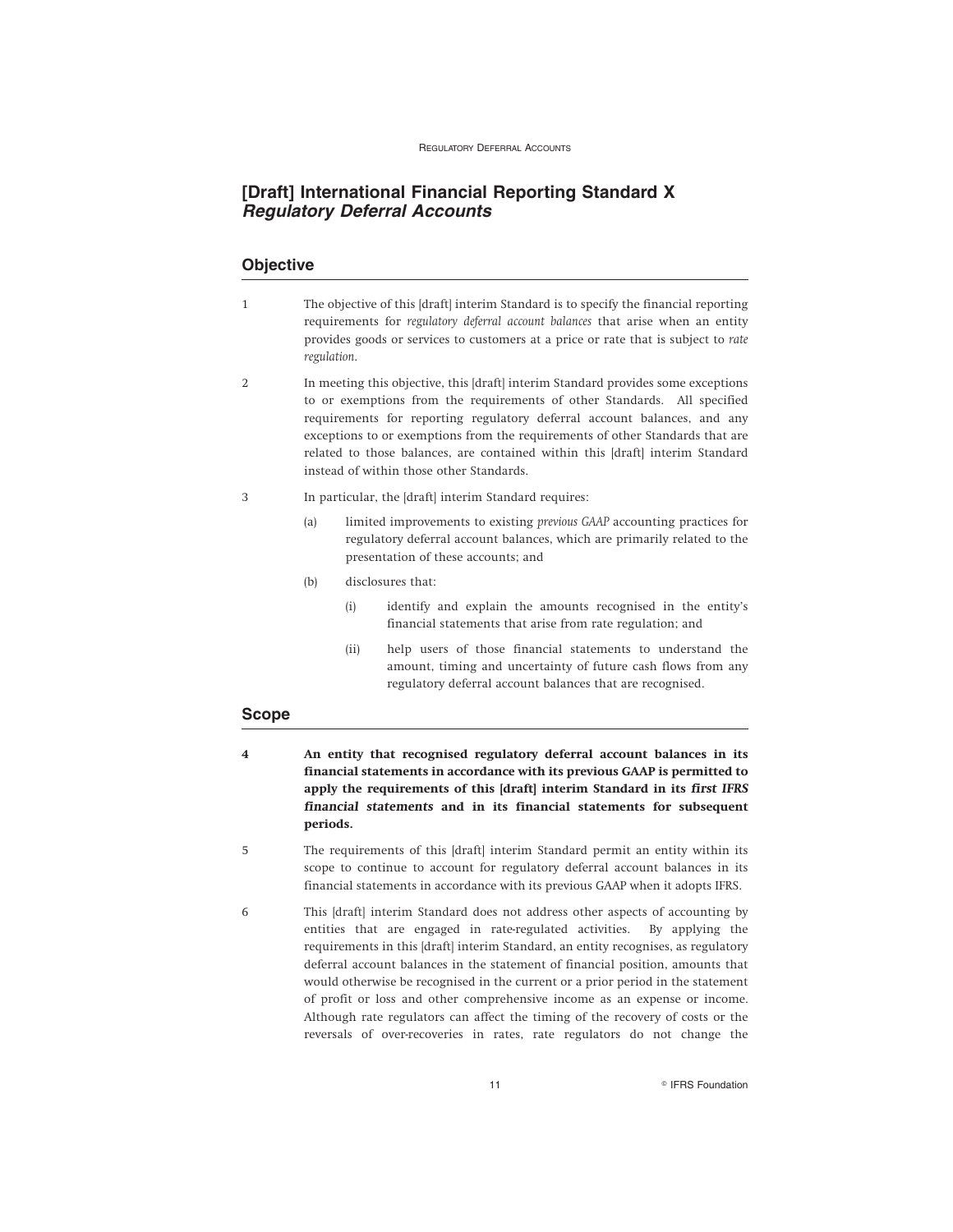### **[Draft] International Financial Reporting Standard X Regulatory Deferral Accounts**

### **Objective**

- 1 The objective of this [draft] interim Standard is to specify the financial reporting requirements for *regulatory deferral account balances* that arise when an entity provides goods or services to customers at a price or rate that is subject to *rate regulation*.
- 2 In meeting this objective, this [draft] interim Standard provides some exceptions to or exemptions from the requirements of other Standards. All specified requirements for reporting regulatory deferral account balances, and any exceptions to or exemptions from the requirements of other Standards that are related to those balances, are contained within this [draft] interim Standard instead of within those other Standards.
- 3 In particular, the [draft] interim Standard requires:
	- (a) limited improvements to existing *previous GAAP* accounting practices for regulatory deferral account balances, which are primarily related to the presentation of these accounts; and
	- (b) disclosures that:
		- (i) identify and explain the amounts recognised in the entity's financial statements that arise from rate regulation; and
		- (ii) help users of those financial statements to understand the amount, timing and uncertainty of future cash flows from any regulatory deferral account balances that are recognised.

### **Scope**

- **4 An entity that recognised regulatory deferral account balances in its financial statements in accordance with its previous GAAP is permitted to apply the requirements of this [draft] interim Standard in its** *first IFRS financial statements* **and in its financial statements for subsequent periods.**
- 5 The requirements of this [draft] interim Standard permit an entity within its scope to continue to account for regulatory deferral account balances in its financial statements in accordance with its previous GAAP when it adopts IFRS.
- 6 This [draft] interim Standard does not address other aspects of accounting by entities that are engaged in rate-regulated activities. By applying the requirements in this [draft] interim Standard, an entity recognises, as regulatory deferral account balances in the statement of financial position, amounts that would otherwise be recognised in the current or a prior period in the statement of profit or loss and other comprehensive income as an expense or income. Although rate regulators can affect the timing of the recovery of costs or the reversals of over-recoveries in rates, rate regulators do not change the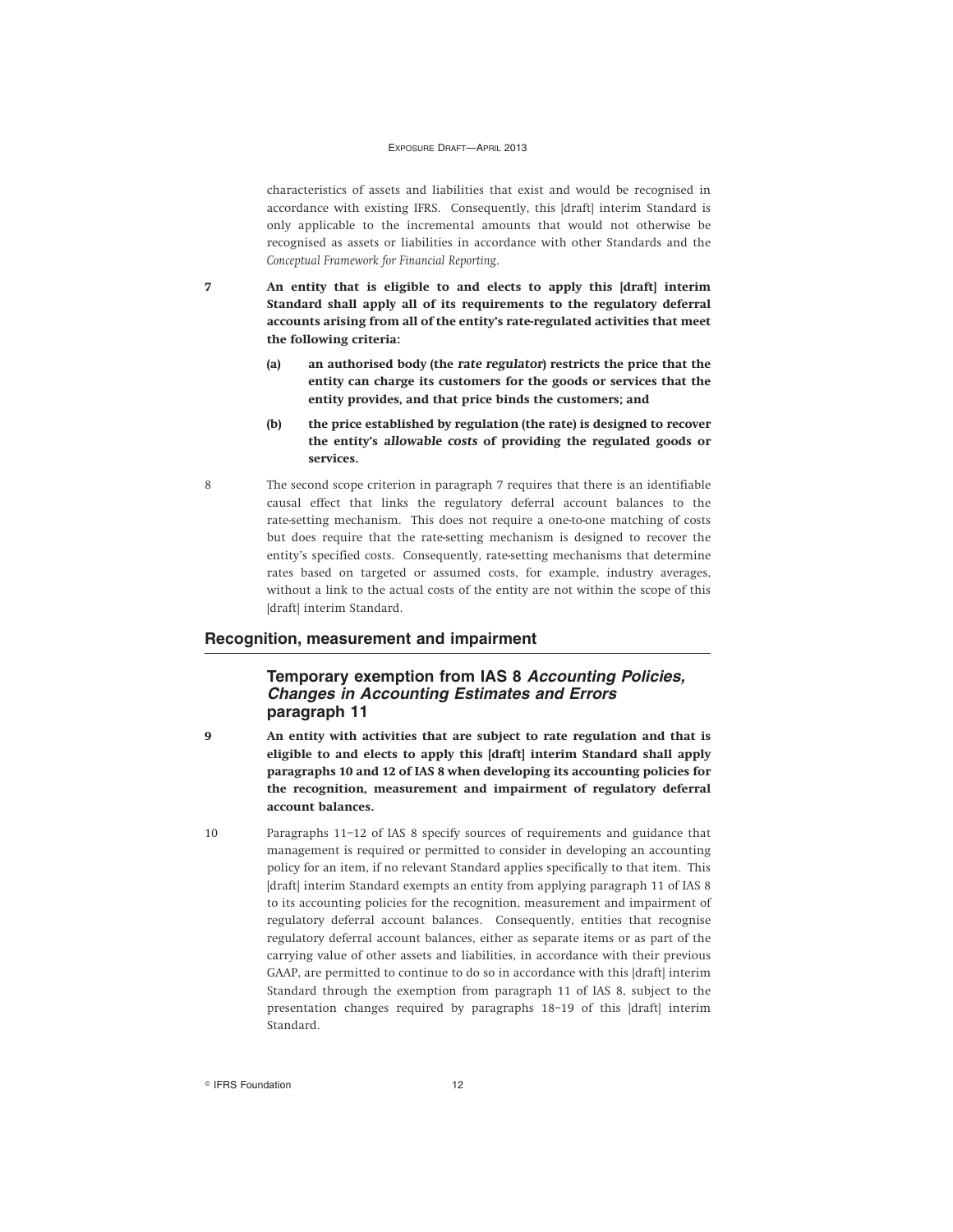characteristics of assets and liabilities that exist and would be recognised in accordance with existing IFRS. Consequently, this [draft] interim Standard is only applicable to the incremental amounts that would not otherwise be recognised as assets or liabilities in accordance with other Standards and the *Conceptual Framework for Financial Reporting*.

**7 An entity that is eligible to and elects to apply this [draft] interim Standard shall apply all of its requirements to the regulatory deferral accounts arising from all of the entity's rate-regulated activities that meet the following criteria:**

- **(a) an authorised body (the** *rate regulator***) restricts the price that the entity can charge its customers for the goods or services that the entity provides, and that price binds the customers; and**
- **(b) the price established by regulation (the rate) is designed to recover the entity's** *allowable costs* **of providing the regulated goods or services.**
- 8 The second scope criterion in paragraph 7 requires that there is an identifiable causal effect that links the regulatory deferral account balances to the rate-setting mechanism. This does not require a one-to-one matching of costs but does require that the rate-setting mechanism is designed to recover the entity's specified costs. Consequently, rate-setting mechanisms that determine rates based on targeted or assumed costs, for example, industry averages, without a link to the actual costs of the entity are not within the scope of this [draft] interim Standard.

### **Recognition, measurement and impairment**

### **Temporary exemption from IAS 8 Accounting Policies, Changes in Accounting Estimates and Errors paragraph 11**

- **9 An entity with activities that are subject to rate regulation and that is eligible to and elects to apply this [draft] interim Standard shall apply paragraphs 10 and 12 of IAS 8 when developing its accounting policies for the recognition, measurement and impairment of regulatory deferral account balances.**
- 10 Paragraphs 11–12 of IAS 8 specify sources of requirements and guidance that management is required or permitted to consider in developing an accounting policy for an item, if no relevant Standard applies specifically to that item. This [draft] interim Standard exempts an entity from applying paragraph 11 of IAS 8 to its accounting policies for the recognition, measurement and impairment of regulatory deferral account balances. Consequently, entities that recognise regulatory deferral account balances, either as separate items or as part of the carrying value of other assets and liabilities, in accordance with their previous GAAP, are permitted to continue to do so in accordance with this [draft] interim Standard through the exemption from paragraph 11 of IAS 8, subject to the presentation changes required by paragraphs 18–19 of this [draft] interim Standard.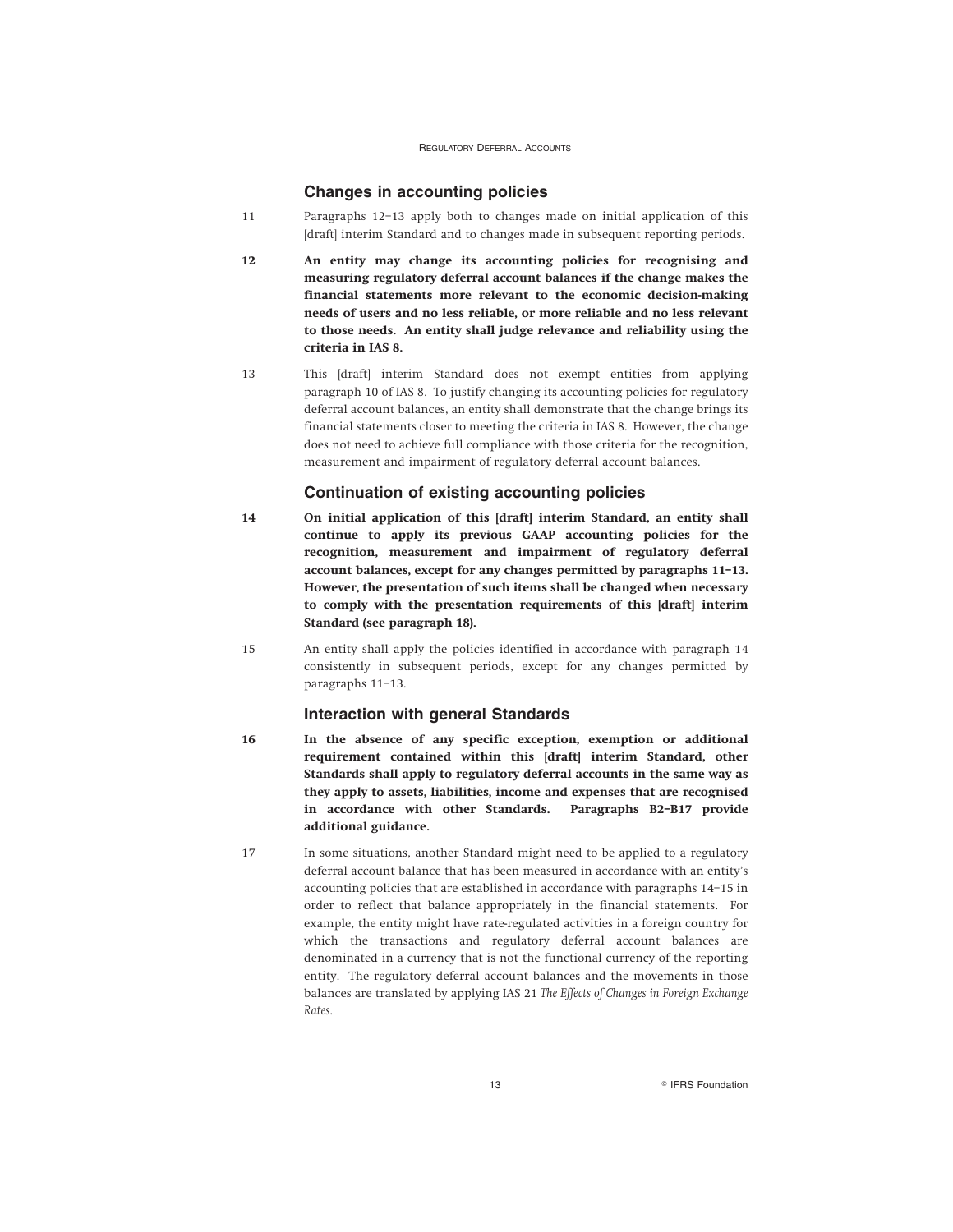### **Changes in accounting policies**

- 11 Paragraphs 12–13 apply both to changes made on initial application of this [draft] interim Standard and to changes made in subsequent reporting periods.
- **12 An entity may change its accounting policies for recognising and measuring regulatory deferral account balances if the change makes the financial statements more relevant to the economic decision-making needs of users and no less reliable, or more reliable and no less relevant to those needs. An entity shall judge relevance and reliability using the criteria in IAS 8.**
- 13 This [draft] interim Standard does not exempt entities from applying paragraph 10 of IAS 8. To justify changing its accounting policies for regulatory deferral account balances, an entity shall demonstrate that the change brings its financial statements closer to meeting the criteria in IAS 8. However, the change does not need to achieve full compliance with those criteria for the recognition, measurement and impairment of regulatory deferral account balances.

### **Continuation of existing accounting policies**

- **14 On initial application of this [draft] interim Standard, an entity shall continue to apply its previous GAAP accounting policies for the recognition, measurement and impairment of regulatory deferral account balances, except for any changes permitted by paragraphs 11–13. However, the presentation of such items shall be changed when necessary to comply with the presentation requirements of this [draft] interim Standard (see paragraph 18).**
- 15 An entity shall apply the policies identified in accordance with paragraph 14 consistently in subsequent periods, except for any changes permitted by paragraphs 11–13.

### **Interaction with general Standards**

- **16 In the absence of any specific exception, exemption or additional requirement contained within this [draft] interim Standard, other Standards shall apply to regulatory deferral accounts in the same way as they apply to assets, liabilities, income and expenses that are recognised in accordance with other Standards. Paragraphs B2–B17 provide additional guidance.**
- 17 In some situations, another Standard might need to be applied to a regulatory deferral account balance that has been measured in accordance with an entity's accounting policies that are established in accordance with paragraphs 14–15 in order to reflect that balance appropriately in the financial statements. For example, the entity might have rate-regulated activities in a foreign country for which the transactions and regulatory deferral account balances are denominated in a currency that is not the functional currency of the reporting entity. The regulatory deferral account balances and the movements in those balances are translated by applying IAS 21 *The Effects of Changes in Foreign Exchange Rates*.

13 **R IFRS Foundation**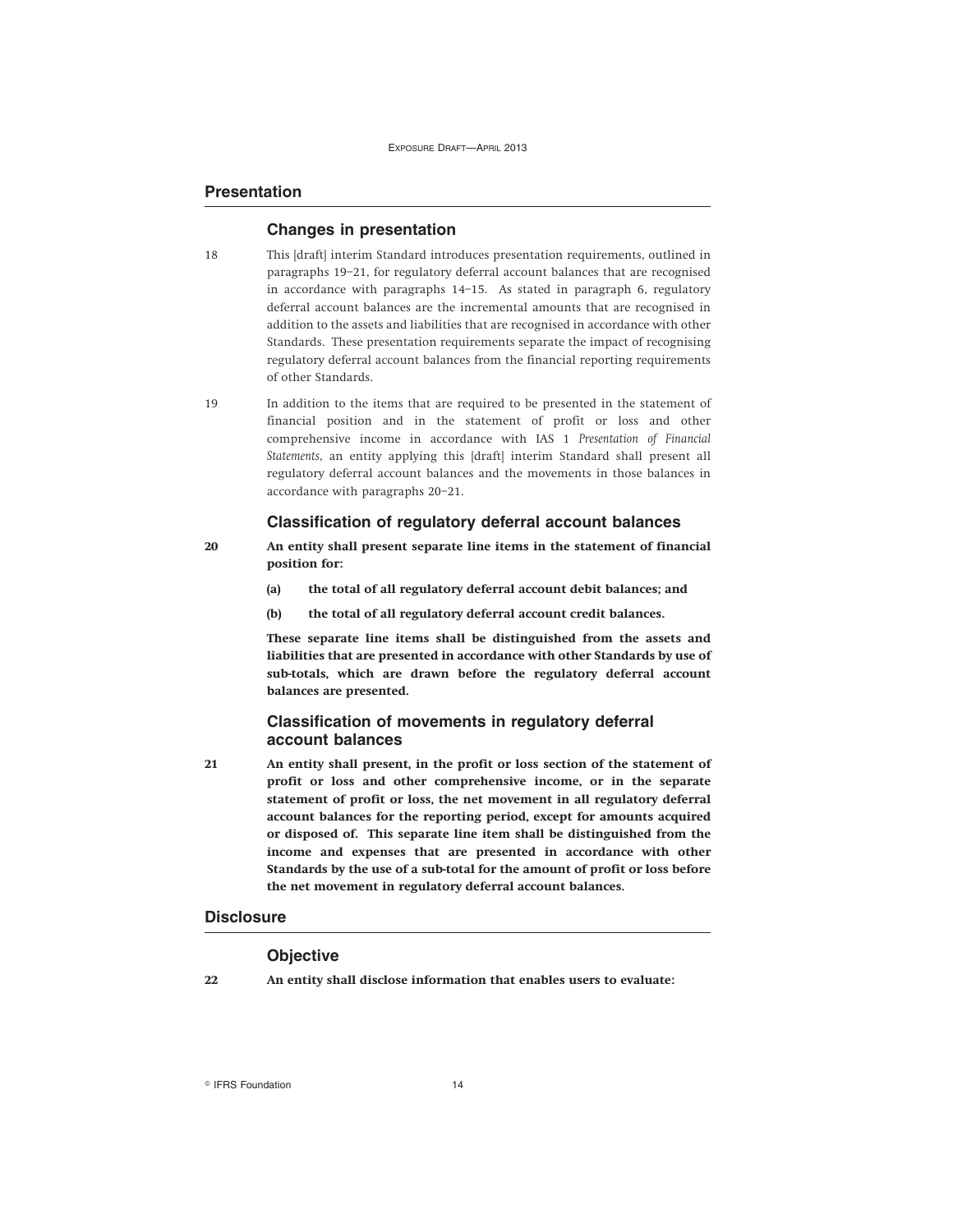### **Presentation**

### **Changes in presentation**

- 18 This [draft] interim Standard introduces presentation requirements, outlined in paragraphs 19–21, for regulatory deferral account balances that are recognised in accordance with paragraphs 14–15. As stated in paragraph 6, regulatory deferral account balances are the incremental amounts that are recognised in addition to the assets and liabilities that are recognised in accordance with other Standards. These presentation requirements separate the impact of recognising regulatory deferral account balances from the financial reporting requirements of other Standards.
- 19 In addition to the items that are required to be presented in the statement of financial position and in the statement of profit or loss and other comprehensive income in accordance with IAS 1 *Presentation of Financial Statements*, an entity applying this [draft] interim Standard shall present all regulatory deferral account balances and the movements in those balances in accordance with paragraphs 20–21.

### **Classification of regulatory deferral account balances**

- **20 An entity shall present separate line items in the statement of financial position for:**
	- **(a) the total of all regulatory deferral account debit balances; and**
	- **(b) the total of all regulatory deferral account credit balances.**

**These separate line items shall be distinguished from the assets and liabilities that are presented in accordance with other Standards by use of sub-totals, which are drawn before the regulatory deferral account balances are presented.**

### **Classification of movements in regulatory deferral account balances**

**21 An entity shall present, in the profit or loss section of the statement of profit or loss and other comprehensive income, or in the separate statement of profit or loss, the net movement in all regulatory deferral account balances for the reporting period, except for amounts acquired or disposed of. This separate line item shall be distinguished from the income and expenses that are presented in accordance with other Standards by the use of a sub-total for the amount of profit or loss before the net movement in regulatory deferral account balances.**

### **Disclosure**

#### **Objective**

**22 An entity shall disclose information that enables users to evaluate:**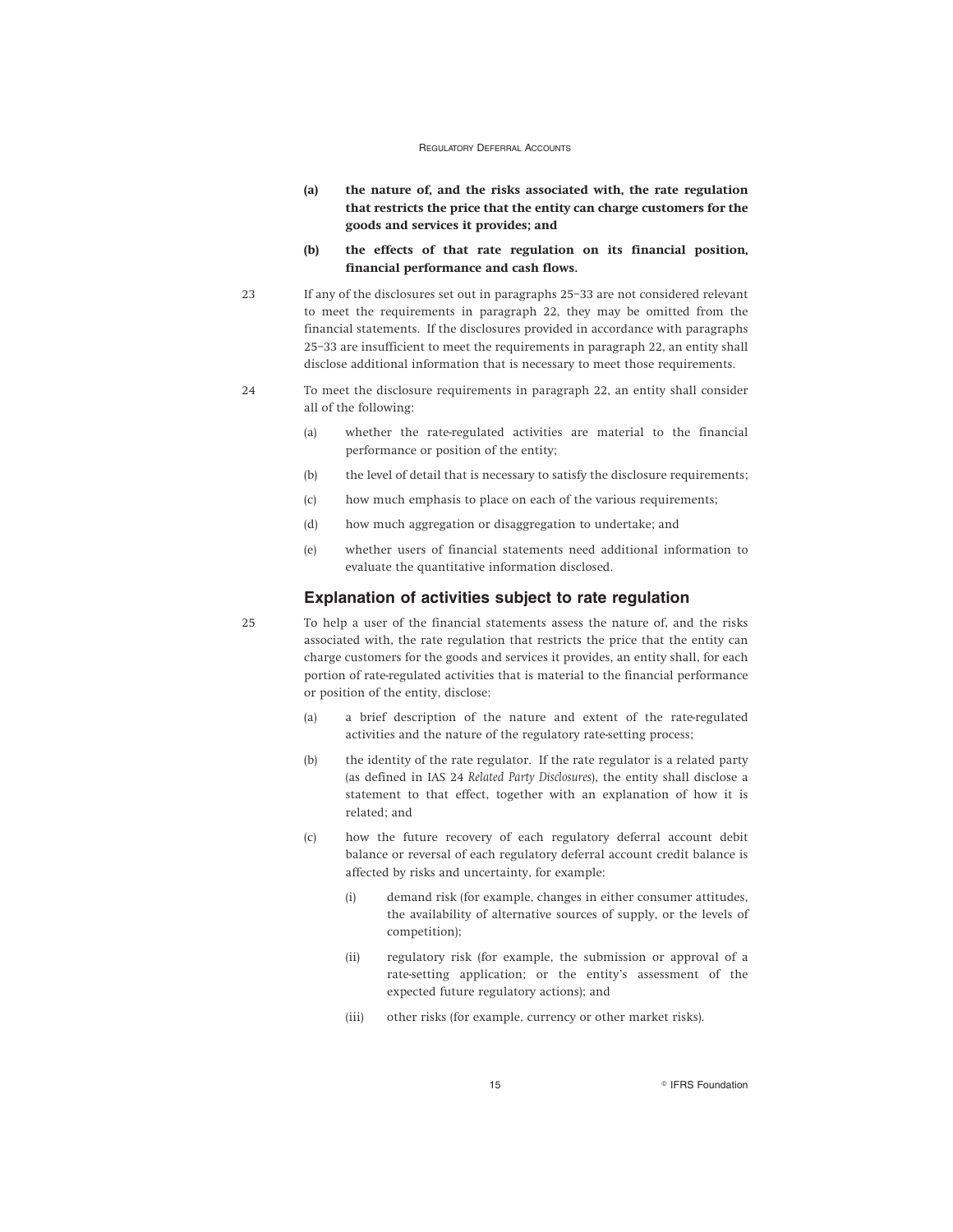- **(a) the nature of, and the risks associated with, the rate regulation that restricts the price that the entity can charge customers for the goods and services it provides; and**
- **(b) the effects of that rate regulation on its financial position, financial performance and cash flows.**
- 23 If any of the disclosures set out in paragraphs 25–33 are not considered relevant to meet the requirements in paragraph 22, they may be omitted from the financial statements. If the disclosures provided in accordance with paragraphs 25–33 are insufficient to meet the requirements in paragraph 22, an entity shall disclose additional information that is necessary to meet those requirements.
- 24 To meet the disclosure requirements in paragraph 22, an entity shall consider all of the following:
	- (a) whether the rate-regulated activities are material to the financial performance or position of the entity;
	- (b) the level of detail that is necessary to satisfy the disclosure requirements;
	- (c) how much emphasis to place on each of the various requirements;
	- (d) how much aggregation or disaggregation to undertake; and
	- (e) whether users of financial statements need additional information to evaluate the quantitative information disclosed.

#### **Explanation of activities subject to rate regulation**

25 To help a user of the financial statements assess the nature of, and the risks associated with, the rate regulation that restricts the price that the entity can charge customers for the goods and services it provides, an entity shall, for each portion of rate-regulated activities that is material to the financial performance or position of the entity, disclose:

- (a) a brief description of the nature and extent of the rate-regulated activities and the nature of the regulatory rate-setting process;
- (b) the identity of the rate regulator. If the rate regulator is a related party (as defined in IAS 24 *Related Party Disclosures*), the entity shall disclose a statement to that effect, together with an explanation of how it is related; and
- (c) how the future recovery of each regulatory deferral account debit balance or reversal of each regulatory deferral account credit balance is affected by risks and uncertainty, for example:
	- (i) demand risk (for example, changes in either consumer attitudes, the availability of alternative sources of supply, or the levels of competition);
	- (ii) regulatory risk (for example, the submission or approval of a rate-setting application; or the entity's assessment of the expected future regulatory actions); and
	- (iii) other risks (for example, currency or other market risks).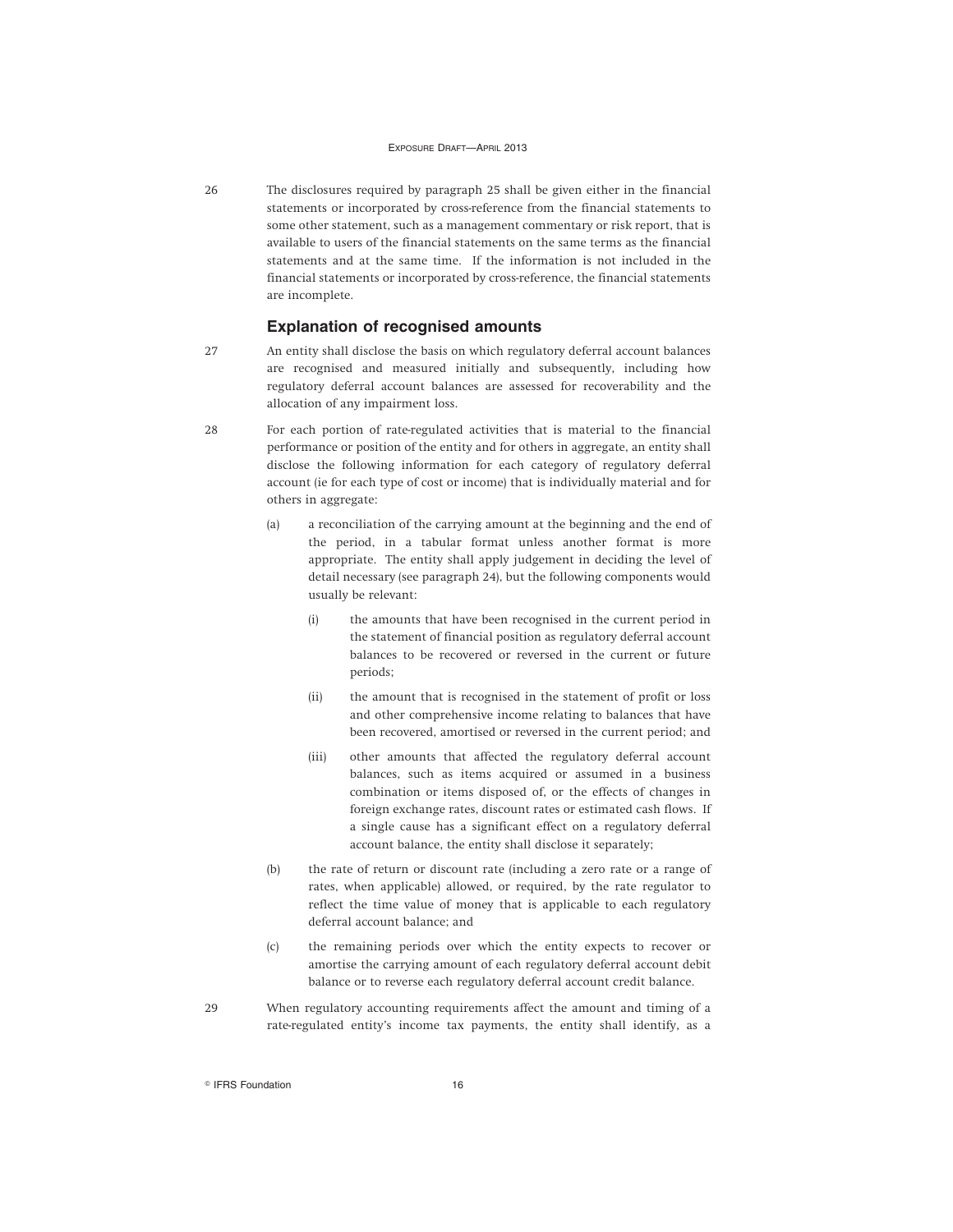26 The disclosures required by paragraph 25 shall be given either in the financial statements or incorporated by cross-reference from the financial statements to some other statement, such as a management commentary or risk report, that is available to users of the financial statements on the same terms as the financial statements and at the same time. If the information is not included in the financial statements or incorporated by cross-reference, the financial statements are incomplete.

### **Explanation of recognised amounts**

- 27 An entity shall disclose the basis on which regulatory deferral account balances are recognised and measured initially and subsequently, including how regulatory deferral account balances are assessed for recoverability and the allocation of any impairment loss.
- 28 For each portion of rate-regulated activities that is material to the financial performance or position of the entity and for others in aggregate, an entity shall disclose the following information for each category of regulatory deferral account (ie for each type of cost or income) that is individually material and for others in aggregate:
	- (a) a reconciliation of the carrying amount at the beginning and the end of the period, in a tabular format unless another format is more appropriate. The entity shall apply judgement in deciding the level of detail necessary (see paragraph 24), but the following components would usually be relevant:
		- (i) the amounts that have been recognised in the current period in the statement of financial position as regulatory deferral account balances to be recovered or reversed in the current or future periods;
		- (ii) the amount that is recognised in the statement of profit or loss and other comprehensive income relating to balances that have been recovered, amortised or reversed in the current period; and
		- (iii) other amounts that affected the regulatory deferral account balances, such as items acquired or assumed in a business combination or items disposed of, or the effects of changes in foreign exchange rates, discount rates or estimated cash flows. If a single cause has a significant effect on a regulatory deferral account balance, the entity shall disclose it separately;
	- (b) the rate of return or discount rate (including a zero rate or a range of rates, when applicable) allowed, or required, by the rate regulator to reflect the time value of money that is applicable to each regulatory deferral account balance; and
	- (c) the remaining periods over which the entity expects to recover or amortise the carrying amount of each regulatory deferral account debit balance or to reverse each regulatory deferral account credit balance.
- 29 When regulatory accounting requirements affect the amount and timing of a rate-regulated entity's income tax payments, the entity shall identify, as a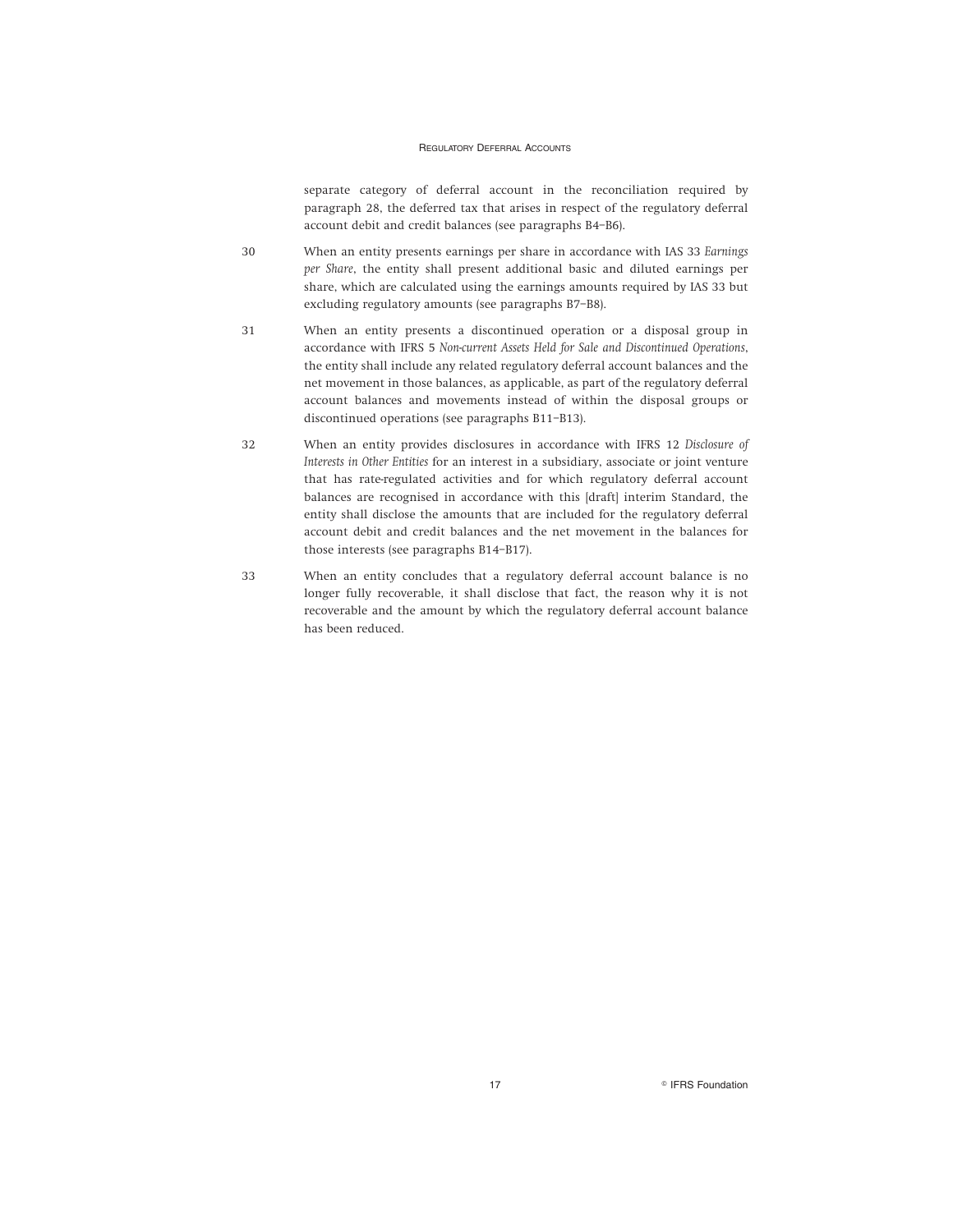separate category of deferral account in the reconciliation required by paragraph 28, the deferred tax that arises in respect of the regulatory deferral account debit and credit balances (see paragraphs B4–B6).

- 30 When an entity presents earnings per share in accordance with IAS 33 *Earnings per Share*, the entity shall present additional basic and diluted earnings per share, which are calculated using the earnings amounts required by IAS 33 but excluding regulatory amounts (see paragraphs B7–B8).
- 31 When an entity presents a discontinued operation or a disposal group in accordance with IFRS 5 *Non-current Assets Held for Sale and Discontinued Operations*, the entity shall include any related regulatory deferral account balances and the net movement in those balances, as applicable, as part of the regulatory deferral account balances and movements instead of within the disposal groups or discontinued operations (see paragraphs B11–B13).
- 32 When an entity provides disclosures in accordance with IFRS 12 *Disclosure of Interests in Other Entities* for an interest in a subsidiary, associate or joint venture that has rate-regulated activities and for which regulatory deferral account balances are recognised in accordance with this [draft] interim Standard, the entity shall disclose the amounts that are included for the regulatory deferral account debit and credit balances and the net movement in the balances for those interests (see paragraphs B14–B17).
- 33 When an entity concludes that a regulatory deferral account balance is no longer fully recoverable, it shall disclose that fact, the reason why it is not recoverable and the amount by which the regulatory deferral account balance has been reduced.

17 **Contract Service Structure 17 Contract Service Structure 17 Contract Service Structure 17**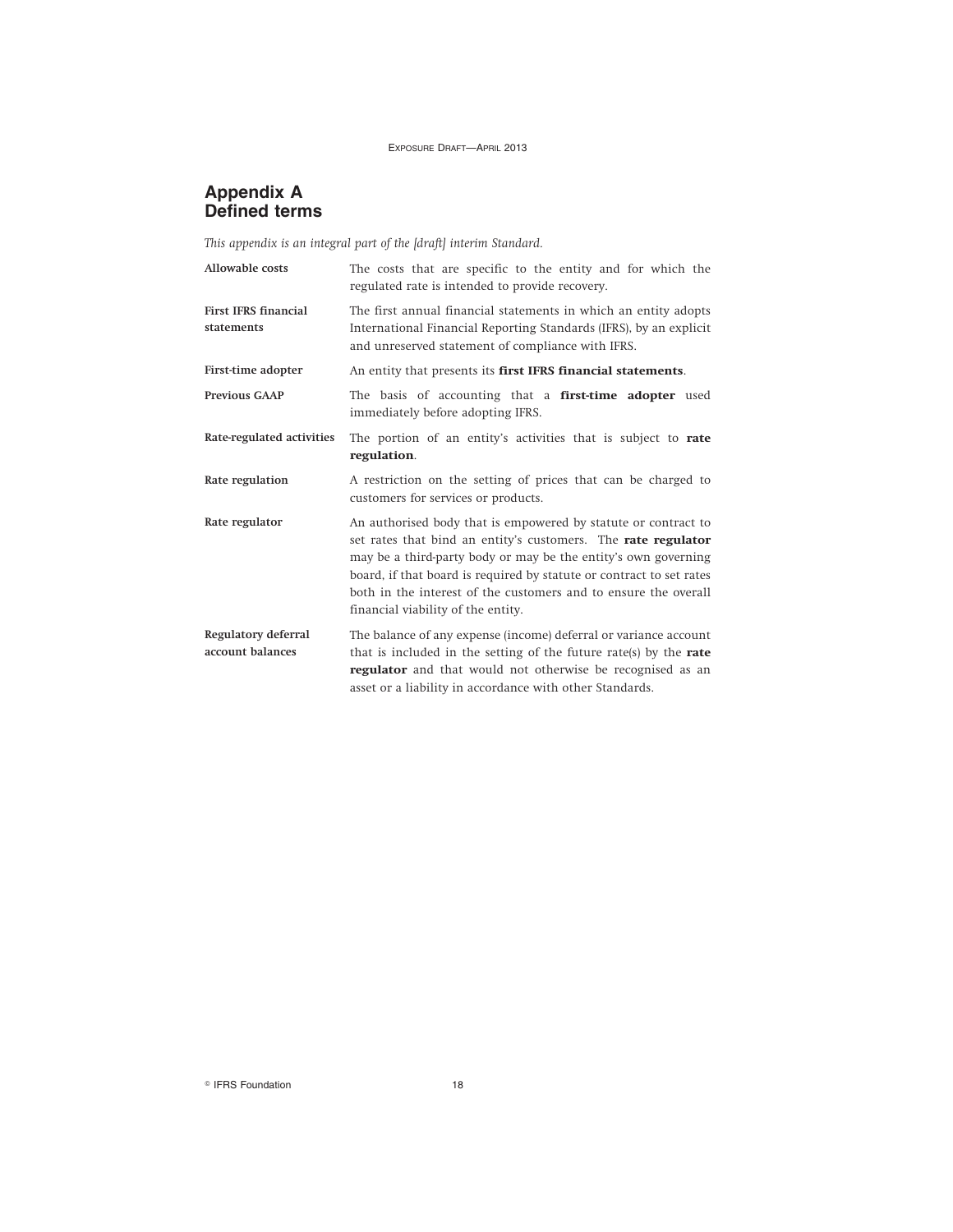### **Appendix A Defined terms**

*This appendix is an integral part of the [draft] interim Standard.*

| <b>Allowable costs</b>                    | The costs that are specific to the entity and for which the<br>regulated rate is intended to provide recovery.                                                                                                                                                                                                                                                                     |
|-------------------------------------------|------------------------------------------------------------------------------------------------------------------------------------------------------------------------------------------------------------------------------------------------------------------------------------------------------------------------------------------------------------------------------------|
| <b>First IFRS financial</b><br>statements | The first annual financial statements in which an entity adopts<br>International Financial Reporting Standards (IFRS), by an explicit<br>and unreserved statement of compliance with IFRS.                                                                                                                                                                                         |
| First-time adopter                        | An entity that presents its first IFRS financial statements.                                                                                                                                                                                                                                                                                                                       |
| <b>Previous GAAP</b>                      | The basis of accounting that a first-time adopter used<br>immediately before adopting IFRS.                                                                                                                                                                                                                                                                                        |
| Rate-regulated activities                 | The portion of an entity's activities that is subject to rate<br>regulation.                                                                                                                                                                                                                                                                                                       |
| Rate regulation                           | A restriction on the setting of prices that can be charged to<br>customers for services or products.                                                                                                                                                                                                                                                                               |
| Rate regulator                            | An authorised body that is empowered by statute or contract to<br>set rates that bind an entity's customers. The rate regulator<br>may be a third-party body or may be the entity's own governing<br>board, if that board is required by statute or contract to set rates<br>both in the interest of the customers and to ensure the overall<br>financial viability of the entity. |
| Regulatory deferral<br>account balances   | The balance of any expense (income) deferral or variance account<br>that is included in the setting of the future rate(s) by the rate<br>regulator and that would not otherwise be recognised as an<br>asset or a liability in accordance with other Standards.                                                                                                                    |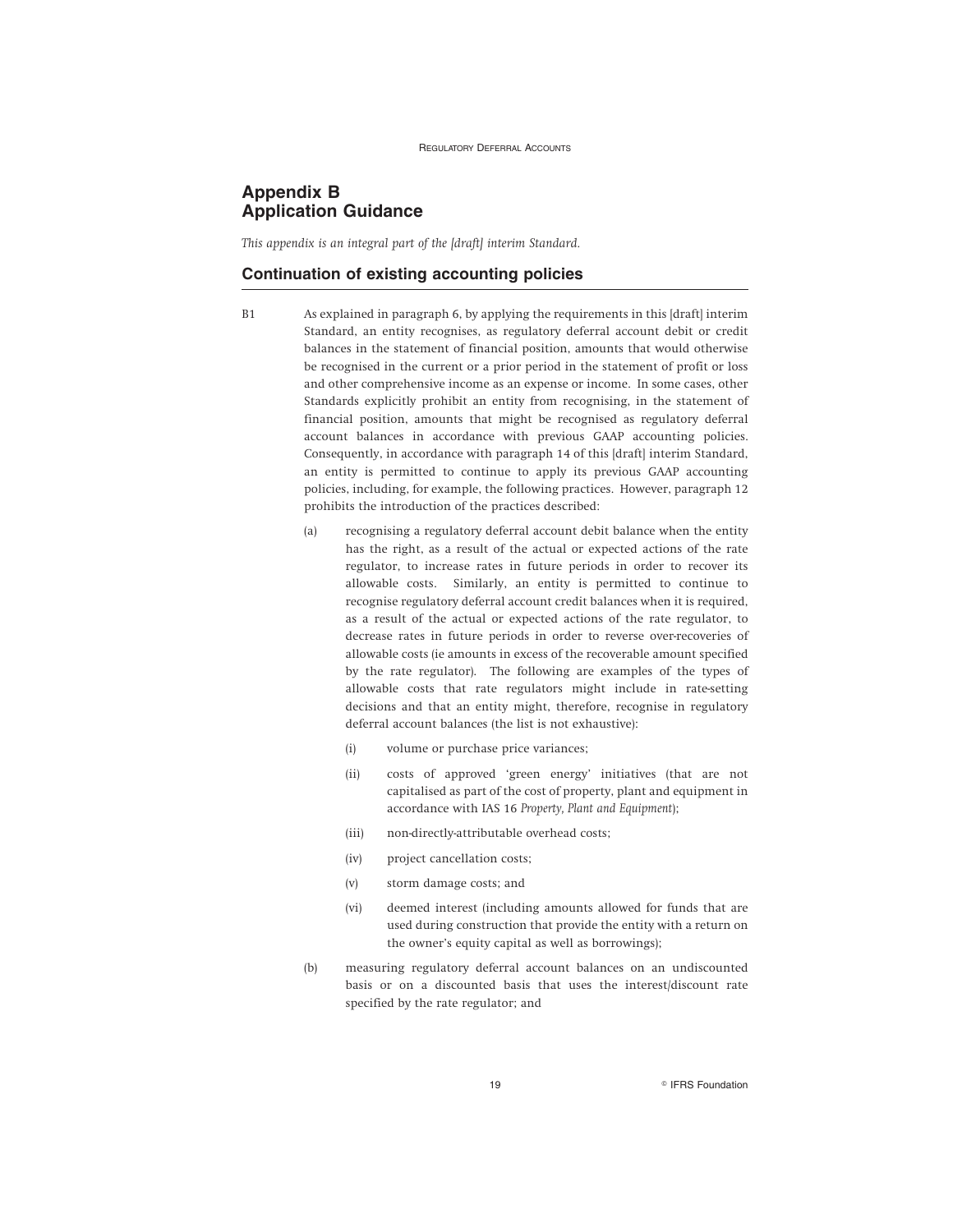### **Appendix B Application Guidance**

*This appendix is an integral part of the [draft] interim Standard.*

### **Continuation of existing accounting policies**

- B1 As explained in paragraph 6, by applying the requirements in this [draft] interim Standard, an entity recognises, as regulatory deferral account debit or credit balances in the statement of financial position, amounts that would otherwise be recognised in the current or a prior period in the statement of profit or loss and other comprehensive income as an expense or income. In some cases, other Standards explicitly prohibit an entity from recognising, in the statement of financial position, amounts that might be recognised as regulatory deferral account balances in accordance with previous GAAP accounting policies. Consequently, in accordance with paragraph 14 of this [draft] interim Standard, an entity is permitted to continue to apply its previous GAAP accounting policies, including, for example, the following practices. However, paragraph 12 prohibits the introduction of the practices described:
	- (a) recognising a regulatory deferral account debit balance when the entity has the right, as a result of the actual or expected actions of the rate regulator, to increase rates in future periods in order to recover its allowable costs. Similarly, an entity is permitted to continue to recognise regulatory deferral account credit balances when it is required, as a result of the actual or expected actions of the rate regulator, to decrease rates in future periods in order to reverse over-recoveries of allowable costs (ie amounts in excess of the recoverable amount specified by the rate regulator). The following are examples of the types of allowable costs that rate regulators might include in rate-setting decisions and that an entity might, therefore, recognise in regulatory deferral account balances (the list is not exhaustive):
		- (i) volume or purchase price variances;
		- (ii) costs of approved 'green energy' initiatives (that are not capitalised as part of the cost of property, plant and equipment in accordance with IAS 16 *Property, Plant and Equipment*);
		- (iii) non-directly-attributable overhead costs;
		- (iv) project cancellation costs;
		- (v) storm damage costs; and
		- (vi) deemed interest (including amounts allowed for funds that are used during construction that provide the entity with a return on the owner's equity capital as well as borrowings);
	- (b) measuring regulatory deferral account balances on an undiscounted basis or on a discounted basis that uses the interest/discount rate specified by the rate regulator; and

19 **PERS Foundation**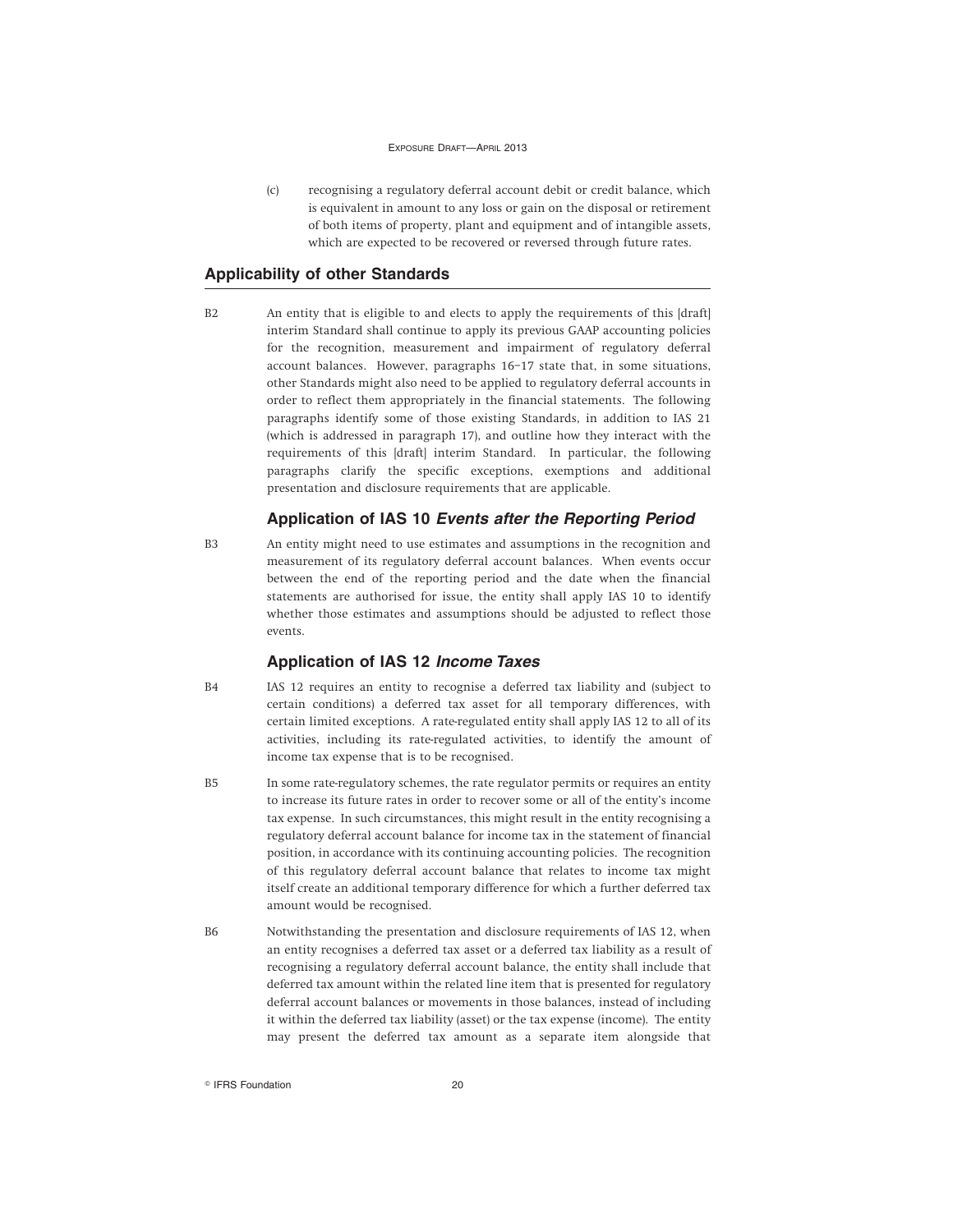(c) recognising a regulatory deferral account debit or credit balance, which is equivalent in amount to any loss or gain on the disposal or retirement of both items of property, plant and equipment and of intangible assets, which are expected to be recovered or reversed through future rates.

### **Applicability of other Standards**

B2 An entity that is eligible to and elects to apply the requirements of this [draft] interim Standard shall continue to apply its previous GAAP accounting policies for the recognition, measurement and impairment of regulatory deferral account balances. However, paragraphs 16–17 state that, in some situations, other Standards might also need to be applied to regulatory deferral accounts in order to reflect them appropriately in the financial statements. The following paragraphs identify some of those existing Standards, in addition to IAS 21 (which is addressed in paragraph 17), and outline how they interact with the requirements of this [draft] interim Standard. In particular, the following paragraphs clarify the specific exceptions, exemptions and additional presentation and disclosure requirements that are applicable.

### **Application of IAS 10 Events after the Reporting Period**

B3 An entity might need to use estimates and assumptions in the recognition and measurement of its regulatory deferral account balances. When events occur between the end of the reporting period and the date when the financial statements are authorised for issue, the entity shall apply IAS 10 to identify whether those estimates and assumptions should be adjusted to reflect those events.

### **Application of IAS 12 Income Taxes**

- B4 IAS 12 requires an entity to recognise a deferred tax liability and (subject to certain conditions) a deferred tax asset for all temporary differences, with certain limited exceptions. A rate-regulated entity shall apply IAS 12 to all of its activities, including its rate-regulated activities, to identify the amount of income tax expense that is to be recognised.
- B5 In some rate-regulatory schemes, the rate regulator permits or requires an entity to increase its future rates in order to recover some or all of the entity's income tax expense. In such circumstances, this might result in the entity recognising a regulatory deferral account balance for income tax in the statement of financial position, in accordance with its continuing accounting policies. The recognition of this regulatory deferral account balance that relates to income tax might itself create an additional temporary difference for which a further deferred tax amount would be recognised.
- B6 Notwithstanding the presentation and disclosure requirements of IAS 12, when an entity recognises a deferred tax asset or a deferred tax liability as a result of recognising a regulatory deferral account balance, the entity shall include that deferred tax amount within the related line item that is presented for regulatory deferral account balances or movements in those balances, instead of including it within the deferred tax liability (asset) or the tax expense (income). The entity may present the deferred tax amount as a separate item alongside that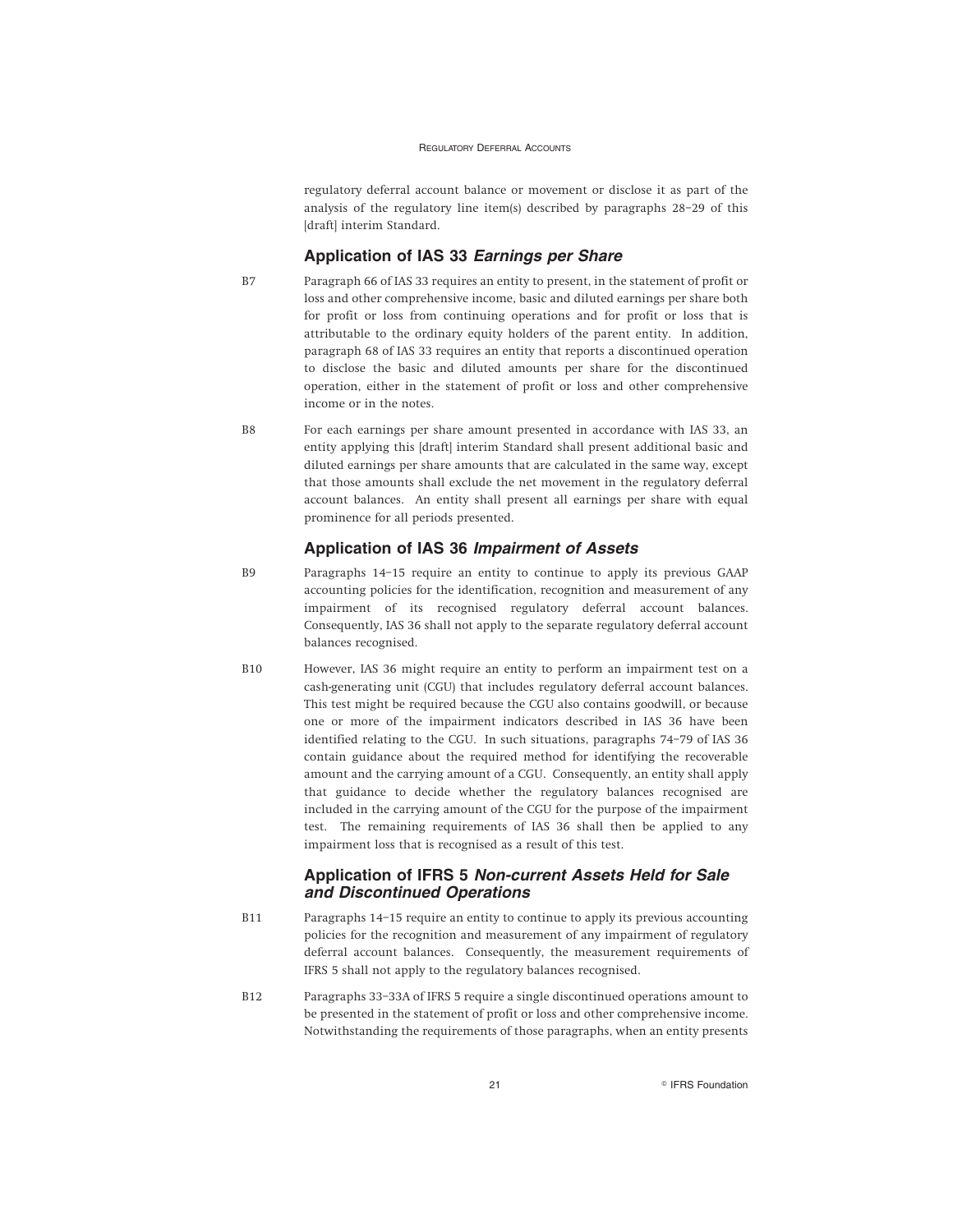regulatory deferral account balance or movement or disclose it as part of the analysis of the regulatory line item(s) described by paragraphs 28–29 of this [draft] interim Standard.

### **Application of IAS 33 Earnings per Share**

- B7 Paragraph 66 of IAS 33 requires an entity to present, in the statement of profit or loss and other comprehensive income, basic and diluted earnings per share both for profit or loss from continuing operations and for profit or loss that is attributable to the ordinary equity holders of the parent entity. In addition, paragraph 68 of IAS 33 requires an entity that reports a discontinued operation to disclose the basic and diluted amounts per share for the discontinued operation, either in the statement of profit or loss and other comprehensive income or in the notes.
- B8 For each earnings per share amount presented in accordance with IAS 33, an entity applying this [draft] interim Standard shall present additional basic and diluted earnings per share amounts that are calculated in the same way, except that those amounts shall exclude the net movement in the regulatory deferral account balances. An entity shall present all earnings per share with equal prominence for all periods presented.

### **Application of IAS 36 Impairment of Assets**

- B9 Paragraphs 14–15 require an entity to continue to apply its previous GAAP accounting policies for the identification, recognition and measurement of any impairment of its recognised regulatory deferral account balances. Consequently, IAS 36 shall not apply to the separate regulatory deferral account balances recognised.
- B10 However, IAS 36 might require an entity to perform an impairment test on a cash-generating unit (CGU) that includes regulatory deferral account balances. This test might be required because the CGU also contains goodwill, or because one or more of the impairment indicators described in IAS 36 have been identified relating to the CGU. In such situations, paragraphs 74–79 of IAS 36 contain guidance about the required method for identifying the recoverable amount and the carrying amount of a CGU. Consequently, an entity shall apply that guidance to decide whether the regulatory balances recognised are included in the carrying amount of the CGU for the purpose of the impairment test. The remaining requirements of IAS 36 shall then be applied to any impairment loss that is recognised as a result of this test.

### **Application of IFRS 5 Non-current Assets Held for Sale and Discontinued Operations**

- B11 Paragraphs 14–15 require an entity to continue to apply its previous accounting policies for the recognition and measurement of any impairment of regulatory deferral account balances. Consequently, the measurement requirements of IFRS 5 shall not apply to the regulatory balances recognised.
- B12 Paragraphs 33–33A of IFRS 5 require a single discontinued operations amount to be presented in the statement of profit or loss and other comprehensive income. Notwithstanding the requirements of those paragraphs, when an entity presents

21 **Contract Contract Contract Contract Contract Contract Contract Contract Contract Contract Contract Contract Contract Contract Contract Contract Contract Contract Contract Contract Contract Contract Contract Contract Co**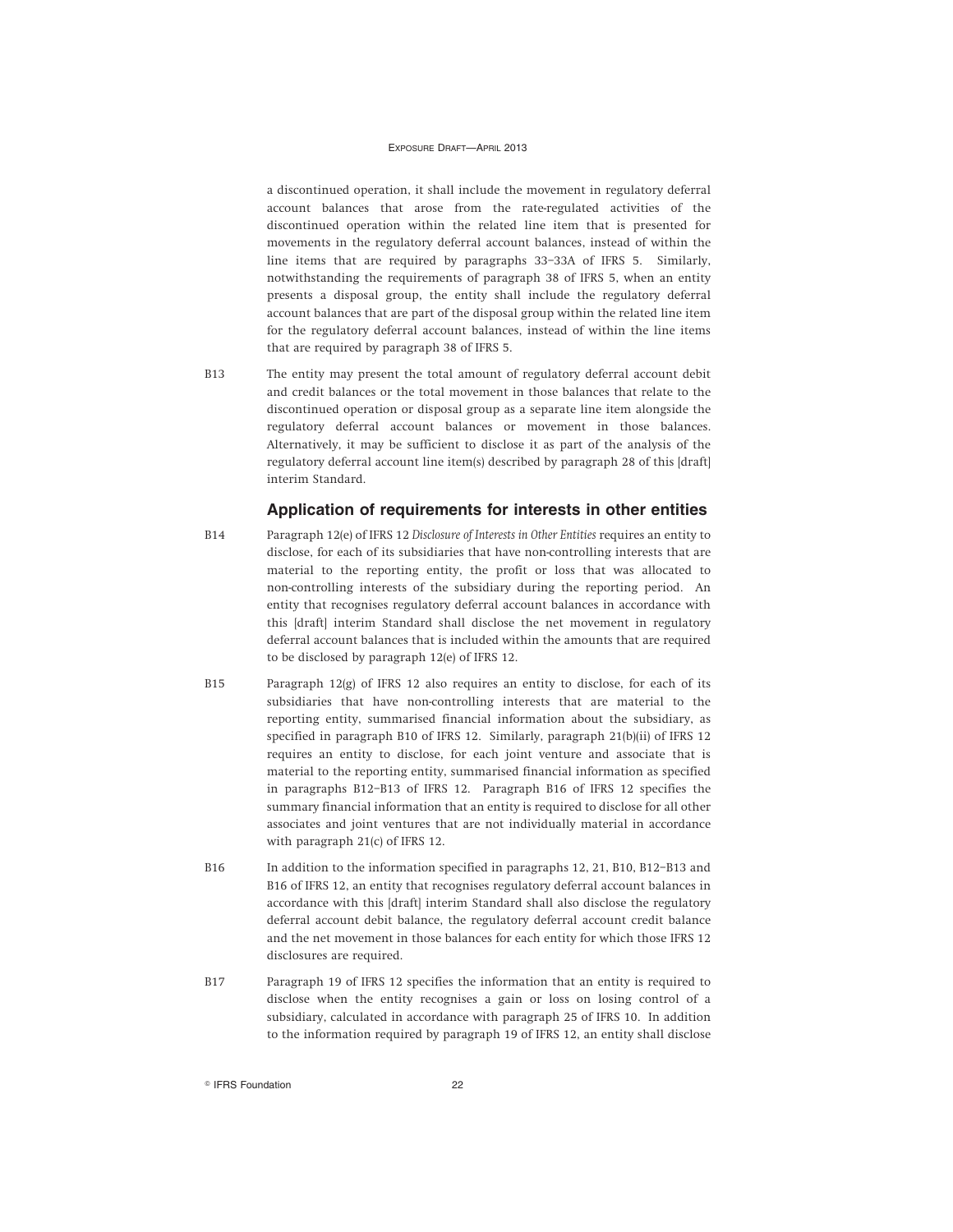a discontinued operation, it shall include the movement in regulatory deferral account balances that arose from the rate-regulated activities of the discontinued operation within the related line item that is presented for movements in the regulatory deferral account balances, instead of within the line items that are required by paragraphs 33–33A of IFRS 5. Similarly, notwithstanding the requirements of paragraph 38 of IFRS 5, when an entity presents a disposal group, the entity shall include the regulatory deferral account balances that are part of the disposal group within the related line item for the regulatory deferral account balances, instead of within the line items that are required by paragraph 38 of IFRS 5.

B13 The entity may present the total amount of regulatory deferral account debit and credit balances or the total movement in those balances that relate to the discontinued operation or disposal group as a separate line item alongside the regulatory deferral account balances or movement in those balances. Alternatively, it may be sufficient to disclose it as part of the analysis of the regulatory deferral account line item(s) described by paragraph 28 of this [draft] interim Standard.

### **Application of requirements for interests in other entities**

- B14 Paragraph 12(e) of IFRS 12 *Disclosure of Interests in Other Entities* requires an entity to disclose, for each of its subsidiaries that have non-controlling interests that are material to the reporting entity, the profit or loss that was allocated to non-controlling interests of the subsidiary during the reporting period. An entity that recognises regulatory deferral account balances in accordance with this [draft] interim Standard shall disclose the net movement in regulatory deferral account balances that is included within the amounts that are required to be disclosed by paragraph 12(e) of IFRS 12.
- B15 Paragraph 12(g) of IFRS 12 also requires an entity to disclose, for each of its subsidiaries that have non-controlling interests that are material to the reporting entity, summarised financial information about the subsidiary, as specified in paragraph B10 of IFRS 12. Similarly, paragraph 21(b)(ii) of IFRS 12 requires an entity to disclose, for each joint venture and associate that is material to the reporting entity, summarised financial information as specified in paragraphs B12–B13 of IFRS 12. Paragraph B16 of IFRS 12 specifies the summary financial information that an entity is required to disclose for all other associates and joint ventures that are not individually material in accordance with paragraph 21(c) of IFRS 12.
- B16 In addition to the information specified in paragraphs 12, 21, B10, B12–B13 and B16 of IFRS 12, an entity that recognises regulatory deferral account balances in accordance with this [draft] interim Standard shall also disclose the regulatory deferral account debit balance, the regulatory deferral account credit balance and the net movement in those balances for each entity for which those IFRS 12 disclosures are required.
- B17 Paragraph 19 of IFRS 12 specifies the information that an entity is required to disclose when the entity recognises a gain or loss on losing control of a subsidiary, calculated in accordance with paragraph 25 of IFRS 10. In addition to the information required by paragraph 19 of IFRS 12, an entity shall disclose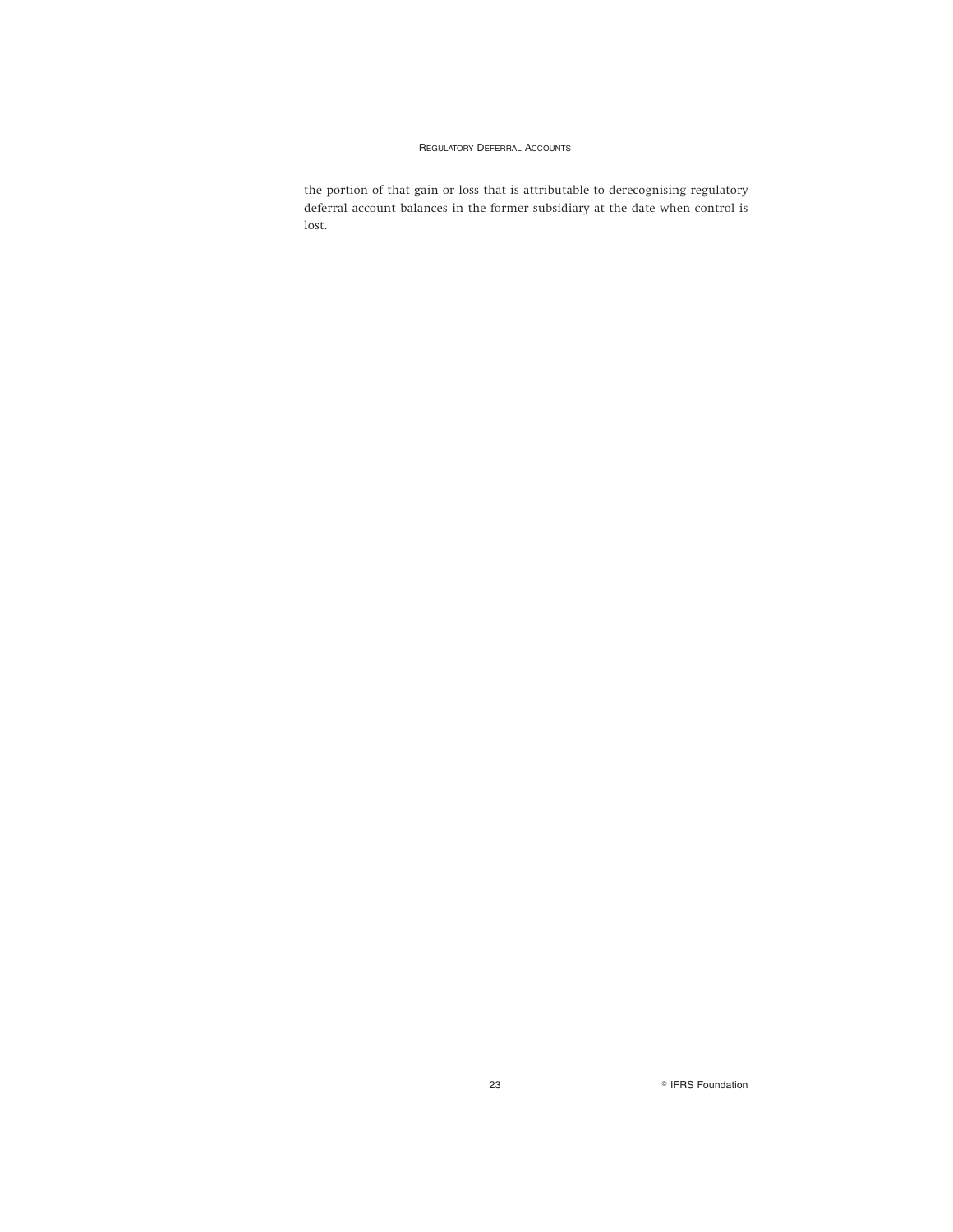the portion of that gain or loss that is attributable to derecognising regulatory deferral account balances in the former subsidiary at the date when control is lost.

23 **Participal EXECUTE:** Participal PERS Foundation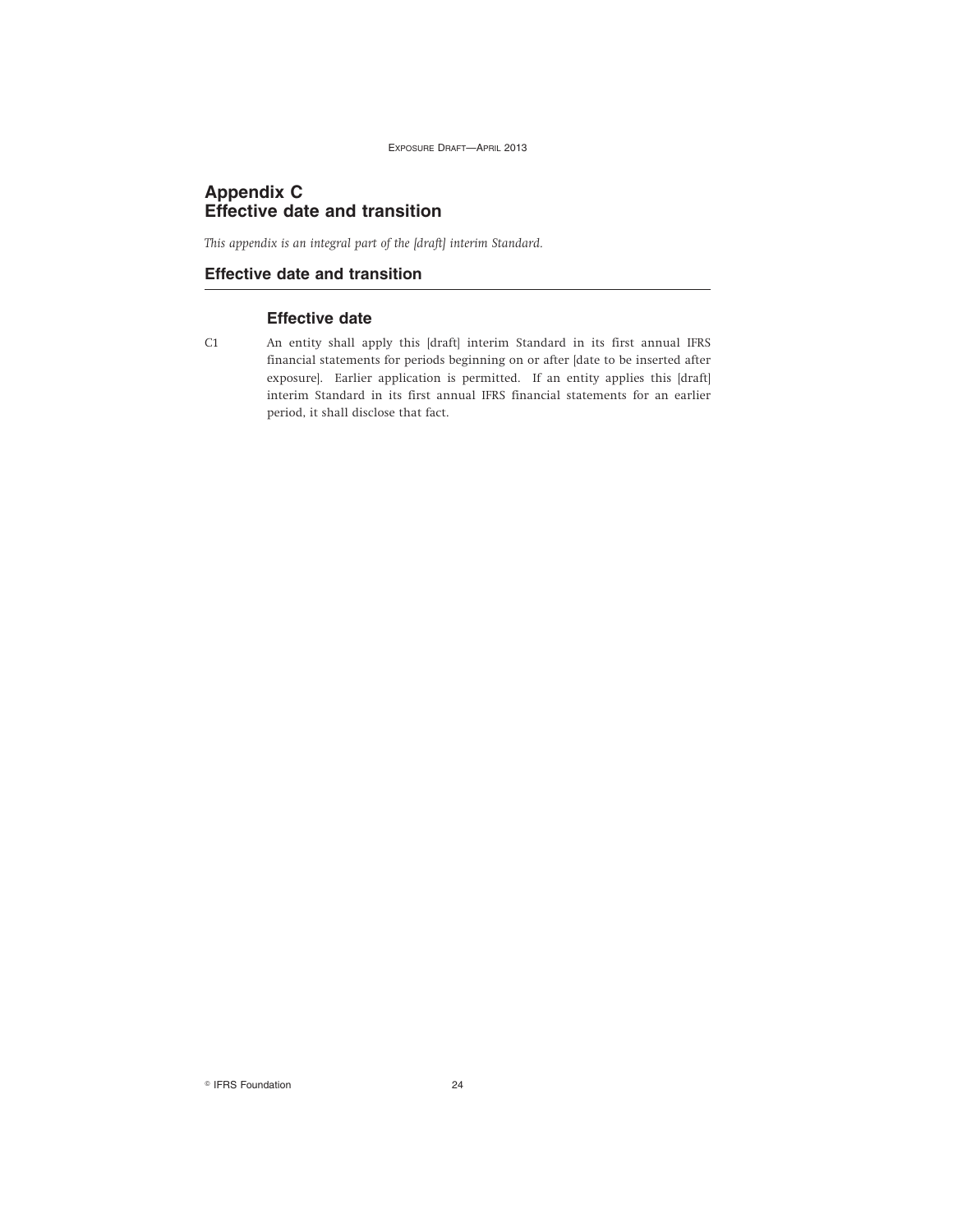### **Appendix C Effective date and transition**

*This appendix is an integral part of the [draft] interim Standard.*

### **Effective date and transition**

### **Effective date**

C1 An entity shall apply this [draft] interim Standard in its first annual IFRS financial statements for periods beginning on or after [date to be inserted after exposure]. Earlier application is permitted. If an entity applies this [draft] interim Standard in its first annual IFRS financial statements for an earlier period, it shall disclose that fact.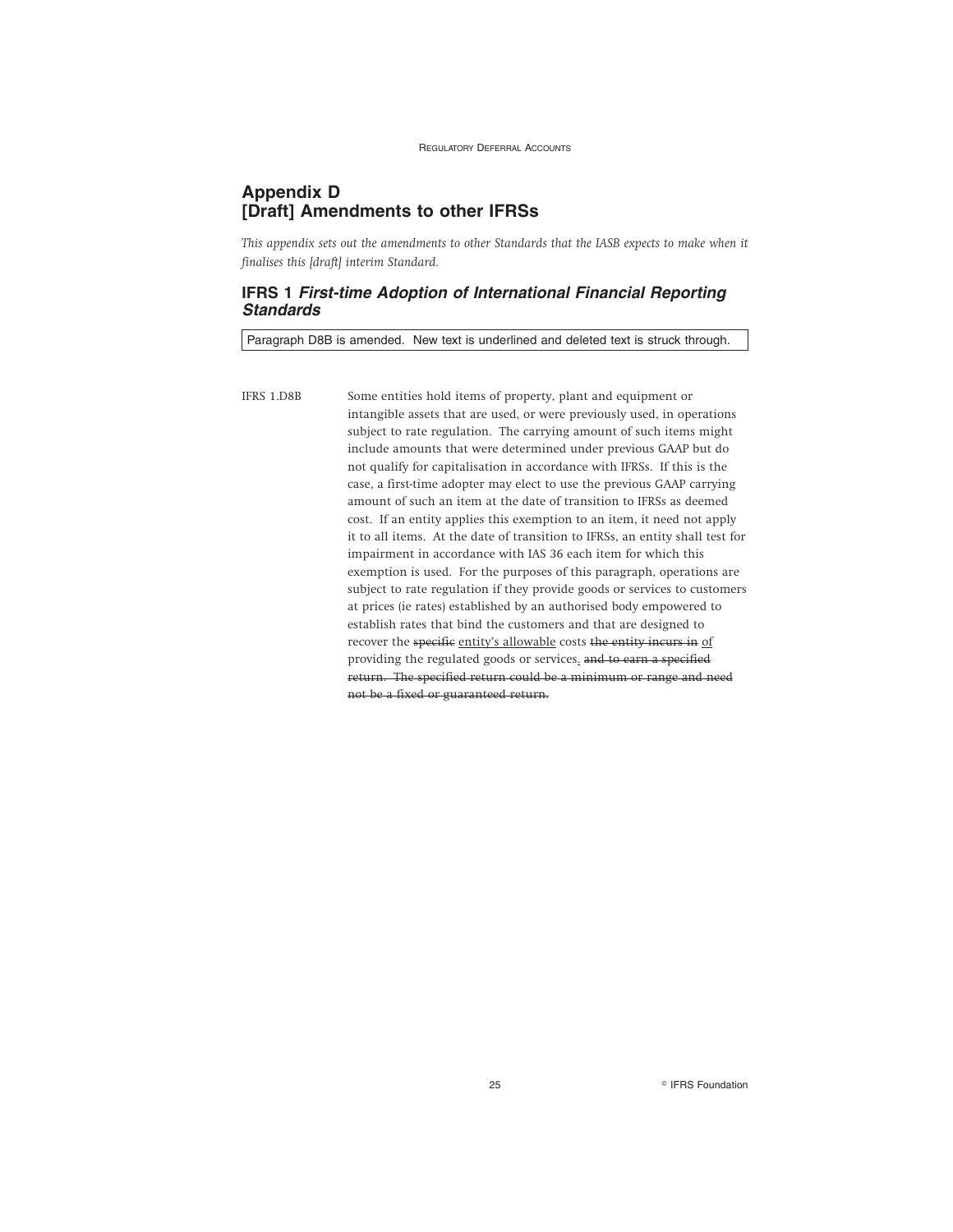### **Appendix D [Draft] Amendments to other IFRSs**

*This appendix sets out the amendments to other Standards that the IASB expects to make when it finalises this [draft] interim Standard.*

### **IFRS 1 First-time Adoption of International Financial Reporting Standards**

Paragraph D8B is amended. New text is underlined and deleted text is struck through.

IFRS 1.D8B Some entities hold items of property, plant and equipment or intangible assets that are used, or were previously used, in operations subject to rate regulation. The carrying amount of such items might include amounts that were determined under previous GAAP but do not qualify for capitalisation in accordance with IFRSs. If this is the case, a first-time adopter may elect to use the previous GAAP carrying amount of such an item at the date of transition to IFRSs as deemed cost. If an entity applies this exemption to an item, it need not apply it to all items. At the date of transition to IFRSs, an entity shall test for impairment in accordance with IAS 36 each item for which this exemption is used. For the purposes of this paragraph, operations are subject to rate regulation if they provide goods or services to customers at prices (ie rates) established by an authorised body empowered to establish rates that bind the customers and that are designed to recover the specific entity's allowable costs the entity incurs in of providing the regulated goods or services. and to earn a specified return. The specified return could be a minimum or range and need not be a fixed or guaranteed return.

25 **Research Street Executive Street Section** PIFRS Foundation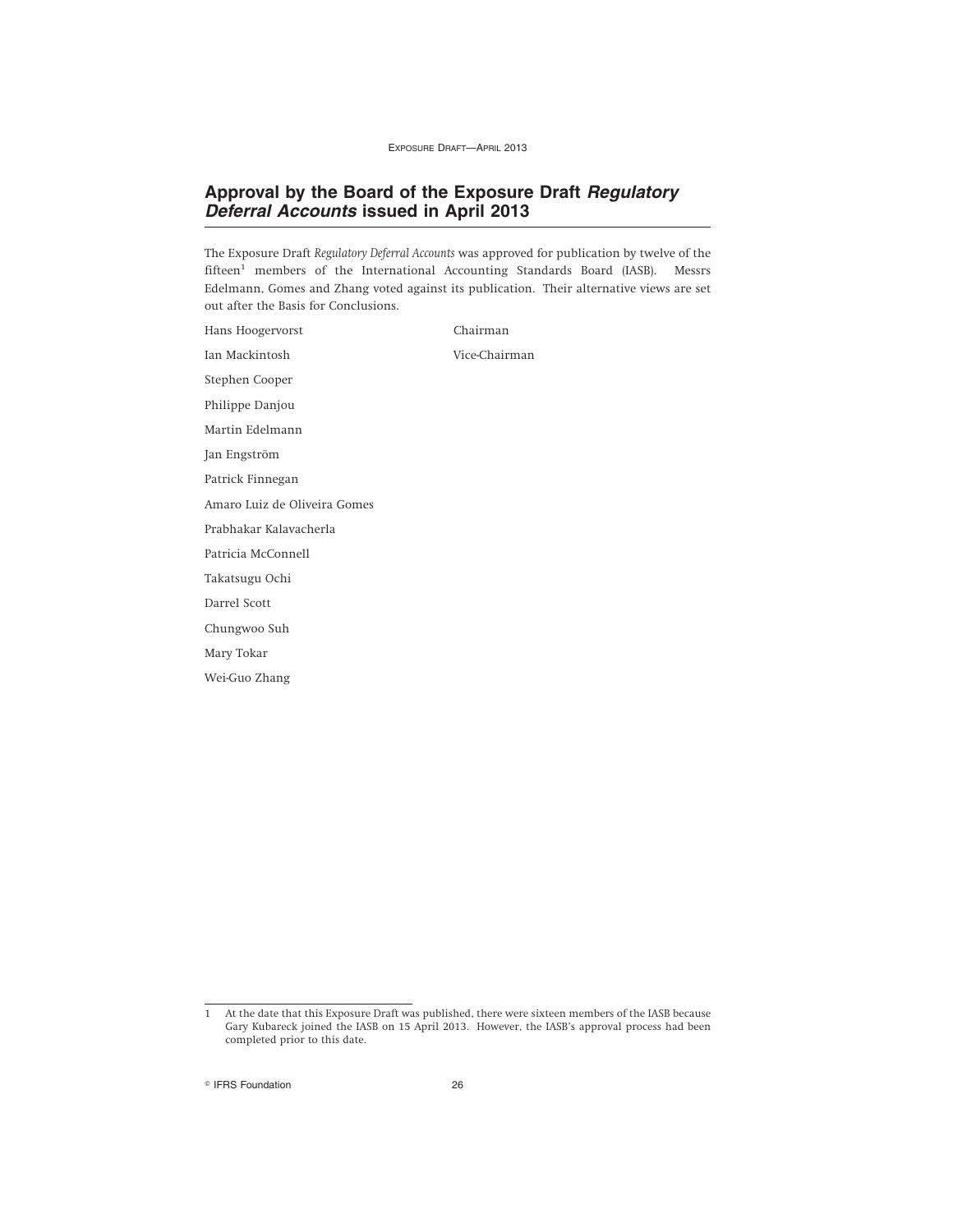### **Approval by the Board of the Exposure Draft Regulatory Deferral Accounts issued in April 2013**

The Exposure Draft *Regulatory Deferral Accounts* was approved for publication by twelve of the fifteen<sup>1</sup> members of the International Accounting Standards Board (IASB). Messrs Edelmann, Gomes and Zhang voted against its publication. Their alternative views are set out after the Basis for Conclusions.

Hans Hoogervorst Chairman Ian Mackintosh Vice-Chairman Stephen Cooper Philippe Danjou Martin Edelmann Jan Engström Patrick Finnegan Amaro Luiz de Oliveira Gomes Prabhakar Kalavacherla Patricia McConnell Takatsugu Ochi Darrel Scott Chungwoo Suh Mary Tokar Wei-Guo Zhang

<sup>1</sup> At the date that this Exposure Draft was published, there were sixteen members of the IASB because Gary Kubareck joined the IASB on 15 April 2013. However, the IASB's approval process had been completed prior to this date.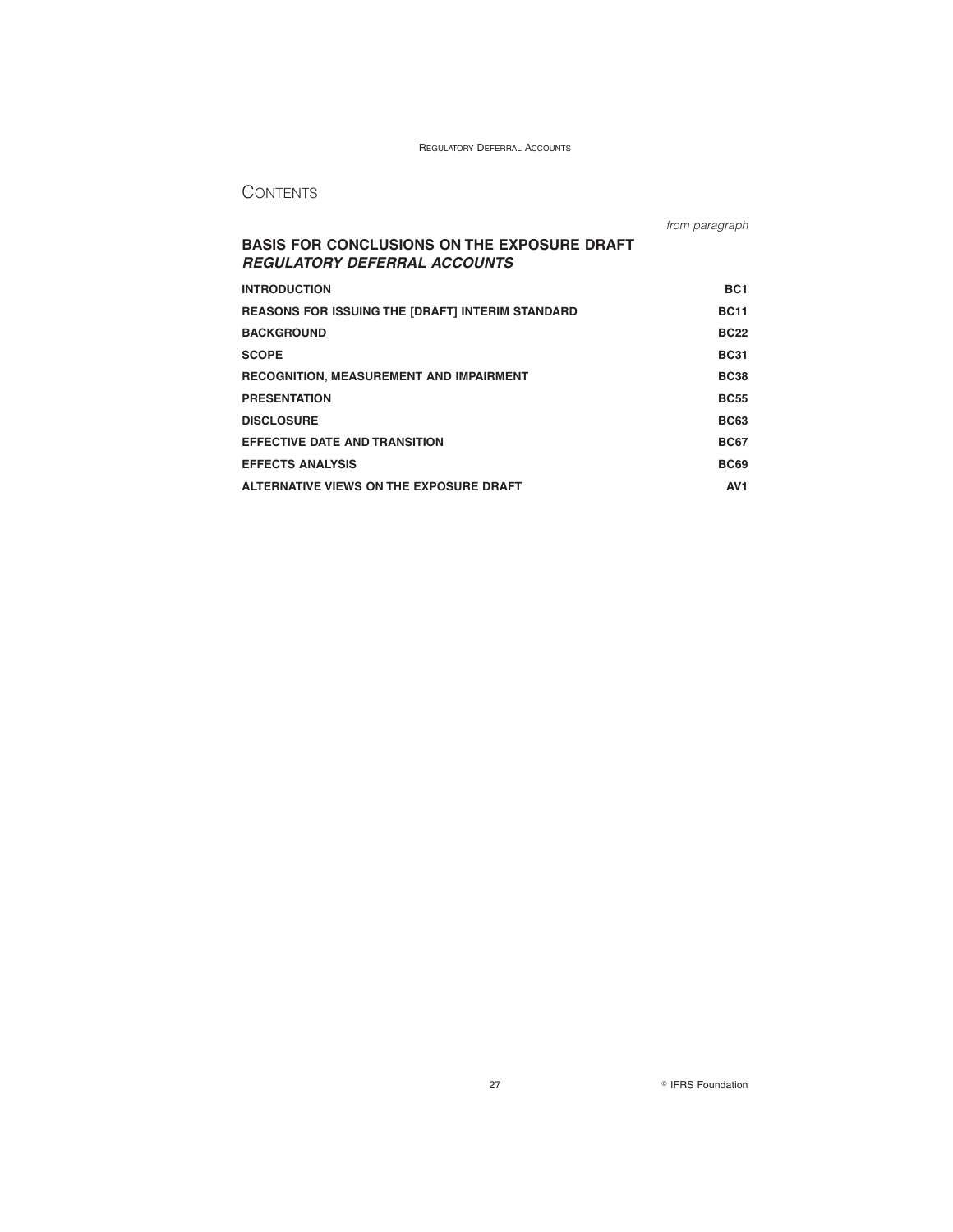### **CONTENTS**

|                                                                                           | from paragraph  |
|-------------------------------------------------------------------------------------------|-----------------|
| <b>BASIS FOR CONCLUSIONS ON THE EXPOSURE DRAFT</b><br><b>REGULATORY DEFERRAL ACCOUNTS</b> |                 |
| <b>INTRODUCTION</b>                                                                       | BC <sub>1</sub> |
| <b>REASONS FOR ISSUING THE [DRAFT] INTERIM STANDARD</b>                                   | <b>BC11</b>     |
| <b>BACKGROUND</b>                                                                         | <b>BC22</b>     |
| <b>SCOPE</b>                                                                              | <b>BC31</b>     |
| <b>RECOGNITION, MEASUREMENT AND IMPAIRMENT</b>                                            | <b>BC38</b>     |
| <b>PRESENTATION</b>                                                                       | <b>BC55</b>     |
| <b>DISCLOSURE</b>                                                                         | <b>BC63</b>     |
| <b>EFFECTIVE DATE AND TRANSITION</b>                                                      | <b>BC67</b>     |
| <b>EFFECTS ANALYSIS</b>                                                                   | <b>BC69</b>     |
| ALTERNATIVE VIEWS ON THE EXPOSURE DRAFT                                                   | AV <sub>1</sub> |

27 **CONSIDERS** Foundation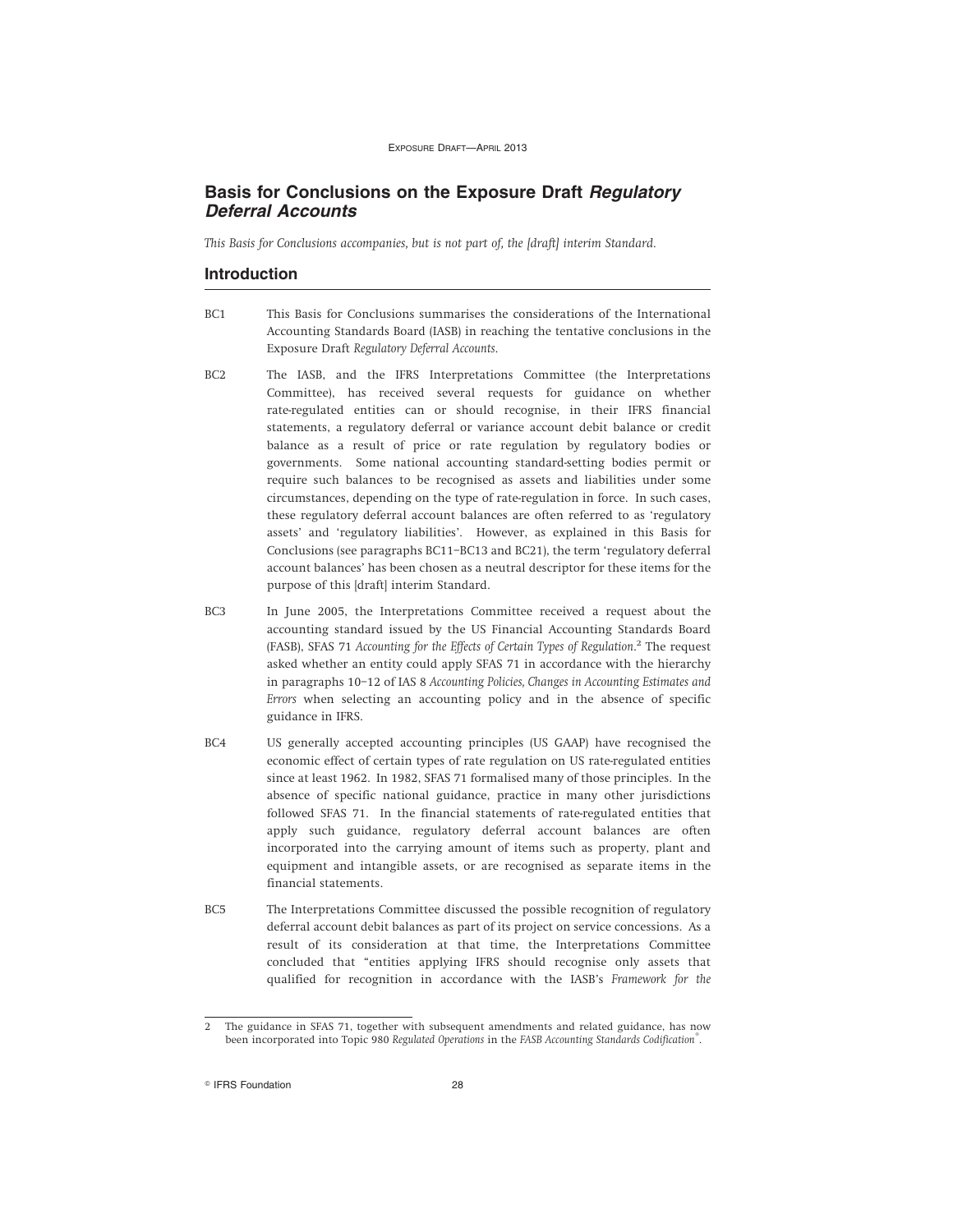### **Basis for Conclusions on the Exposure Draft Regulatory Deferral Accounts**

*This Basis for Conclusions accompanies, but is not part of, the [draft] interim Standard.*

### **Introduction**

- BC1 This Basis for Conclusions summarises the considerations of the International Accounting Standards Board (IASB) in reaching the tentative conclusions in the Exposure Draft *Regulatory Deferral Accounts*.
- BC2 The IASB, and the IFRS Interpretations Committee (the Interpretations Committee), has received several requests for guidance on whether rate-regulated entities can or should recognise, in their IFRS financial statements, a regulatory deferral or variance account debit balance or credit balance as a result of price or rate regulation by regulatory bodies or governments. Some national accounting standard-setting bodies permit or require such balances to be recognised as assets and liabilities under some circumstances, depending on the type of rate-regulation in force. In such cases, these regulatory deferral account balances are often referred to as 'regulatory assets' and 'regulatory liabilities'. However, as explained in this Basis for Conclusions (see paragraphs BC11–BC13 and BC21), the term 'regulatory deferral account balances' has been chosen as a neutral descriptor for these items for the purpose of this [draft] interim Standard.
- BC3 In June 2005, the Interpretations Committee received a request about the accounting standard issued by the US Financial Accounting Standards Board (FASB), SFAS 71 *Accounting for the Effects of Certain Types of Regulation*. 2 The request asked whether an entity could apply SFAS 71 in accordance with the hierarchy in paragraphs 10–12 of IAS 8 *Accounting Policies, Changes in Accounting Estimates and Errors* when selecting an accounting policy and in the absence of specific guidance in IFRS.
- BC4 US generally accepted accounting principles (US GAAP) have recognised the economic effect of certain types of rate regulation on US rate-regulated entities since at least 1962. In 1982, SFAS 71 formalised many of those principles. In the absence of specific national guidance, practice in many other jurisdictions followed SFAS 71. In the financial statements of rate-regulated entities that apply such guidance, regulatory deferral account balances are often incorporated into the carrying amount of items such as property, plant and equipment and intangible assets, or are recognised as separate items in the financial statements.
- BC5 The Interpretations Committee discussed the possible recognition of regulatory deferral account debit balances as part of its project on service concessions. As a result of its consideration at that time, the Interpretations Committee concluded that "entities applying IFRS should recognise only assets that qualified for recognition in accordance with the IASB's *Framework for the*

<sup>2</sup> The guidance in SFAS 71, together with subsequent amendments and related guidance, has now been incorporated into Topic 980 *Regulated Operations* in the *FASB Accounting Standards Codification®* .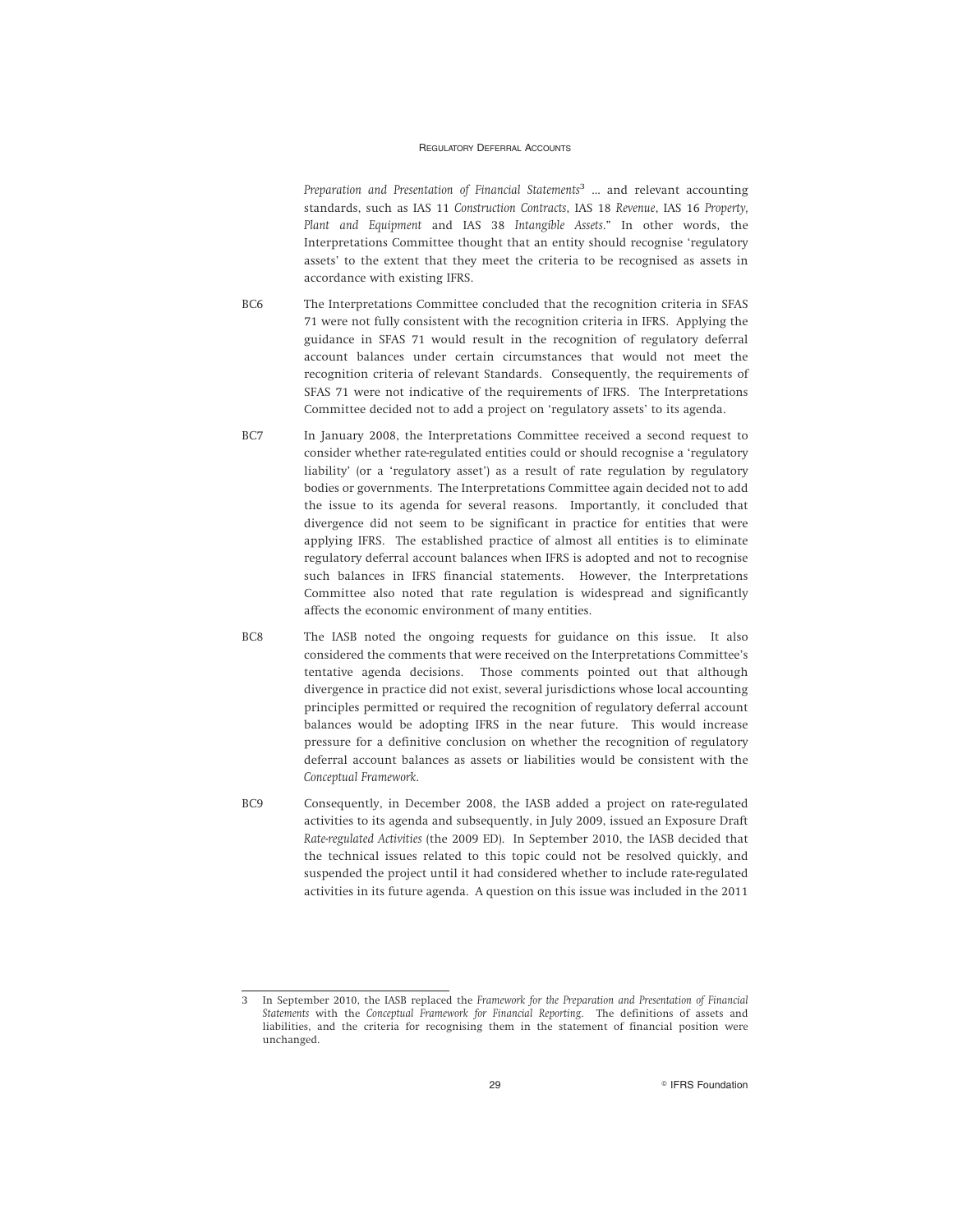*Preparation and Presentation of Financial Statements*<sup>3</sup> … and relevant accounting standards, such as IAS 11 *Construction Contracts*, IAS 18 *Revenue*, IAS 16 *Property, Plant and Equipment* and IAS 38 *Intangible Assets*." In other words, the Interpretations Committee thought that an entity should recognise 'regulatory assets' to the extent that they meet the criteria to be recognised as assets in accordance with existing IFRS.

- BC6 The Interpretations Committee concluded that the recognition criteria in SFAS 71 were not fully consistent with the recognition criteria in IFRS. Applying the guidance in SFAS 71 would result in the recognition of regulatory deferral account balances under certain circumstances that would not meet the recognition criteria of relevant Standards. Consequently, the requirements of SFAS 71 were not indicative of the requirements of IFRS. The Interpretations Committee decided not to add a project on 'regulatory assets' to its agenda.
- BC7 In January 2008, the Interpretations Committee received a second request to consider whether rate-regulated entities could or should recognise a 'regulatory liability' (or a 'regulatory asset') as a result of rate regulation by regulatory bodies or governments. The Interpretations Committee again decided not to add the issue to its agenda for several reasons. Importantly, it concluded that divergence did not seem to be significant in practice for entities that were applying IFRS. The established practice of almost all entities is to eliminate regulatory deferral account balances when IFRS is adopted and not to recognise such balances in IFRS financial statements. However, the Interpretations Committee also noted that rate regulation is widespread and significantly affects the economic environment of many entities.
- BC8 The IASB noted the ongoing requests for guidance on this issue. It also considered the comments that were received on the Interpretations Committee's tentative agenda decisions. Those comments pointed out that although divergence in practice did not exist, several jurisdictions whose local accounting principles permitted or required the recognition of regulatory deferral account balances would be adopting IFRS in the near future. This would increase pressure for a definitive conclusion on whether the recognition of regulatory deferral account balances as assets or liabilities would be consistent with the *Conceptual Framework*.
- BC9 Consequently, in December 2008, the IASB added a project on rate-regulated activities to its agenda and subsequently, in July 2009, issued an Exposure Draft *Rate-regulated Activities* (the 2009 ED). In September 2010, the IASB decided that the technical issues related to this topic could not be resolved quickly, and suspended the project until it had considered whether to include rate-regulated activities in its future agenda. A question on this issue was included in the 2011

<sup>3</sup> In September 2010, the IASB replaced the *Framework for the Preparation and Presentation of Financial Statements* with the *Conceptual Framework for Financial Reporting*. The definitions of assets and liabilities, and the criteria for recognising them in the statement of financial position were unchanged.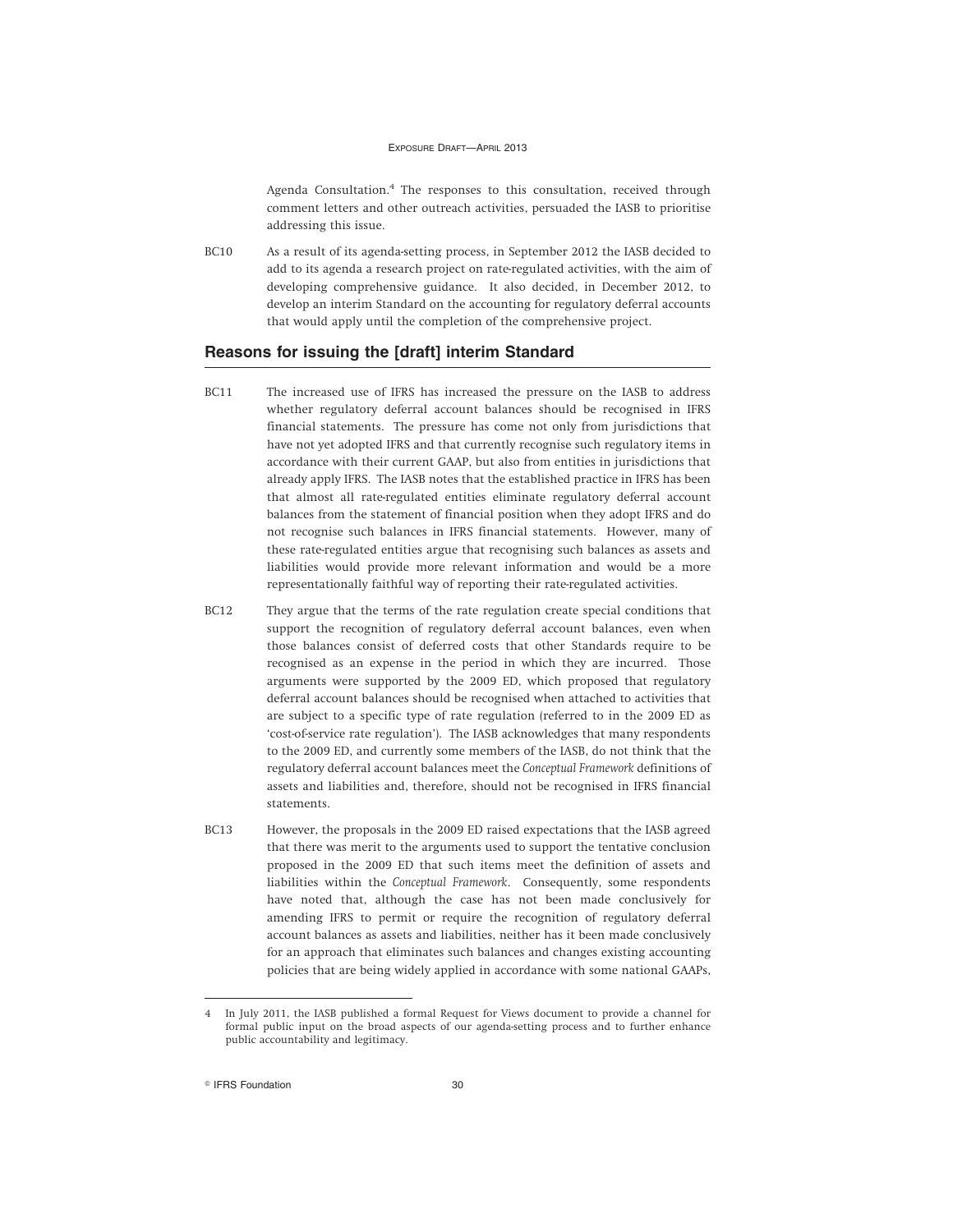Agenda Consultation.<sup>4</sup> The responses to this consultation, received through comment letters and other outreach activities, persuaded the IASB to prioritise addressing this issue.

BC10 As a result of its agenda-setting process, in September 2012 the IASB decided to add to its agenda a research project on rate-regulated activities, with the aim of developing comprehensive guidance. It also decided, in December 2012, to develop an interim Standard on the accounting for regulatory deferral accounts that would apply until the completion of the comprehensive project.

### **Reasons for issuing the [draft] interim Standard**

- BC11 The increased use of IFRS has increased the pressure on the IASB to address whether regulatory deferral account balances should be recognised in IFRS financial statements. The pressure has come not only from jurisdictions that have not yet adopted IFRS and that currently recognise such regulatory items in accordance with their current GAAP, but also from entities in jurisdictions that already apply IFRS. The IASB notes that the established practice in IFRS has been that almost all rate-regulated entities eliminate regulatory deferral account balances from the statement of financial position when they adopt IFRS and do not recognise such balances in IFRS financial statements. However, many of these rate-regulated entities argue that recognising such balances as assets and liabilities would provide more relevant information and would be a more representationally faithful way of reporting their rate-regulated activities.
- BC12 They argue that the terms of the rate regulation create special conditions that support the recognition of regulatory deferral account balances, even when those balances consist of deferred costs that other Standards require to be recognised as an expense in the period in which they are incurred. Those arguments were supported by the 2009 ED, which proposed that regulatory deferral account balances should be recognised when attached to activities that are subject to a specific type of rate regulation (referred to in the 2009 ED as 'cost-of-service rate regulation'). The IASB acknowledges that many respondents to the 2009 ED, and currently some members of the IASB, do not think that the regulatory deferral account balances meet the *Conceptual Framework* definitions of assets and liabilities and, therefore, should not be recognised in IFRS financial statements.
- BC13 However, the proposals in the 2009 ED raised expectations that the IASB agreed that there was merit to the arguments used to support the tentative conclusion proposed in the 2009 ED that such items meet the definition of assets and liabilities within the *Conceptual Framework*. Consequently, some respondents have noted that, although the case has not been made conclusively for amending IFRS to permit or require the recognition of regulatory deferral account balances as assets and liabilities, neither has it been made conclusively for an approach that eliminates such balances and changes existing accounting policies that are being widely applied in accordance with some national GAAPs,

<sup>4</sup> In July 2011, the IASB published a formal Request for Views document to provide a channel for formal public input on the broad aspects of our agenda-setting process and to further enhance public accountability and legitimacy.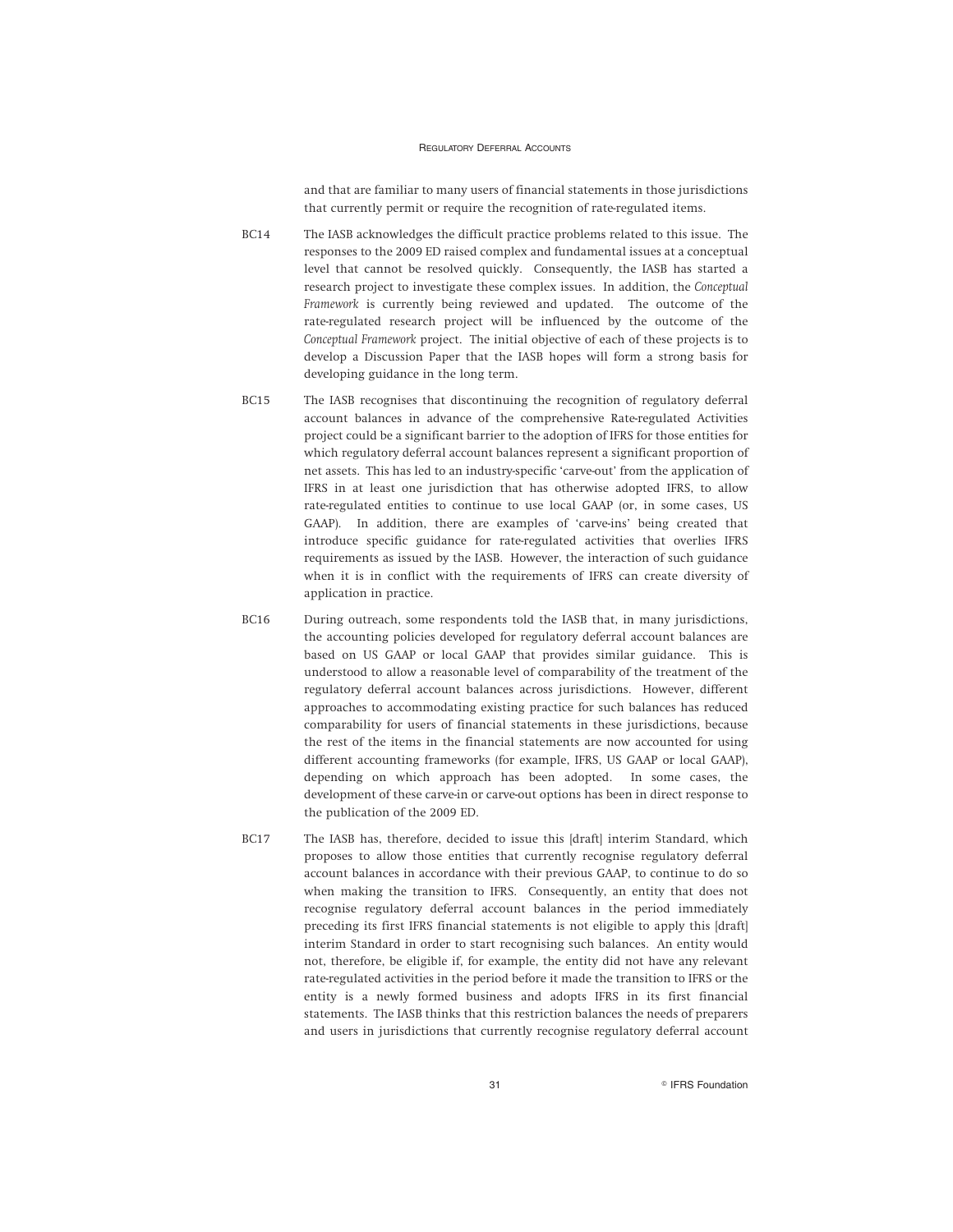and that are familiar to many users of financial statements in those jurisdictions that currently permit or require the recognition of rate-regulated items.

- BC14 The IASB acknowledges the difficult practice problems related to this issue. The responses to the 2009 ED raised complex and fundamental issues at a conceptual level that cannot be resolved quickly. Consequently, the IASB has started a research project to investigate these complex issues. In addition, the *Conceptual Framework* is currently being reviewed and updated. The outcome of the rate-regulated research project will be influenced by the outcome of the *Conceptual Framework* project. The initial objective of each of these projects is to develop a Discussion Paper that the IASB hopes will form a strong basis for developing guidance in the long term.
- BC15 The IASB recognises that discontinuing the recognition of regulatory deferral account balances in advance of the comprehensive Rate-regulated Activities project could be a significant barrier to the adoption of IFRS for those entities for which regulatory deferral account balances represent a significant proportion of net assets. This has led to an industry-specific 'carve-out' from the application of IFRS in at least one jurisdiction that has otherwise adopted IFRS, to allow rate-regulated entities to continue to use local GAAP (or, in some cases, US GAAP). In addition, there are examples of 'carve-ins' being created that introduce specific guidance for rate-regulated activities that overlies IFRS requirements as issued by the IASB. However, the interaction of such guidance when it is in conflict with the requirements of IFRS can create diversity of application in practice.
- BC16 During outreach, some respondents told the IASB that, in many jurisdictions, the accounting policies developed for regulatory deferral account balances are based on US GAAP or local GAAP that provides similar guidance. This is understood to allow a reasonable level of comparability of the treatment of the regulatory deferral account balances across jurisdictions. However, different approaches to accommodating existing practice for such balances has reduced comparability for users of financial statements in these jurisdictions, because the rest of the items in the financial statements are now accounted for using different accounting frameworks (for example, IFRS, US GAAP or local GAAP), depending on which approach has been adopted. In some cases, the development of these carve-in or carve-out options has been in direct response to the publication of the 2009 ED.
- BC17 The IASB has, therefore, decided to issue this [draft] interim Standard, which proposes to allow those entities that currently recognise regulatory deferral account balances in accordance with their previous GAAP, to continue to do so when making the transition to IFRS. Consequently, an entity that does not recognise regulatory deferral account balances in the period immediately preceding its first IFRS financial statements is not eligible to apply this [draft] interim Standard in order to start recognising such balances. An entity would not, therefore, be eligible if, for example, the entity did not have any relevant rate-regulated activities in the period before it made the transition to IFRS or the entity is a newly formed business and adopts IFRS in its first financial statements. The IASB thinks that this restriction balances the needs of preparers and users in jurisdictions that currently recognise regulatory deferral account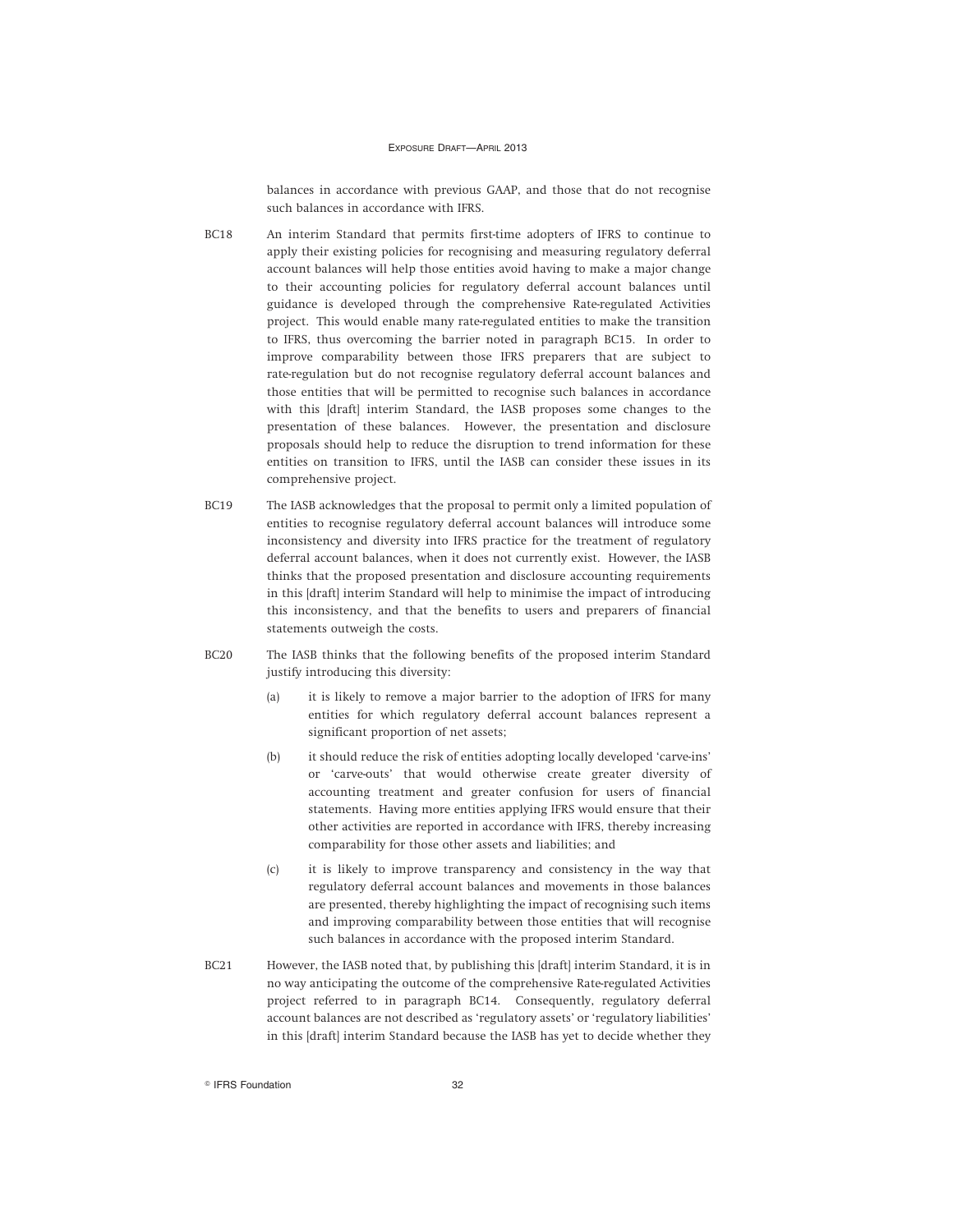balances in accordance with previous GAAP, and those that do not recognise such balances in accordance with IFRS.

- BC18 An interim Standard that permits first-time adopters of IFRS to continue to apply their existing policies for recognising and measuring regulatory deferral account balances will help those entities avoid having to make a major change to their accounting policies for regulatory deferral account balances until guidance is developed through the comprehensive Rate-regulated Activities project. This would enable many rate-regulated entities to make the transition to IFRS, thus overcoming the barrier noted in paragraph BC15. In order to improve comparability between those IFRS preparers that are subject to rate-regulation but do not recognise regulatory deferral account balances and those entities that will be permitted to recognise such balances in accordance with this [draft] interim Standard, the IASB proposes some changes to the presentation of these balances. However, the presentation and disclosure proposals should help to reduce the disruption to trend information for these entities on transition to IFRS, until the IASB can consider these issues in its comprehensive project.
- BC19 The IASB acknowledges that the proposal to permit only a limited population of entities to recognise regulatory deferral account balances will introduce some inconsistency and diversity into IFRS practice for the treatment of regulatory deferral account balances, when it does not currently exist. However, the IASB thinks that the proposed presentation and disclosure accounting requirements in this [draft] interim Standard will help to minimise the impact of introducing this inconsistency, and that the benefits to users and preparers of financial statements outweigh the costs.
- BC20 The IASB thinks that the following benefits of the proposed interim Standard justify introducing this diversity:
	- (a) it is likely to remove a major barrier to the adoption of IFRS for many entities for which regulatory deferral account balances represent a significant proportion of net assets;
	- (b) it should reduce the risk of entities adopting locally developed 'carve-ins' or 'carve-outs' that would otherwise create greater diversity of accounting treatment and greater confusion for users of financial statements. Having more entities applying IFRS would ensure that their other activities are reported in accordance with IFRS, thereby increasing comparability for those other assets and liabilities; and
	- (c) it is likely to improve transparency and consistency in the way that regulatory deferral account balances and movements in those balances are presented, thereby highlighting the impact of recognising such items and improving comparability between those entities that will recognise such balances in accordance with the proposed interim Standard.
- BC21 However, the IASB noted that, by publishing this [draft] interim Standard, it is in no way anticipating the outcome of the comprehensive Rate-regulated Activities project referred to in paragraph BC14. Consequently, regulatory deferral account balances are not described as 'regulatory assets' or 'regulatory liabilities' in this [draft] interim Standard because the IASB has yet to decide whether they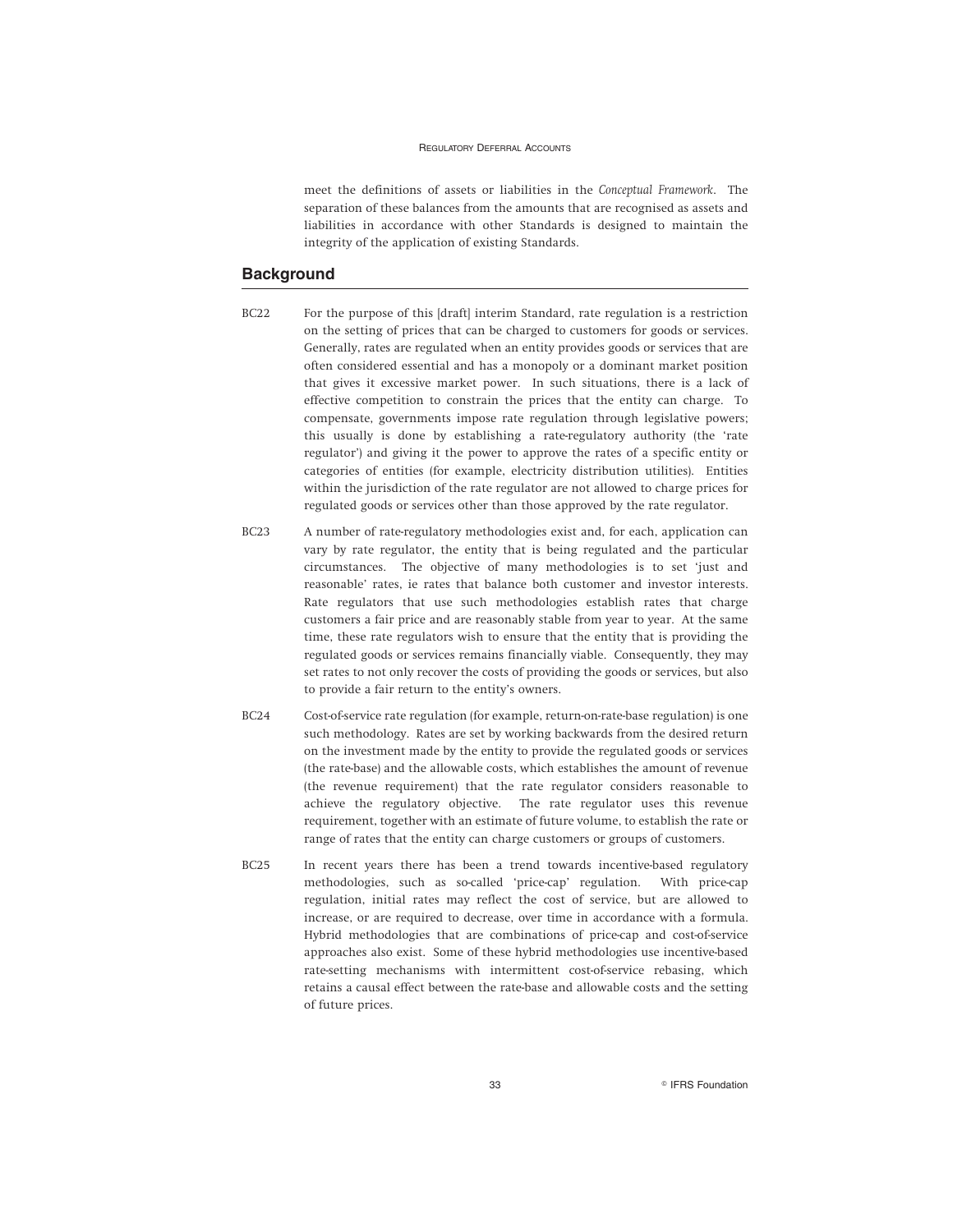meet the definitions of assets or liabilities in the *Conceptual Framework*. The separation of these balances from the amounts that are recognised as assets and liabilities in accordance with other Standards is designed to maintain the integrity of the application of existing Standards.

### **Background**

- BC22 For the purpose of this [draft] interim Standard, rate regulation is a restriction on the setting of prices that can be charged to customers for goods or services. Generally, rates are regulated when an entity provides goods or services that are often considered essential and has a monopoly or a dominant market position that gives it excessive market power. In such situations, there is a lack of effective competition to constrain the prices that the entity can charge. To compensate, governments impose rate regulation through legislative powers; this usually is done by establishing a rate-regulatory authority (the 'rate regulator') and giving it the power to approve the rates of a specific entity or categories of entities (for example, electricity distribution utilities). Entities within the jurisdiction of the rate regulator are not allowed to charge prices for regulated goods or services other than those approved by the rate regulator.
- BC23 A number of rate-regulatory methodologies exist and, for each, application can vary by rate regulator, the entity that is being regulated and the particular circumstances. The objective of many methodologies is to set 'just and reasonable' rates, ie rates that balance both customer and investor interests. Rate regulators that use such methodologies establish rates that charge customers a fair price and are reasonably stable from year to year. At the same time, these rate regulators wish to ensure that the entity that is providing the regulated goods or services remains financially viable. Consequently, they may set rates to not only recover the costs of providing the goods or services, but also to provide a fair return to the entity's owners.
- BC24 Cost-of-service rate regulation (for example, return-on-rate-base regulation) is one such methodology. Rates are set by working backwards from the desired return on the investment made by the entity to provide the regulated goods or services (the rate-base) and the allowable costs, which establishes the amount of revenue (the revenue requirement) that the rate regulator considers reasonable to achieve the regulatory objective. The rate regulator uses this revenue requirement, together with an estimate of future volume, to establish the rate or range of rates that the entity can charge customers or groups of customers.
- BC25 In recent years there has been a trend towards incentive-based regulatory methodologies, such as so-called 'price-cap' regulation. With price-cap regulation, initial rates may reflect the cost of service, but are allowed to increase, or are required to decrease, over time in accordance with a formula. Hybrid methodologies that are combinations of price-cap and cost-of-service approaches also exist. Some of these hybrid methodologies use incentive-based rate-setting mechanisms with intermittent cost-of-service rebasing, which retains a causal effect between the rate-base and allowable costs and the setting of future prices.

33 **B IFRS Foundation**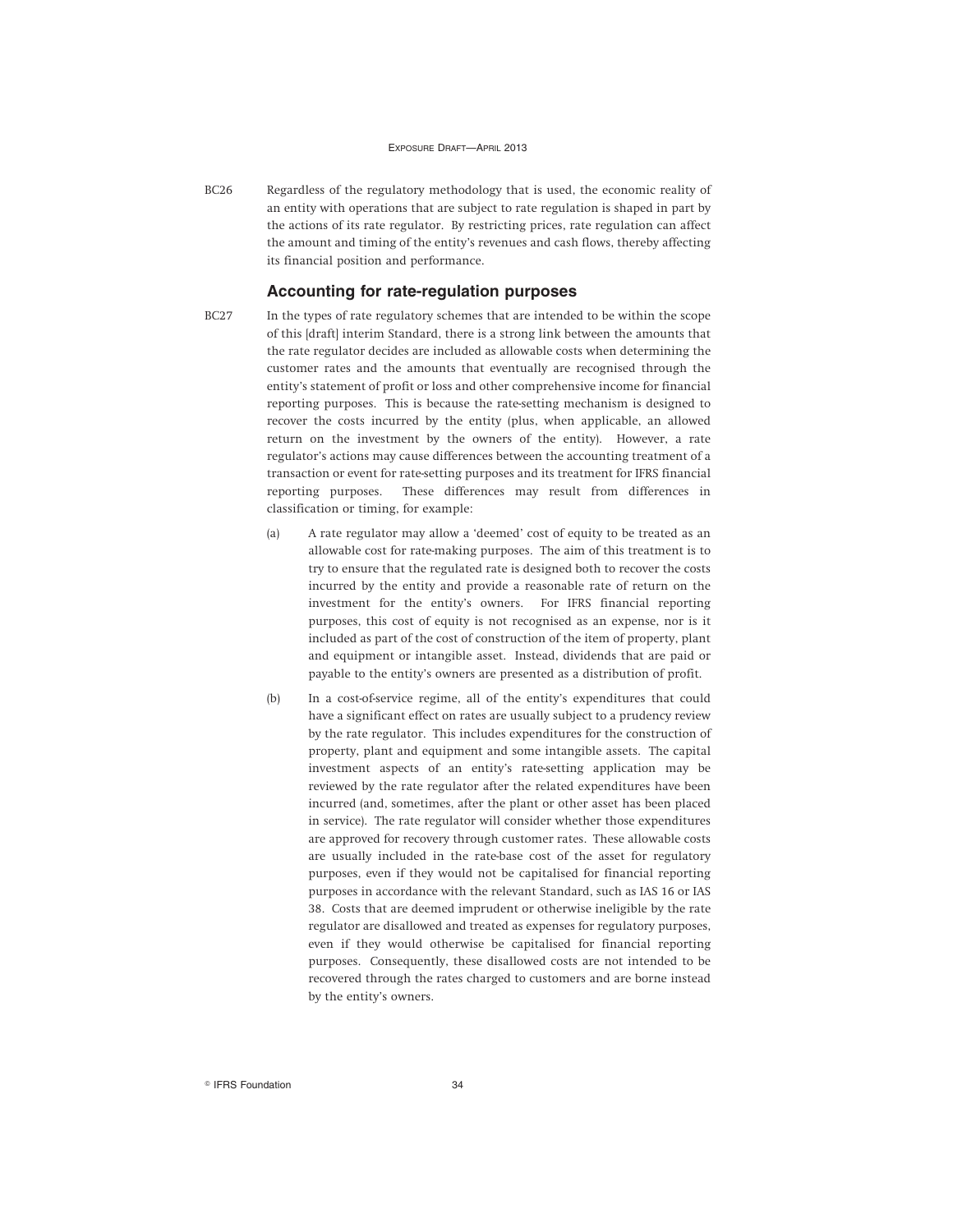BC26 Regardless of the regulatory methodology that is used, the economic reality of an entity with operations that are subject to rate regulation is shaped in part by the actions of its rate regulator. By restricting prices, rate regulation can affect the amount and timing of the entity's revenues and cash flows, thereby affecting its financial position and performance.

### **Accounting for rate-regulation purposes**

- BC27 In the types of rate regulatory schemes that are intended to be within the scope of this [draft] interim Standard, there is a strong link between the amounts that the rate regulator decides are included as allowable costs when determining the customer rates and the amounts that eventually are recognised through the entity's statement of profit or loss and other comprehensive income for financial reporting purposes. This is because the rate-setting mechanism is designed to recover the costs incurred by the entity (plus, when applicable, an allowed return on the investment by the owners of the entity). However, a rate regulator's actions may cause differences between the accounting treatment of a transaction or event for rate-setting purposes and its treatment for IFRS financial reporting purposes. These differences may result from differences in classification or timing, for example:
	- (a) A rate regulator may allow a 'deemed' cost of equity to be treated as an allowable cost for rate-making purposes. The aim of this treatment is to try to ensure that the regulated rate is designed both to recover the costs incurred by the entity and provide a reasonable rate of return on the investment for the entity's owners. For IFRS financial reporting purposes, this cost of equity is not recognised as an expense, nor is it included as part of the cost of construction of the item of property, plant and equipment or intangible asset. Instead, dividends that are paid or payable to the entity's owners are presented as a distribution of profit.
	- (b) In a cost-of-service regime, all of the entity's expenditures that could have a significant effect on rates are usually subject to a prudency review by the rate regulator. This includes expenditures for the construction of property, plant and equipment and some intangible assets. The capital investment aspects of an entity's rate-setting application may be reviewed by the rate regulator after the related expenditures have been incurred (and, sometimes, after the plant or other asset has been placed in service). The rate regulator will consider whether those expenditures are approved for recovery through customer rates. These allowable costs are usually included in the rate-base cost of the asset for regulatory purposes, even if they would not be capitalised for financial reporting purposes in accordance with the relevant Standard, such as IAS 16 or IAS 38. Costs that are deemed imprudent or otherwise ineligible by the rate regulator are disallowed and treated as expenses for regulatory purposes, even if they would otherwise be capitalised for financial reporting purposes. Consequently, these disallowed costs are not intended to be recovered through the rates charged to customers and are borne instead by the entity's owners.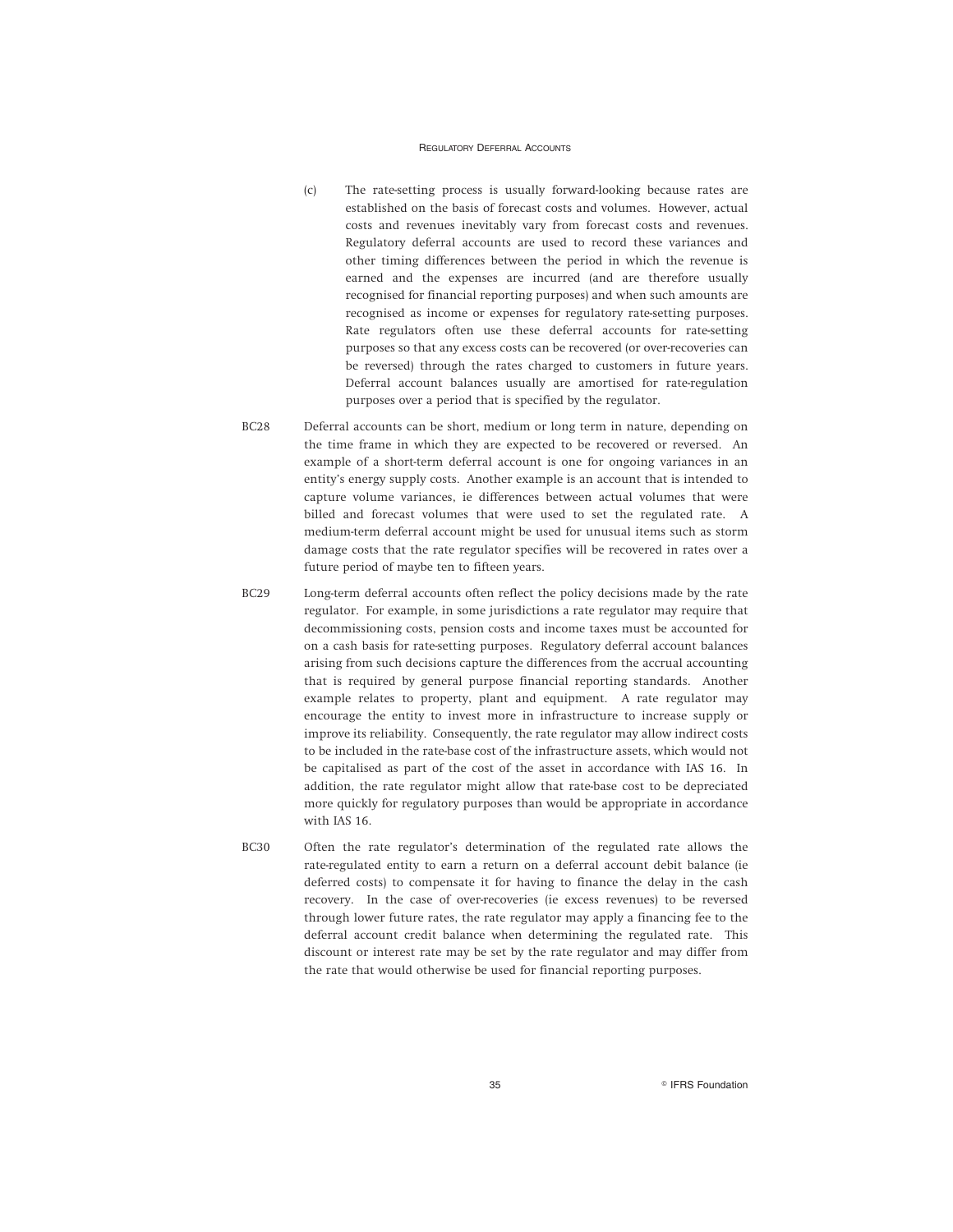- (c) The rate-setting process is usually forward-looking because rates are established on the basis of forecast costs and volumes. However, actual costs and revenues inevitably vary from forecast costs and revenues. Regulatory deferral accounts are used to record these variances and other timing differences between the period in which the revenue is earned and the expenses are incurred (and are therefore usually recognised for financial reporting purposes) and when such amounts are recognised as income or expenses for regulatory rate-setting purposes. Rate regulators often use these deferral accounts for rate-setting purposes so that any excess costs can be recovered (or over-recoveries can be reversed) through the rates charged to customers in future years. Deferral account balances usually are amortised for rate-regulation purposes over a period that is specified by the regulator.
- BC28 Deferral accounts can be short, medium or long term in nature, depending on the time frame in which they are expected to be recovered or reversed. An example of a short-term deferral account is one for ongoing variances in an entity's energy supply costs. Another example is an account that is intended to capture volume variances, ie differences between actual volumes that were billed and forecast volumes that were used to set the regulated rate. A medium-term deferral account might be used for unusual items such as storm damage costs that the rate regulator specifies will be recovered in rates over a future period of maybe ten to fifteen years.
- BC29 Long-term deferral accounts often reflect the policy decisions made by the rate regulator. For example, in some jurisdictions a rate regulator may require that decommissioning costs, pension costs and income taxes must be accounted for on a cash basis for rate-setting purposes. Regulatory deferral account balances arising from such decisions capture the differences from the accrual accounting that is required by general purpose financial reporting standards. Another example relates to property, plant and equipment. A rate regulator may encourage the entity to invest more in infrastructure to increase supply or improve its reliability. Consequently, the rate regulator may allow indirect costs to be included in the rate-base cost of the infrastructure assets, which would not be capitalised as part of the cost of the asset in accordance with IAS 16. In addition, the rate regulator might allow that rate-base cost to be depreciated more quickly for regulatory purposes than would be appropriate in accordance with IAS 16.
- BC30 Often the rate regulator's determination of the regulated rate allows the rate-regulated entity to earn a return on a deferral account debit balance (ie deferred costs) to compensate it for having to finance the delay in the cash recovery. In the case of over-recoveries (ie excess revenues) to be reversed through lower future rates, the rate regulator may apply a financing fee to the deferral account credit balance when determining the regulated rate. This discount or interest rate may be set by the rate regulator and may differ from the rate that would otherwise be used for financial reporting purposes.

35 **B IFRS Foundation**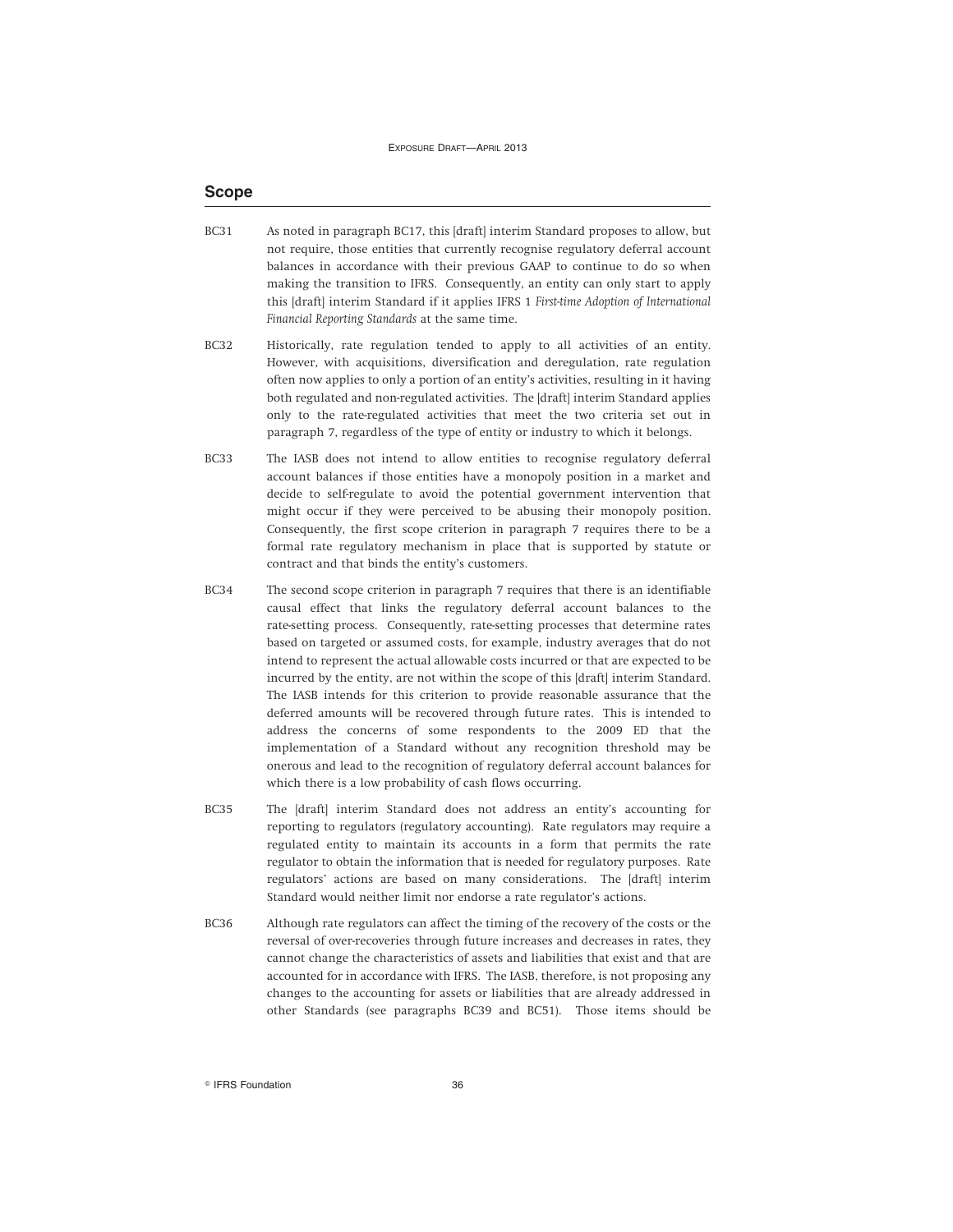### **Scope**

- BC31 As noted in paragraph BC17, this [draft] interim Standard proposes to allow, but not require, those entities that currently recognise regulatory deferral account balances in accordance with their previous GAAP to continue to do so when making the transition to IFRS. Consequently, an entity can only start to apply this [draft] interim Standard if it applies IFRS 1 *First-time Adoption of International Financial Reporting Standards* at the same time.
- BC32 Historically, rate regulation tended to apply to all activities of an entity. However, with acquisitions, diversification and deregulation, rate regulation often now applies to only a portion of an entity's activities, resulting in it having both regulated and non-regulated activities. The [draft] interim Standard applies only to the rate-regulated activities that meet the two criteria set out in paragraph 7, regardless of the type of entity or industry to which it belongs.
- BC33 The IASB does not intend to allow entities to recognise regulatory deferral account balances if those entities have a monopoly position in a market and decide to self-regulate to avoid the potential government intervention that might occur if they were perceived to be abusing their monopoly position. Consequently, the first scope criterion in paragraph 7 requires there to be a formal rate regulatory mechanism in place that is supported by statute or contract and that binds the entity's customers.
- BC34 The second scope criterion in paragraph 7 requires that there is an identifiable causal effect that links the regulatory deferral account balances to the rate-setting process. Consequently, rate-setting processes that determine rates based on targeted or assumed costs, for example, industry averages that do not intend to represent the actual allowable costs incurred or that are expected to be incurred by the entity, are not within the scope of this [draft] interim Standard. The IASB intends for this criterion to provide reasonable assurance that the deferred amounts will be recovered through future rates. This is intended to address the concerns of some respondents to the 2009 ED that the implementation of a Standard without any recognition threshold may be onerous and lead to the recognition of regulatory deferral account balances for which there is a low probability of cash flows occurring.
- BC35 The [draft] interim Standard does not address an entity's accounting for reporting to regulators (regulatory accounting). Rate regulators may require a regulated entity to maintain its accounts in a form that permits the rate regulator to obtain the information that is needed for regulatory purposes. Rate regulators' actions are based on many considerations. The [draft] interim Standard would neither limit nor endorse a rate regulator's actions.
- BC36 Although rate regulators can affect the timing of the recovery of the costs or the reversal of over-recoveries through future increases and decreases in rates, they cannot change the characteristics of assets and liabilities that exist and that are accounted for in accordance with IFRS. The IASB, therefore, is not proposing any changes to the accounting for assets or liabilities that are already addressed in other Standards (see paragraphs BC39 and BC51). Those items should be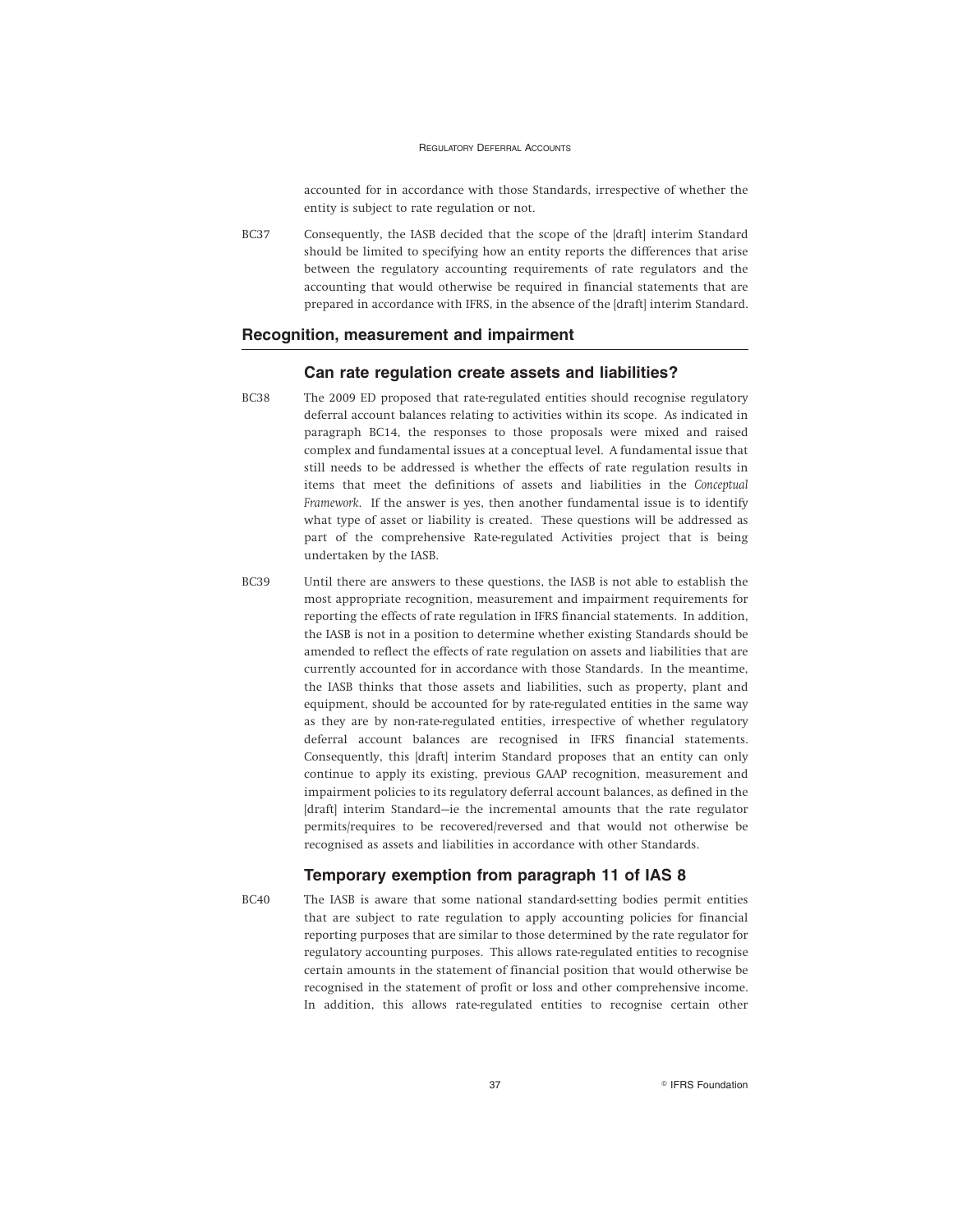accounted for in accordance with those Standards, irrespective of whether the entity is subject to rate regulation or not.

BC37 Consequently, the IASB decided that the scope of the [draft] interim Standard should be limited to specifying how an entity reports the differences that arise between the regulatory accounting requirements of rate regulators and the accounting that would otherwise be required in financial statements that are prepared in accordance with IFRS, in the absence of the [draft] interim Standard.

### **Recognition, measurement and impairment**

#### **Can rate regulation create assets and liabilities?**

- BC38 The 2009 ED proposed that rate-regulated entities should recognise regulatory deferral account balances relating to activities within its scope. As indicated in paragraph BC14, the responses to those proposals were mixed and raised complex and fundamental issues at a conceptual level. A fundamental issue that still needs to be addressed is whether the effects of rate regulation results in items that meet the definitions of assets and liabilities in the *Conceptual Framework*. If the answer is yes, then another fundamental issue is to identify what type of asset or liability is created. These questions will be addressed as part of the comprehensive Rate-regulated Activities project that is being undertaken by the IASB.
- BC39 Until there are answers to these questions, the IASB is not able to establish the most appropriate recognition, measurement and impairment requirements for reporting the effects of rate regulation in IFRS financial statements. In addition, the IASB is not in a position to determine whether existing Standards should be amended to reflect the effects of rate regulation on assets and liabilities that are currently accounted for in accordance with those Standards. In the meantime, the IASB thinks that those assets and liabilities, such as property, plant and equipment, should be accounted for by rate-regulated entities in the same way as they are by non-rate-regulated entities, irrespective of whether regulatory deferral account balances are recognised in IFRS financial statements. Consequently, this [draft] interim Standard proposes that an entity can only continue to apply its existing, previous GAAP recognition, measurement and impairment policies to its regulatory deferral account balances, as defined in the [draft] interim Standard-ie the incremental amounts that the rate regulator permits/requires to be recovered/reversed and that would not otherwise be recognised as assets and liabilities in accordance with other Standards.

### **Temporary exemption from paragraph 11 of IAS 8**

BC40 The IASB is aware that some national standard-setting bodies permit entities that are subject to rate regulation to apply accounting policies for financial reporting purposes that are similar to those determined by the rate regulator for regulatory accounting purposes. This allows rate-regulated entities to recognise certain amounts in the statement of financial position that would otherwise be recognised in the statement of profit or loss and other comprehensive income. In addition, this allows rate-regulated entities to recognise certain other

37 **Research Street Section** PIFRS Foundation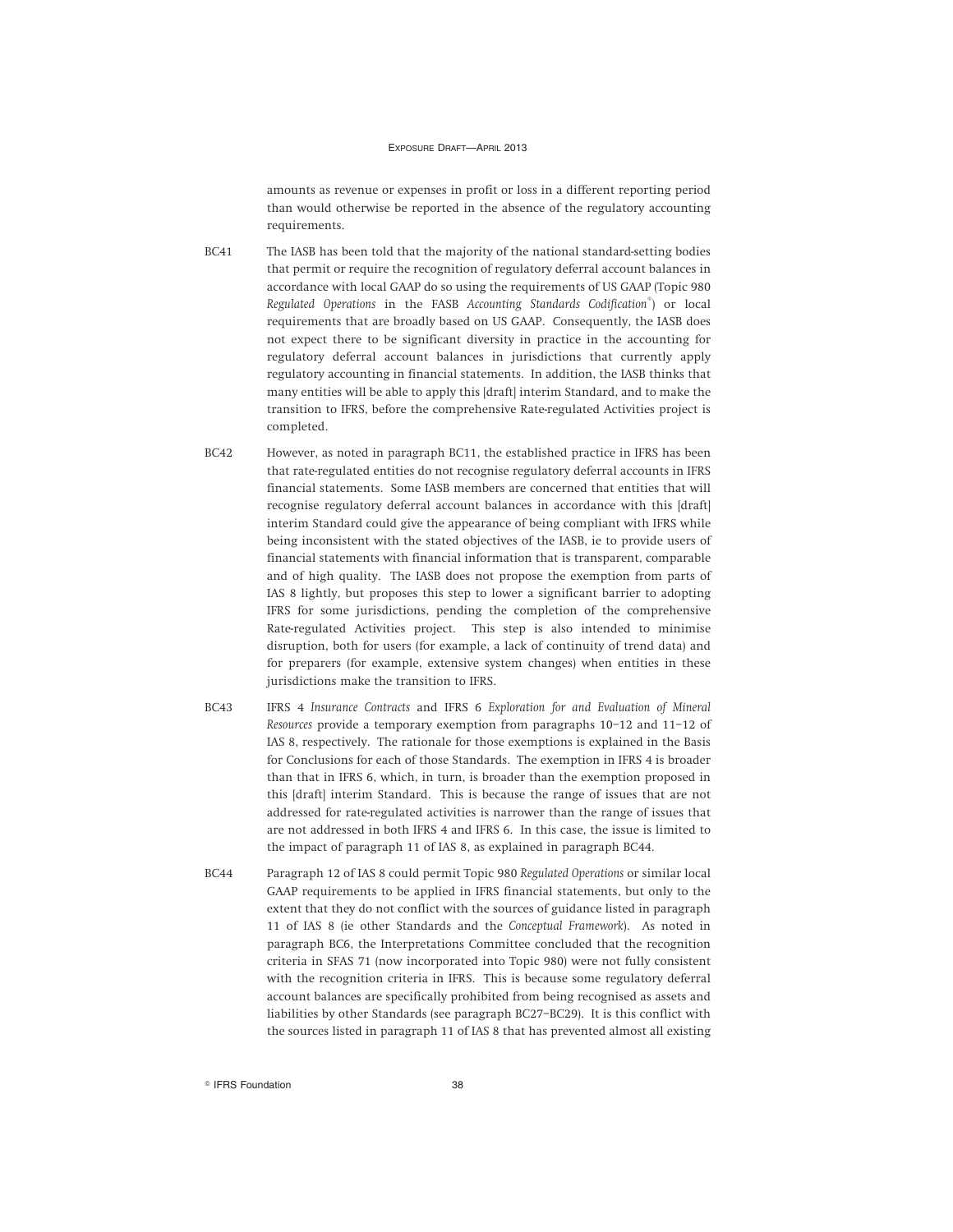amounts as revenue or expenses in profit or loss in a different reporting period than would otherwise be reported in the absence of the regulatory accounting requirements.

- BC41 The IASB has been told that the majority of the national standard-setting bodies that permit or require the recognition of regulatory deferral account balances in accordance with local GAAP do so using the requirements of US GAAP (Topic 980 *Regulated Operations* in the FASB *Accounting Standards Codification*® ) or local requirements that are broadly based on US GAAP. Consequently, the IASB does not expect there to be significant diversity in practice in the accounting for regulatory deferral account balances in jurisdictions that currently apply regulatory accounting in financial statements. In addition, the IASB thinks that many entities will be able to apply this [draft] interim Standard, and to make the transition to IFRS, before the comprehensive Rate-regulated Activities project is completed.
- BC42 However, as noted in paragraph BC11, the established practice in IFRS has been that rate-regulated entities do not recognise regulatory deferral accounts in IFRS financial statements. Some IASB members are concerned that entities that will recognise regulatory deferral account balances in accordance with this [draft] interim Standard could give the appearance of being compliant with IFRS while being inconsistent with the stated objectives of the IASB, ie to provide users of financial statements with financial information that is transparent, comparable and of high quality. The IASB does not propose the exemption from parts of IAS 8 lightly, but proposes this step to lower a significant barrier to adopting IFRS for some jurisdictions, pending the completion of the comprehensive Rate-regulated Activities project. This step is also intended to minimise disruption, both for users (for example, a lack of continuity of trend data) and for preparers (for example, extensive system changes) when entities in these jurisdictions make the transition to IFRS.
- BC43 IFRS 4 *Insurance Contracts* and IFRS 6 *Exploration for and Evaluation of Mineral Resources* provide a temporary exemption from paragraphs 10–12 and 11–12 of IAS 8, respectively. The rationale for those exemptions is explained in the Basis for Conclusions for each of those Standards. The exemption in IFRS 4 is broader than that in IFRS 6, which, in turn, is broader than the exemption proposed in this [draft] interim Standard. This is because the range of issues that are not addressed for rate-regulated activities is narrower than the range of issues that are not addressed in both IFRS 4 and IFRS 6. In this case, the issue is limited to the impact of paragraph 11 of IAS 8, as explained in paragraph BC44.
- BC44 Paragraph 12 of IAS 8 could permit Topic 980 *Regulated Operations* or similar local GAAP requirements to be applied in IFRS financial statements, but only to the extent that they do not conflict with the sources of guidance listed in paragraph 11 of IAS 8 (ie other Standards and the *Conceptual Framework*). As noted in paragraph BC6, the Interpretations Committee concluded that the recognition criteria in SFAS 71 (now incorporated into Topic 980) were not fully consistent with the recognition criteria in IFRS. This is because some regulatory deferral account balances are specifically prohibited from being recognised as assets and liabilities by other Standards (see paragraph BC27–BC29). It is this conflict with the sources listed in paragraph 11 of IAS 8 that has prevented almost all existing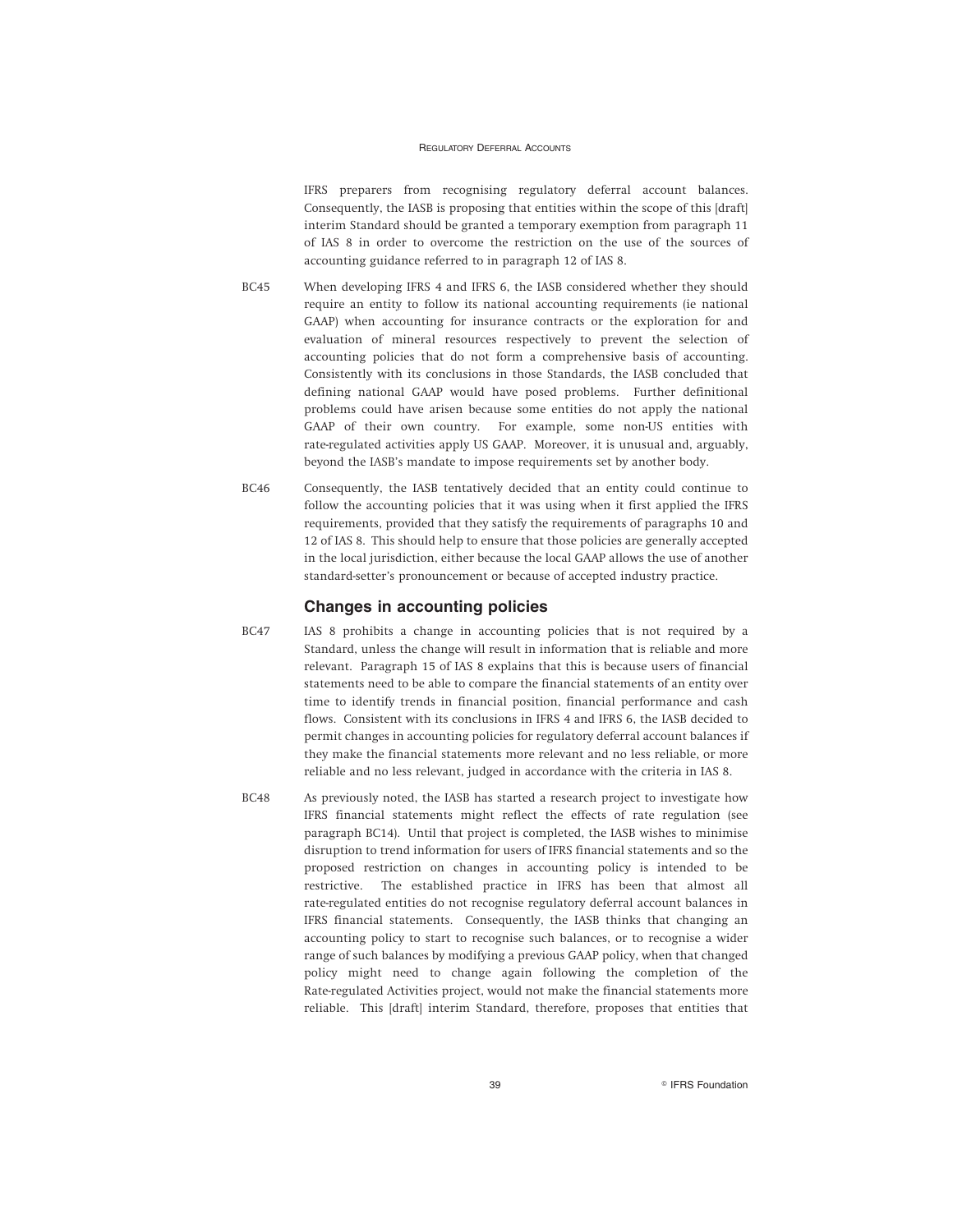IFRS preparers from recognising regulatory deferral account balances. Consequently, the IASB is proposing that entities within the scope of this [draft] interim Standard should be granted a temporary exemption from paragraph 11 of IAS 8 in order to overcome the restriction on the use of the sources of accounting guidance referred to in paragraph 12 of IAS 8.

- BC45 When developing IFRS 4 and IFRS 6, the IASB considered whether they should require an entity to follow its national accounting requirements (ie national GAAP) when accounting for insurance contracts or the exploration for and evaluation of mineral resources respectively to prevent the selection of accounting policies that do not form a comprehensive basis of accounting. Consistently with its conclusions in those Standards, the IASB concluded that defining national GAAP would have posed problems. Further definitional problems could have arisen because some entities do not apply the national GAAP of their own country. For example, some non-US entities with rate-regulated activities apply US GAAP. Moreover, it is unusual and, arguably, beyond the IASB's mandate to impose requirements set by another body.
- BC46 Consequently, the IASB tentatively decided that an entity could continue to follow the accounting policies that it was using when it first applied the IFRS requirements, provided that they satisfy the requirements of paragraphs 10 and 12 of IAS 8. This should help to ensure that those policies are generally accepted in the local jurisdiction, either because the local GAAP allows the use of another standard-setter's pronouncement or because of accepted industry practice.

### **Changes in accounting policies**

- BC47 IAS 8 prohibits a change in accounting policies that is not required by a Standard, unless the change will result in information that is reliable and more relevant. Paragraph 15 of IAS 8 explains that this is because users of financial statements need to be able to compare the financial statements of an entity over time to identify trends in financial position, financial performance and cash flows. Consistent with its conclusions in IFRS 4 and IFRS 6, the IASB decided to permit changes in accounting policies for regulatory deferral account balances if they make the financial statements more relevant and no less reliable, or more reliable and no less relevant, judged in accordance with the criteria in IAS 8.
- BC48 As previously noted, the IASB has started a research project to investigate how IFRS financial statements might reflect the effects of rate regulation (see paragraph BC14). Until that project is completed, the IASB wishes to minimise disruption to trend information for users of IFRS financial statements and so the proposed restriction on changes in accounting policy is intended to be restrictive. The established practice in IFRS has been that almost all rate-regulated entities do not recognise regulatory deferral account balances in IFRS financial statements. Consequently, the IASB thinks that changing an accounting policy to start to recognise such balances, or to recognise a wider range of such balances by modifying a previous GAAP policy, when that changed policy might need to change again following the completion of the Rate-regulated Activities project, would not make the financial statements more reliable. This [draft] interim Standard, therefore, proposes that entities that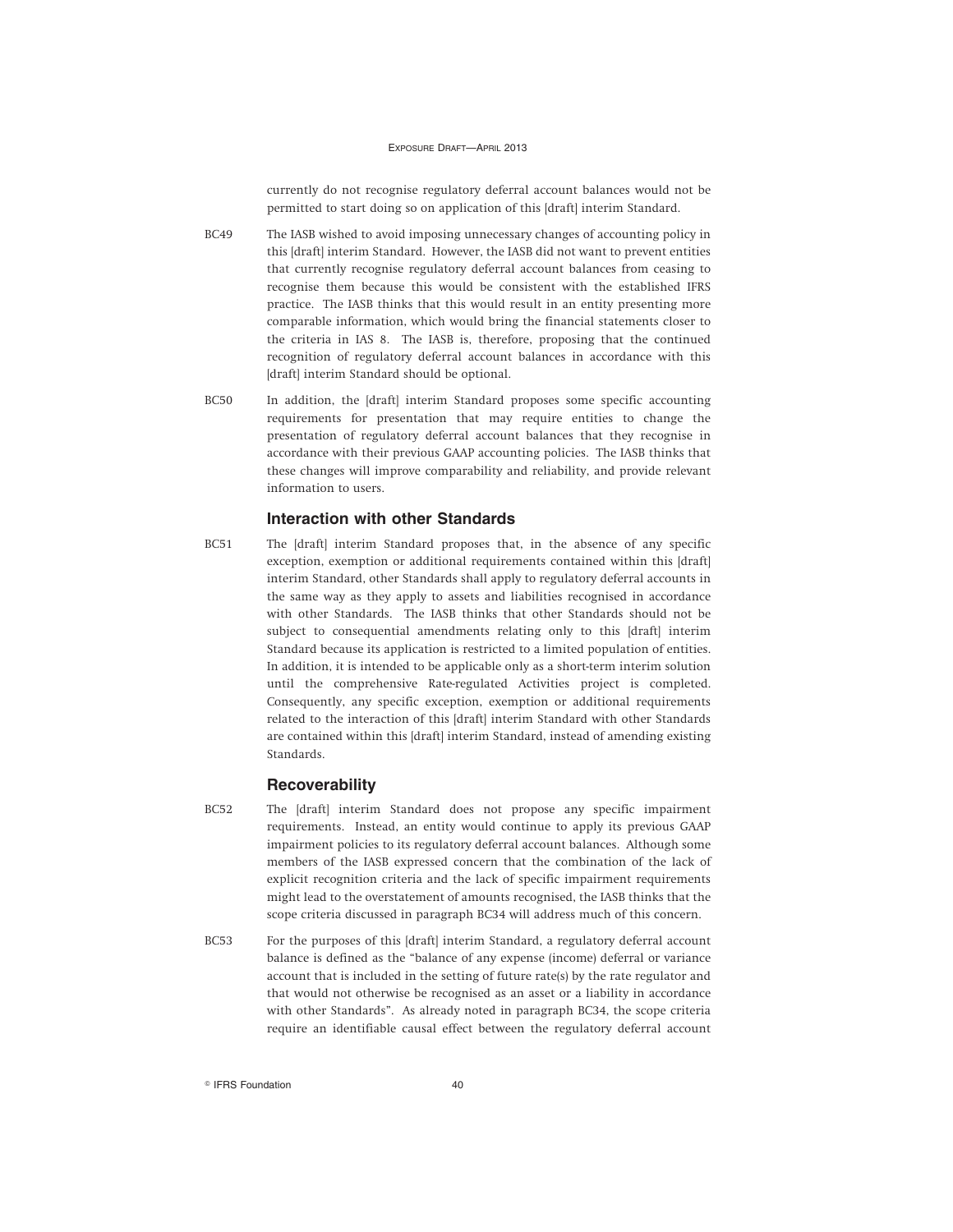currently do not recognise regulatory deferral account balances would not be permitted to start doing so on application of this [draft] interim Standard.

- BC49 The IASB wished to avoid imposing unnecessary changes of accounting policy in this [draft] interim Standard. However, the IASB did not want to prevent entities that currently recognise regulatory deferral account balances from ceasing to recognise them because this would be consistent with the established IFRS practice. The IASB thinks that this would result in an entity presenting more comparable information, which would bring the financial statements closer to the criteria in IAS 8. The IASB is, therefore, proposing that the continued recognition of regulatory deferral account balances in accordance with this [draft] interim Standard should be optional.
- BC50 In addition, the [draft] interim Standard proposes some specific accounting requirements for presentation that may require entities to change the presentation of regulatory deferral account balances that they recognise in accordance with their previous GAAP accounting policies. The IASB thinks that these changes will improve comparability and reliability, and provide relevant information to users.

#### **Interaction with other Standards**

BC51 The [draft] interim Standard proposes that, in the absence of any specific exception, exemption or additional requirements contained within this [draft] interim Standard, other Standards shall apply to regulatory deferral accounts in the same way as they apply to assets and liabilities recognised in accordance with other Standards. The IASB thinks that other Standards should not be subject to consequential amendments relating only to this [draft] interim Standard because its application is restricted to a limited population of entities. In addition, it is intended to be applicable only as a short-term interim solution until the comprehensive Rate-regulated Activities project is completed. Consequently, any specific exception, exemption or additional requirements related to the interaction of this [draft] interim Standard with other Standards are contained within this [draft] interim Standard, instead of amending existing Standards.

### **Recoverability**

- BC52 The [draft] interim Standard does not propose any specific impairment requirements. Instead, an entity would continue to apply its previous GAAP impairment policies to its regulatory deferral account balances. Although some members of the IASB expressed concern that the combination of the lack of explicit recognition criteria and the lack of specific impairment requirements might lead to the overstatement of amounts recognised, the IASB thinks that the scope criteria discussed in paragraph BC34 will address much of this concern.
- BC53 For the purposes of this [draft] interim Standard, a regulatory deferral account balance is defined as the "balance of any expense (income) deferral or variance account that is included in the setting of future rate(s) by the rate regulator and that would not otherwise be recognised as an asset or a liability in accordance with other Standards". As already noted in paragraph BC34, the scope criteria require an identifiable causal effect between the regulatory deferral account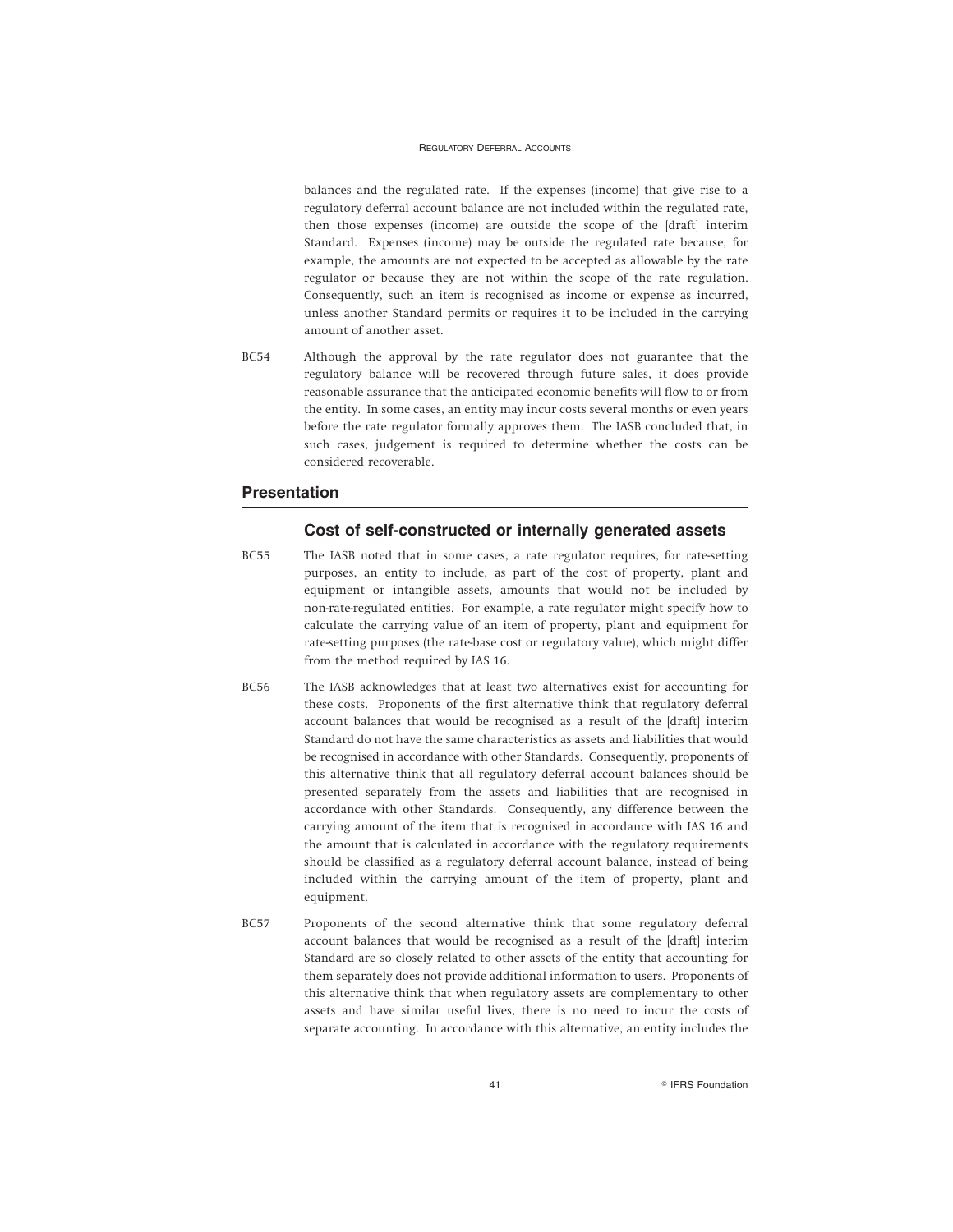balances and the regulated rate. If the expenses (income) that give rise to a regulatory deferral account balance are not included within the regulated rate, then those expenses (income) are outside the scope of the [draft] interim Standard. Expenses (income) may be outside the regulated rate because, for example, the amounts are not expected to be accepted as allowable by the rate regulator or because they are not within the scope of the rate regulation. Consequently, such an item is recognised as income or expense as incurred, unless another Standard permits or requires it to be included in the carrying amount of another asset.

BC54 Although the approval by the rate regulator does not guarantee that the regulatory balance will be recovered through future sales, it does provide reasonable assurance that the anticipated economic benefits will flow to or from the entity. In some cases, an entity may incur costs several months or even years before the rate regulator formally approves them. The IASB concluded that, in such cases, judgement is required to determine whether the costs can be considered recoverable.

### **Presentation**

### **Cost of self-constructed or internally generated assets**

- BC55 The IASB noted that in some cases, a rate regulator requires, for rate-setting purposes, an entity to include, as part of the cost of property, plant and equipment or intangible assets, amounts that would not be included by non-rate-regulated entities. For example, a rate regulator might specify how to calculate the carrying value of an item of property, plant and equipment for rate-setting purposes (the rate-base cost or regulatory value), which might differ from the method required by IAS 16.
- BC56 The IASB acknowledges that at least two alternatives exist for accounting for these costs. Proponents of the first alternative think that regulatory deferral account balances that would be recognised as a result of the [draft] interim Standard do not have the same characteristics as assets and liabilities that would be recognised in accordance with other Standards. Consequently, proponents of this alternative think that all regulatory deferral account balances should be presented separately from the assets and liabilities that are recognised in accordance with other Standards. Consequently, any difference between the carrying amount of the item that is recognised in accordance with IAS 16 and the amount that is calculated in accordance with the regulatory requirements should be classified as a regulatory deferral account balance, instead of being included within the carrying amount of the item of property, plant and equipment.
- BC57 Proponents of the second alternative think that some regulatory deferral account balances that would be recognised as a result of the [draft] interim Standard are so closely related to other assets of the entity that accounting for them separately does not provide additional information to users. Proponents of this alternative think that when regulatory assets are complementary to other assets and have similar useful lives, there is no need to incur the costs of separate accounting. In accordance with this alternative, an entity includes the

41 **Contract Contract Contract Contract Contract Contract Contract Contract Contract Contract Contract Contract Contract Contract Contract Contract Contract Contract Contract Contract Contract Contract Contract Contract Co**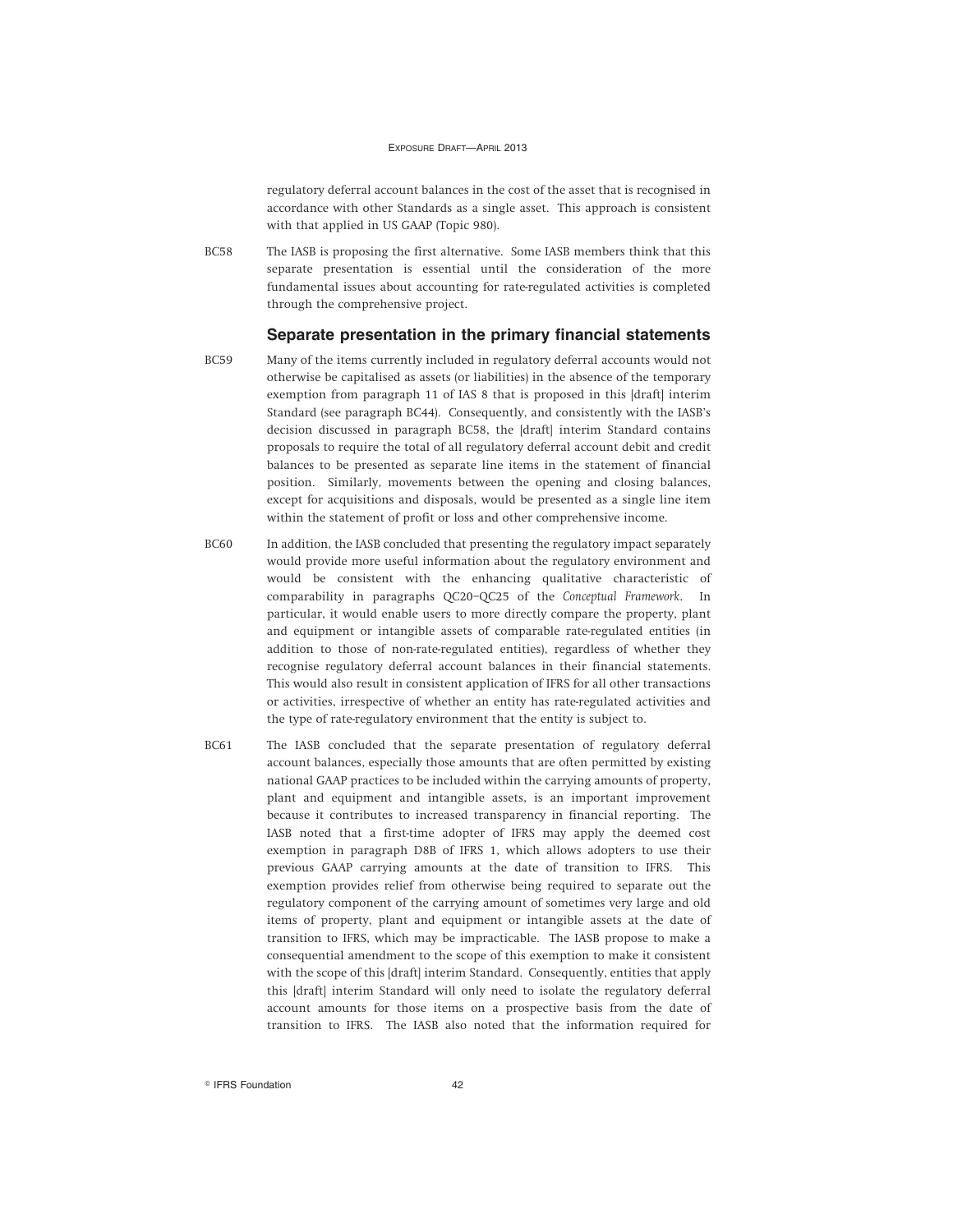regulatory deferral account balances in the cost of the asset that is recognised in accordance with other Standards as a single asset. This approach is consistent with that applied in US GAAP (Topic 980).

BC58 The IASB is proposing the first alternative. Some IASB members think that this separate presentation is essential until the consideration of the more fundamental issues about accounting for rate-regulated activities is completed through the comprehensive project.

### **Separate presentation in the primary financial statements**

- 
- BC59 Many of the items currently included in regulatory deferral accounts would not otherwise be capitalised as assets (or liabilities) in the absence of the temporary exemption from paragraph 11 of IAS 8 that is proposed in this [draft] interim Standard (see paragraph BC44). Consequently, and consistently with the IASB's decision discussed in paragraph BC58, the [draft] interim Standard contains proposals to require the total of all regulatory deferral account debit and credit balances to be presented as separate line items in the statement of financial position. Similarly, movements between the opening and closing balances, except for acquisitions and disposals, would be presented as a single line item within the statement of profit or loss and other comprehensive income.
- BC60 In addition, the IASB concluded that presenting the regulatory impact separately would provide more useful information about the regulatory environment and would be consistent with the enhancing qualitative characteristic of comparability in paragraphs QC20–QC25 of the *Conceptual Framework*. In particular, it would enable users to more directly compare the property, plant and equipment or intangible assets of comparable rate-regulated entities (in addition to those of non-rate-regulated entities), regardless of whether they recognise regulatory deferral account balances in their financial statements. This would also result in consistent application of IFRS for all other transactions or activities, irrespective of whether an entity has rate-regulated activities and the type of rate-regulatory environment that the entity is subject to.
- BC61 The IASB concluded that the separate presentation of regulatory deferral account balances, especially those amounts that are often permitted by existing national GAAP practices to be included within the carrying amounts of property, plant and equipment and intangible assets, is an important improvement because it contributes to increased transparency in financial reporting. The IASB noted that a first-time adopter of IFRS may apply the deemed cost exemption in paragraph D8B of IFRS 1, which allows adopters to use their previous GAAP carrying amounts at the date of transition to IFRS. This exemption provides relief from otherwise being required to separate out the regulatory component of the carrying amount of sometimes very large and old items of property, plant and equipment or intangible assets at the date of transition to IFRS, which may be impracticable. The IASB propose to make a consequential amendment to the scope of this exemption to make it consistent with the scope of this [draft] interim Standard. Consequently, entities that apply this [draft] interim Standard will only need to isolate the regulatory deferral account amounts for those items on a prospective basis from the date of transition to IFRS. The IASB also noted that the information required for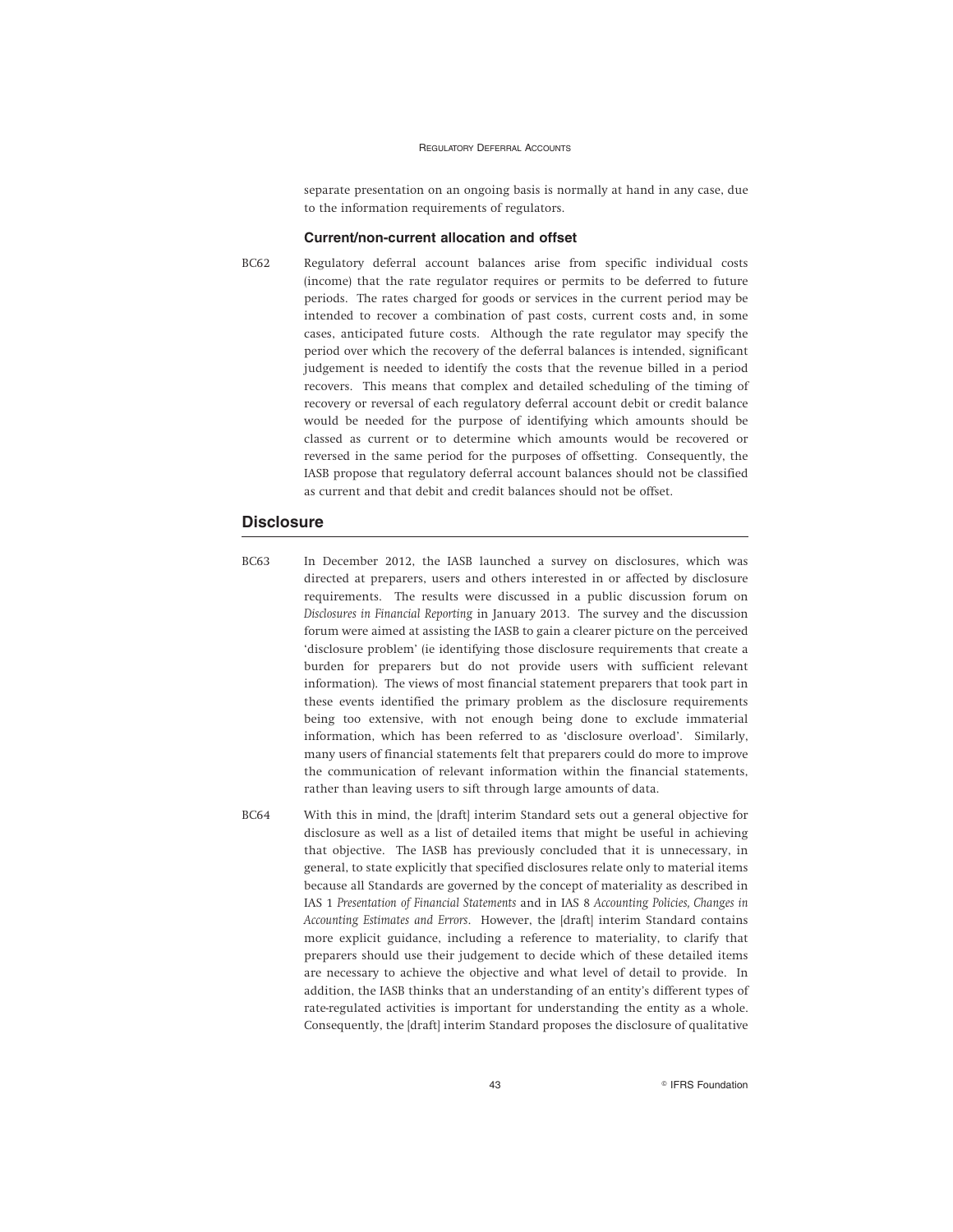separate presentation on an ongoing basis is normally at hand in any case, due to the information requirements of regulators.

#### **Current/non-current allocation and offset**

BC62 Regulatory deferral account balances arise from specific individual costs (income) that the rate regulator requires or permits to be deferred to future periods. The rates charged for goods or services in the current period may be intended to recover a combination of past costs, current costs and, in some cases, anticipated future costs. Although the rate regulator may specify the period over which the recovery of the deferral balances is intended, significant judgement is needed to identify the costs that the revenue billed in a period recovers. This means that complex and detailed scheduling of the timing of recovery or reversal of each regulatory deferral account debit or credit balance would be needed for the purpose of identifying which amounts should be classed as current or to determine which amounts would be recovered or reversed in the same period for the purposes of offsetting. Consequently, the IASB propose that regulatory deferral account balances should not be classified as current and that debit and credit balances should not be offset.

### **Disclosure**

- BC63 In December 2012, the IASB launched a survey on disclosures, which was directed at preparers, users and others interested in or affected by disclosure requirements. The results were discussed in a public discussion forum on *Disclosures in Financial Reporting* in January 2013. The survey and the discussion forum were aimed at assisting the IASB to gain a clearer picture on the perceived 'disclosure problem' (ie identifying those disclosure requirements that create a burden for preparers but do not provide users with sufficient relevant information). The views of most financial statement preparers that took part in these events identified the primary problem as the disclosure requirements being too extensive, with not enough being done to exclude immaterial information, which has been referred to as 'disclosure overload'. Similarly, many users of financial statements felt that preparers could do more to improve the communication of relevant information within the financial statements, rather than leaving users to sift through large amounts of data.
- BC64 With this in mind, the [draft] interim Standard sets out a general objective for disclosure as well as a list of detailed items that might be useful in achieving that objective. The IASB has previously concluded that it is unnecessary, in general, to state explicitly that specified disclosures relate only to material items because all Standards are governed by the concept of materiality as described in IAS 1 *Presentation of Financial Statements* and in IAS 8 *Accounting Policies, Changes in Accounting Estimates and Errors*. However, the [draft] interim Standard contains more explicit guidance, including a reference to materiality, to clarify that preparers should use their judgement to decide which of these detailed items are necessary to achieve the objective and what level of detail to provide. In addition, the IASB thinks that an understanding of an entity's different types of rate-regulated activities is important for understanding the entity as a whole. Consequently, the [draft] interim Standard proposes the disclosure of qualitative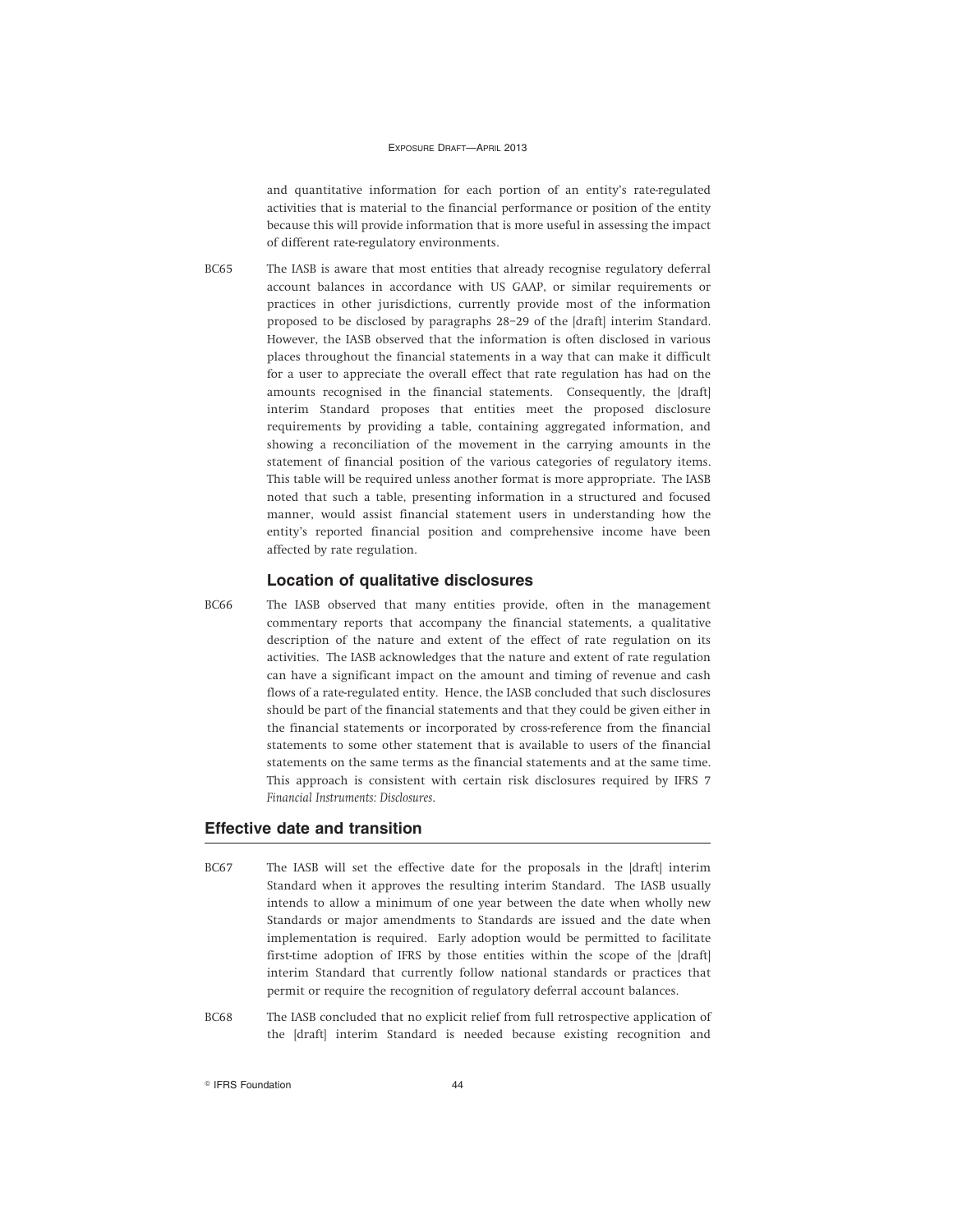and quantitative information for each portion of an entity's rate-regulated activities that is material to the financial performance or position of the entity because this will provide information that is more useful in assessing the impact of different rate-regulatory environments.

BC65 The IASB is aware that most entities that already recognise regulatory deferral account balances in accordance with US GAAP, or similar requirements or practices in other jurisdictions, currently provide most of the information proposed to be disclosed by paragraphs 28–29 of the [draft] interim Standard. However, the IASB observed that the information is often disclosed in various places throughout the financial statements in a way that can make it difficult for a user to appreciate the overall effect that rate regulation has had on the amounts recognised in the financial statements. Consequently, the [draft] interim Standard proposes that entities meet the proposed disclosure requirements by providing a table, containing aggregated information, and showing a reconciliation of the movement in the carrying amounts in the statement of financial position of the various categories of regulatory items. This table will be required unless another format is more appropriate. The IASB noted that such a table, presenting information in a structured and focused manner, would assist financial statement users in understanding how the entity's reported financial position and comprehensive income have been affected by rate regulation.

### **Location of qualitative disclosures**

BC66 The IASB observed that many entities provide, often in the management commentary reports that accompany the financial statements, a qualitative description of the nature and extent of the effect of rate regulation on its activities. The IASB acknowledges that the nature and extent of rate regulation can have a significant impact on the amount and timing of revenue and cash flows of a rate-regulated entity. Hence, the IASB concluded that such disclosures should be part of the financial statements and that they could be given either in the financial statements or incorporated by cross-reference from the financial statements to some other statement that is available to users of the financial statements on the same terms as the financial statements and at the same time. This approach is consistent with certain risk disclosures required by IFRS 7 *Financial Instruments: Disclosures*.

### **Effective date and transition**

- BC67 The IASB will set the effective date for the proposals in the [draft] interim Standard when it approves the resulting interim Standard. The IASB usually intends to allow a minimum of one year between the date when wholly new Standards or major amendments to Standards are issued and the date when implementation is required. Early adoption would be permitted to facilitate first-time adoption of IFRS by those entities within the scope of the [draft] interim Standard that currently follow national standards or practices that permit or require the recognition of regulatory deferral account balances.
- BC68 The IASB concluded that no explicit relief from full retrospective application of the [draft] interim Standard is needed because existing recognition and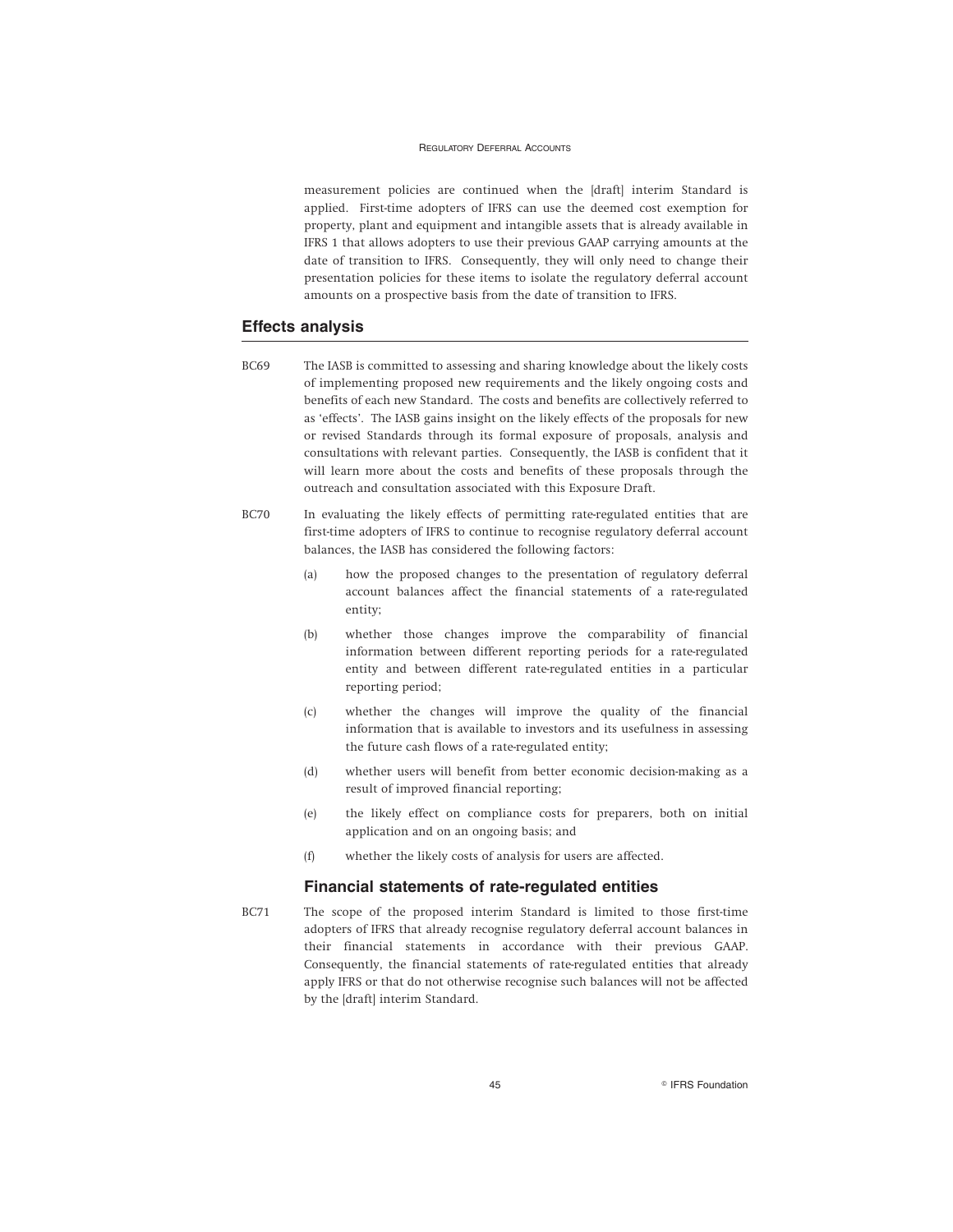measurement policies are continued when the [draft] interim Standard is applied. First-time adopters of IFRS can use the deemed cost exemption for property, plant and equipment and intangible assets that is already available in IFRS 1 that allows adopters to use their previous GAAP carrying amounts at the date of transition to IFRS. Consequently, they will only need to change their presentation policies for these items to isolate the regulatory deferral account amounts on a prospective basis from the date of transition to IFRS.

### **Effects analysis**

- BC69 The IASB is committed to assessing and sharing knowledge about the likely costs of implementing proposed new requirements and the likely ongoing costs and benefits of each new Standard. The costs and benefits are collectively referred to as 'effects'. The IASB gains insight on the likely effects of the proposals for new or revised Standards through its formal exposure of proposals, analysis and consultations with relevant parties. Consequently, the IASB is confident that it will learn more about the costs and benefits of these proposals through the outreach and consultation associated with this Exposure Draft.
- BC70 In evaluating the likely effects of permitting rate-regulated entities that are first-time adopters of IFRS to continue to recognise regulatory deferral account balances, the IASB has considered the following factors:
	- (a) how the proposed changes to the presentation of regulatory deferral account balances affect the financial statements of a rate-regulated entity;
	- (b) whether those changes improve the comparability of financial information between different reporting periods for a rate-regulated entity and between different rate-regulated entities in a particular reporting period;
	- (c) whether the changes will improve the quality of the financial information that is available to investors and its usefulness in assessing the future cash flows of a rate-regulated entity;
	- (d) whether users will benefit from better economic decision-making as a result of improved financial reporting;
	- (e) the likely effect on compliance costs for preparers, both on initial application and on an ongoing basis; and
	- (f) whether the likely costs of analysis for users are affected.

#### **Financial statements of rate-regulated entities**

BC71 The scope of the proposed interim Standard is limited to those first-time adopters of IFRS that already recognise regulatory deferral account balances in their financial statements in accordance with their previous GAAP. Consequently, the financial statements of rate-regulated entities that already apply IFRS or that do not otherwise recognise such balances will not be affected by the [draft] interim Standard.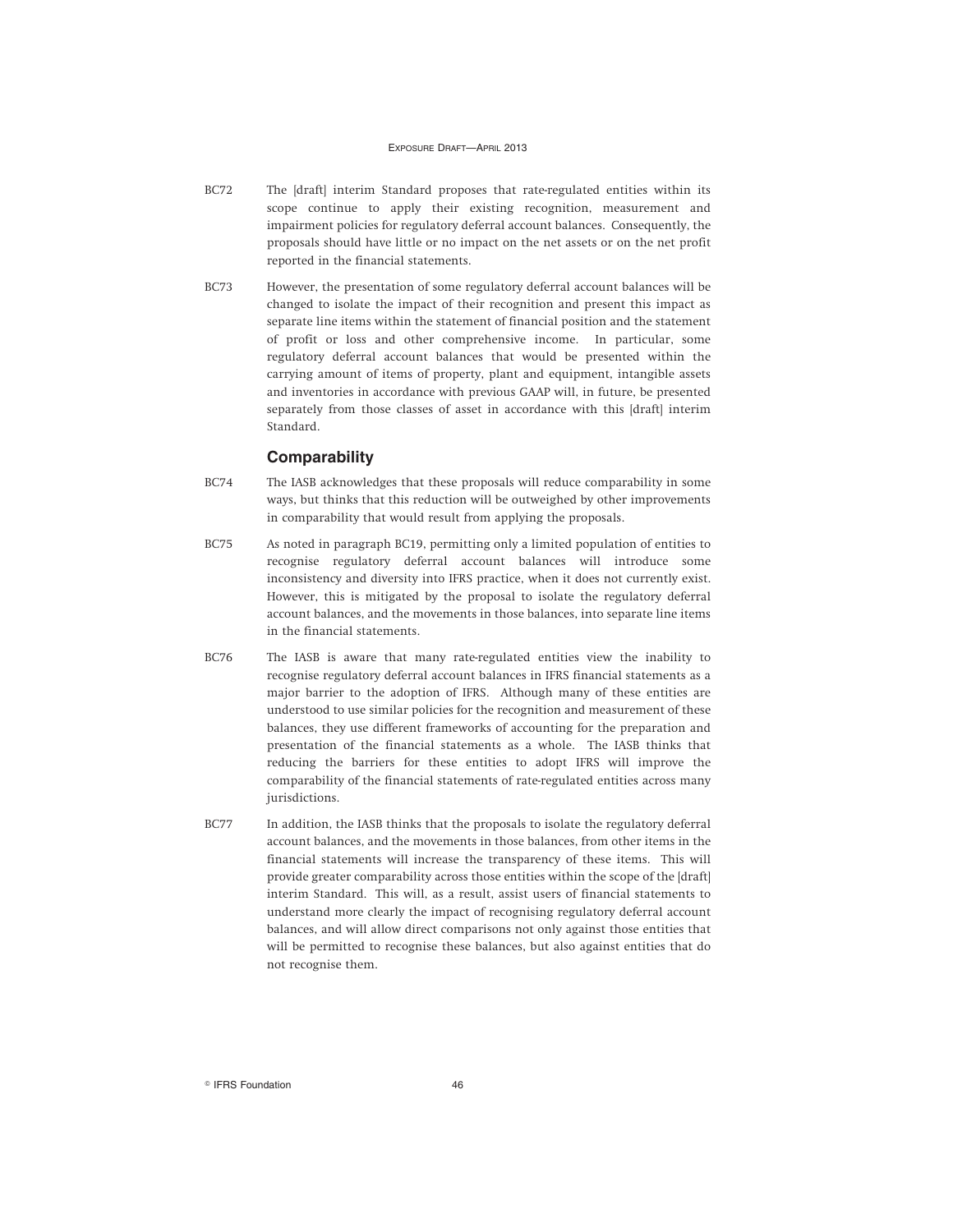- BC72 The [draft] interim Standard proposes that rate-regulated entities within its scope continue to apply their existing recognition, measurement and impairment policies for regulatory deferral account balances. Consequently, the proposals should have little or no impact on the net assets or on the net profit reported in the financial statements.
- BC73 However, the presentation of some regulatory deferral account balances will be changed to isolate the impact of their recognition and present this impact as separate line items within the statement of financial position and the statement of profit or loss and other comprehensive income. In particular, some regulatory deferral account balances that would be presented within the carrying amount of items of property, plant and equipment, intangible assets and inventories in accordance with previous GAAP will, in future, be presented separately from those classes of asset in accordance with this [draft] interim Standard.

### **Comparability**

- BC74 The IASB acknowledges that these proposals will reduce comparability in some ways, but thinks that this reduction will be outweighed by other improvements in comparability that would result from applying the proposals.
- BC75 As noted in paragraph BC19, permitting only a limited population of entities to recognise regulatory deferral account balances will introduce some inconsistency and diversity into IFRS practice, when it does not currently exist. However, this is mitigated by the proposal to isolate the regulatory deferral account balances, and the movements in those balances, into separate line items in the financial statements.
- BC76 The IASB is aware that many rate-regulated entities view the inability to recognise regulatory deferral account balances in IFRS financial statements as a major barrier to the adoption of IFRS. Although many of these entities are understood to use similar policies for the recognition and measurement of these balances, they use different frameworks of accounting for the preparation and presentation of the financial statements as a whole. The IASB thinks that reducing the barriers for these entities to adopt IFRS will improve the comparability of the financial statements of rate-regulated entities across many jurisdictions.
- BC77 In addition, the IASB thinks that the proposals to isolate the regulatory deferral account balances, and the movements in those balances, from other items in the financial statements will increase the transparency of these items. This will provide greater comparability across those entities within the scope of the [draft] interim Standard. This will, as a result, assist users of financial statements to understand more clearly the impact of recognising regulatory deferral account balances, and will allow direct comparisons not only against those entities that will be permitted to recognise these balances, but also against entities that do not recognise them.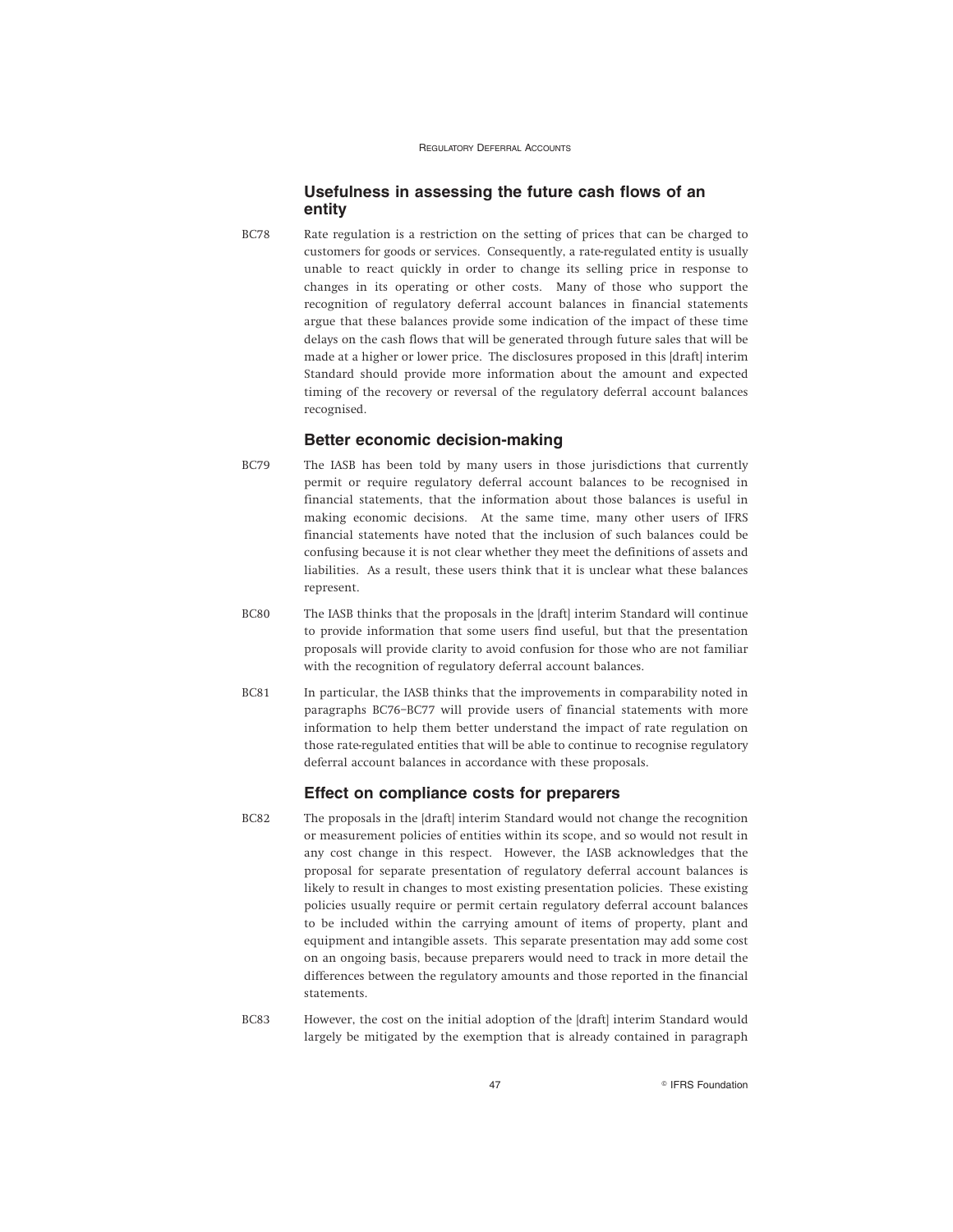### **Usefulness in assessing the future cash flows of an entity**

BC78 Rate regulation is a restriction on the setting of prices that can be charged to customers for goods or services. Consequently, a rate-regulated entity is usually unable to react quickly in order to change its selling price in response to changes in its operating or other costs. Many of those who support the recognition of regulatory deferral account balances in financial statements argue that these balances provide some indication of the impact of these time delays on the cash flows that will be generated through future sales that will be made at a higher or lower price. The disclosures proposed in this [draft] interim Standard should provide more information about the amount and expected timing of the recovery or reversal of the regulatory deferral account balances recognised.

### **Better economic decision-making**

- BC79 The IASB has been told by many users in those jurisdictions that currently permit or require regulatory deferral account balances to be recognised in financial statements, that the information about those balances is useful in making economic decisions. At the same time, many other users of IFRS financial statements have noted that the inclusion of such balances could be confusing because it is not clear whether they meet the definitions of assets and liabilities. As a result, these users think that it is unclear what these balances represent.
- BC80 The IASB thinks that the proposals in the [draft] interim Standard will continue to provide information that some users find useful, but that the presentation proposals will provide clarity to avoid confusion for those who are not familiar with the recognition of regulatory deferral account balances.
- BC81 In particular, the IASB thinks that the improvements in comparability noted in paragraphs BC76–BC77 will provide users of financial statements with more information to help them better understand the impact of rate regulation on those rate-regulated entities that will be able to continue to recognise regulatory deferral account balances in accordance with these proposals.

### **Effect on compliance costs for preparers**

- BC82 The proposals in the [draft] interim Standard would not change the recognition or measurement policies of entities within its scope, and so would not result in any cost change in this respect. However, the IASB acknowledges that the proposal for separate presentation of regulatory deferral account balances is likely to result in changes to most existing presentation policies. These existing policies usually require or permit certain regulatory deferral account balances to be included within the carrying amount of items of property, plant and equipment and intangible assets. This separate presentation may add some cost on an ongoing basis, because preparers would need to track in more detail the differences between the regulatory amounts and those reported in the financial statements.
- BC83 However, the cost on the initial adoption of the [draft] interim Standard would largely be mitigated by the exemption that is already contained in paragraph

47 **Constant Construction Construction Construction Construction**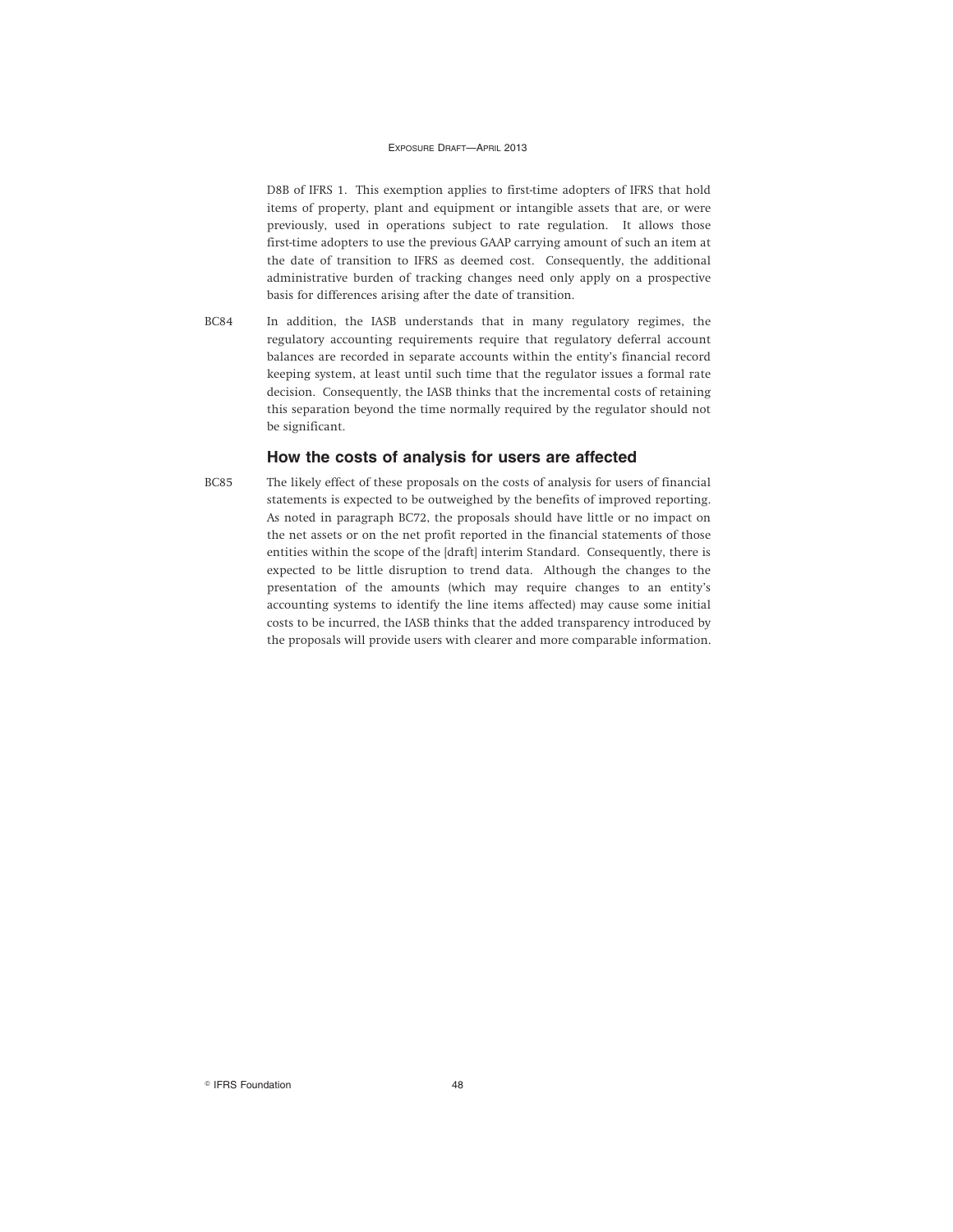D8B of IFRS 1. This exemption applies to first-time adopters of IFRS that hold items of property, plant and equipment or intangible assets that are, or were previously, used in operations subject to rate regulation. It allows those first-time adopters to use the previous GAAP carrying amount of such an item at the date of transition to IFRS as deemed cost. Consequently, the additional administrative burden of tracking changes need only apply on a prospective basis for differences arising after the date of transition.

BC84 In addition, the IASB understands that in many regulatory regimes, the regulatory accounting requirements require that regulatory deferral account balances are recorded in separate accounts within the entity's financial record keeping system, at least until such time that the regulator issues a formal rate decision. Consequently, the IASB thinks that the incremental costs of retaining this separation beyond the time normally required by the regulator should not be significant.

### **How the costs of analysis for users are affected**

BC85 The likely effect of these proposals on the costs of analysis for users of financial statements is expected to be outweighed by the benefits of improved reporting. As noted in paragraph BC72, the proposals should have little or no impact on the net assets or on the net profit reported in the financial statements of those entities within the scope of the [draft] interim Standard. Consequently, there is expected to be little disruption to trend data. Although the changes to the presentation of the amounts (which may require changes to an entity's accounting systems to identify the line items affected) may cause some initial costs to be incurred, the IASB thinks that the added transparency introduced by the proposals will provide users with clearer and more comparable information.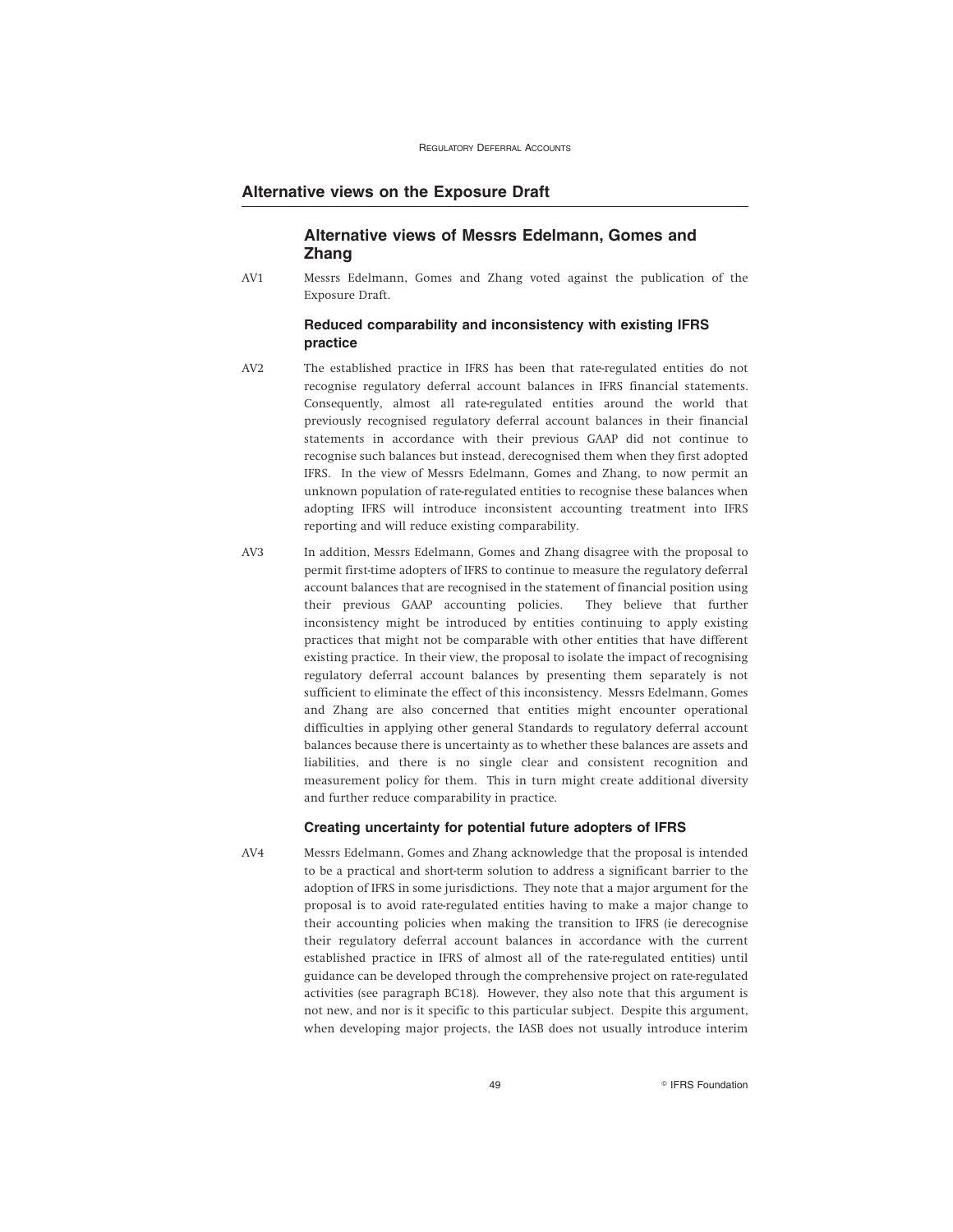### **Alternative views on the Exposure Draft**

### **Alternative views of Messrs Edelmann, Gomes and Zhang**

AV1 Messrs Edelmann, Gomes and Zhang voted against the publication of the Exposure Draft.

### **Reduced comparability and inconsistency with existing IFRS practice**

- AV2 The established practice in IFRS has been that rate-regulated entities do not recognise regulatory deferral account balances in IFRS financial statements. Consequently, almost all rate-regulated entities around the world that previously recognised regulatory deferral account balances in their financial statements in accordance with their previous GAAP did not continue to recognise such balances but instead, derecognised them when they first adopted IFRS. In the view of Messrs Edelmann, Gomes and Zhang, to now permit an unknown population of rate-regulated entities to recognise these balances when adopting IFRS will introduce inconsistent accounting treatment into IFRS reporting and will reduce existing comparability.
- AV3 In addition, Messrs Edelmann, Gomes and Zhang disagree with the proposal to permit first-time adopters of IFRS to continue to measure the regulatory deferral account balances that are recognised in the statement of financial position using their previous GAAP accounting policies. They believe that further inconsistency might be introduced by entities continuing to apply existing practices that might not be comparable with other entities that have different existing practice. In their view, the proposal to isolate the impact of recognising regulatory deferral account balances by presenting them separately is not sufficient to eliminate the effect of this inconsistency. Messrs Edelmann, Gomes and Zhang are also concerned that entities might encounter operational difficulties in applying other general Standards to regulatory deferral account balances because there is uncertainty as to whether these balances are assets and liabilities, and there is no single clear and consistent recognition and measurement policy for them. This in turn might create additional diversity and further reduce comparability in practice.

#### **Creating uncertainty for potential future adopters of IFRS**

AV4 Messrs Edelmann, Gomes and Zhang acknowledge that the proposal is intended to be a practical and short-term solution to address a significant barrier to the adoption of IFRS in some jurisdictions. They note that a major argument for the proposal is to avoid rate-regulated entities having to make a major change to their accounting policies when making the transition to IFRS (ie derecognise their regulatory deferral account balances in accordance with the current established practice in IFRS of almost all of the rate-regulated entities) until guidance can be developed through the comprehensive project on rate-regulated activities (see paragraph BC18). However, they also note that this argument is not new, and nor is it specific to this particular subject. Despite this argument, when developing major projects, the IASB does not usually introduce interim

49 **PERS Foundation**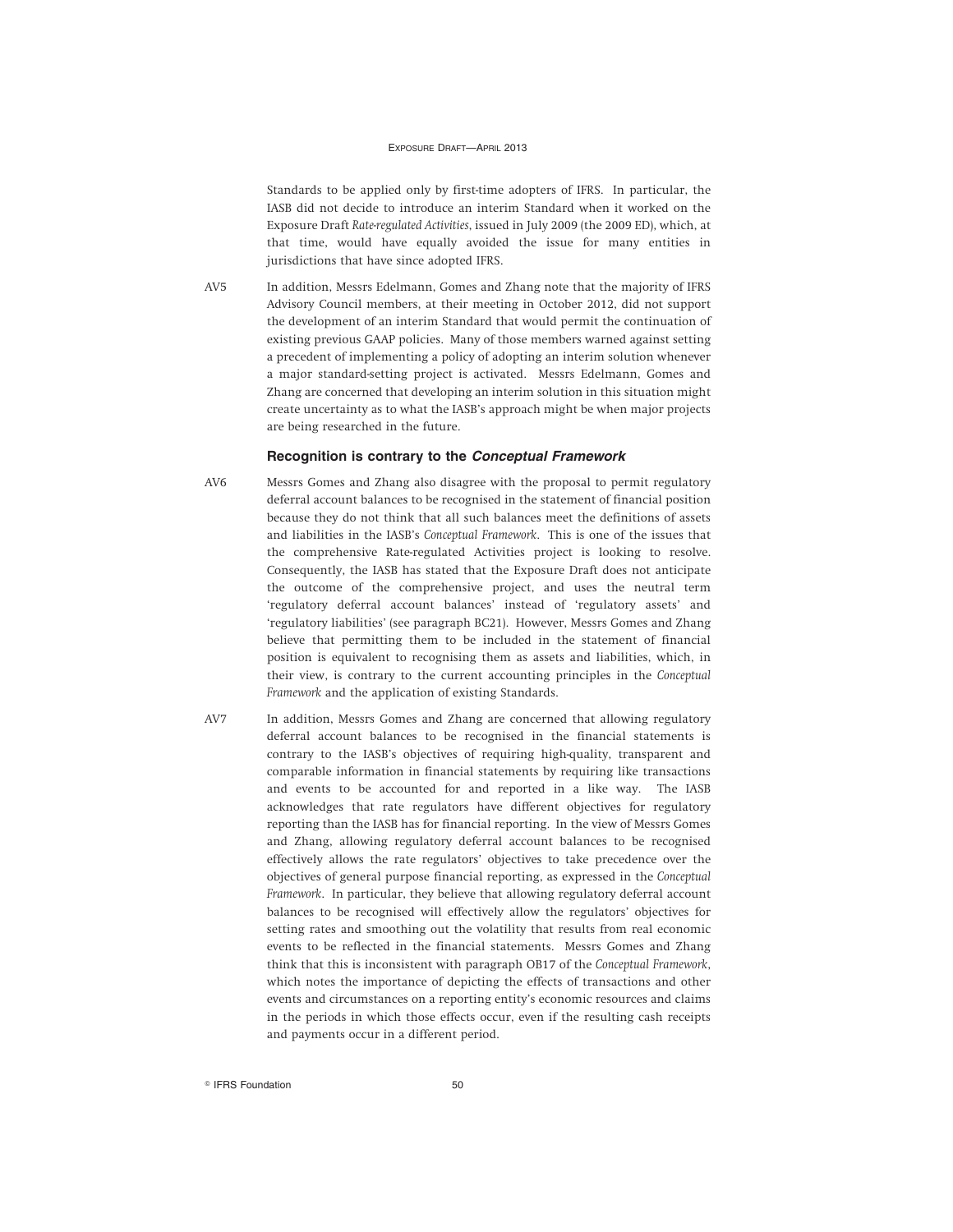Standards to be applied only by first-time adopters of IFRS. In particular, the IASB did not decide to introduce an interim Standard when it worked on the Exposure Draft *Rate-regulated Activities*, issued in July 2009 (the 2009 ED), which, at that time, would have equally avoided the issue for many entities in jurisdictions that have since adopted IFRS.

AV5 In addition, Messrs Edelmann, Gomes and Zhang note that the majority of IFRS Advisory Council members, at their meeting in October 2012, did not support the development of an interim Standard that would permit the continuation of existing previous GAAP policies. Many of those members warned against setting a precedent of implementing a policy of adopting an interim solution whenever a major standard-setting project is activated. Messrs Edelmann, Gomes and Zhang are concerned that developing an interim solution in this situation might create uncertainty as to what the IASB's approach might be when major projects are being researched in the future.

#### **Recognition is contrary to the Conceptual Framework**

- AV6 Messrs Gomes and Zhang also disagree with the proposal to permit regulatory deferral account balances to be recognised in the statement of financial position because they do not think that all such balances meet the definitions of assets and liabilities in the IASB's *Conceptual Framework*. This is one of the issues that the comprehensive Rate-regulated Activities project is looking to resolve. Consequently, the IASB has stated that the Exposure Draft does not anticipate the outcome of the comprehensive project, and uses the neutral term 'regulatory deferral account balances' instead of 'regulatory assets' and 'regulatory liabilities' (see paragraph BC21). However, Messrs Gomes and Zhang believe that permitting them to be included in the statement of financial position is equivalent to recognising them as assets and liabilities, which, in their view, is contrary to the current accounting principles in the *Conceptual Framework* and the application of existing Standards.
- AV7 In addition, Messrs Gomes and Zhang are concerned that allowing regulatory deferral account balances to be recognised in the financial statements is contrary to the IASB's objectives of requiring high-quality, transparent and comparable information in financial statements by requiring like transactions and events to be accounted for and reported in a like way. The IASB acknowledges that rate regulators have different objectives for regulatory reporting than the IASB has for financial reporting. In the view of Messrs Gomes and Zhang, allowing regulatory deferral account balances to be recognised effectively allows the rate regulators' objectives to take precedence over the objectives of general purpose financial reporting, as expressed in the *Conceptual Framework*. In particular, they believe that allowing regulatory deferral account balances to be recognised will effectively allow the regulators' objectives for setting rates and smoothing out the volatility that results from real economic events to be reflected in the financial statements. Messrs Gomes and Zhang think that this is inconsistent with paragraph OB17 of the *Conceptual Framework*, which notes the importance of depicting the effects of transactions and other events and circumstances on a reporting entity's economic resources and claims in the periods in which those effects occur, even if the resulting cash receipts and payments occur in a different period.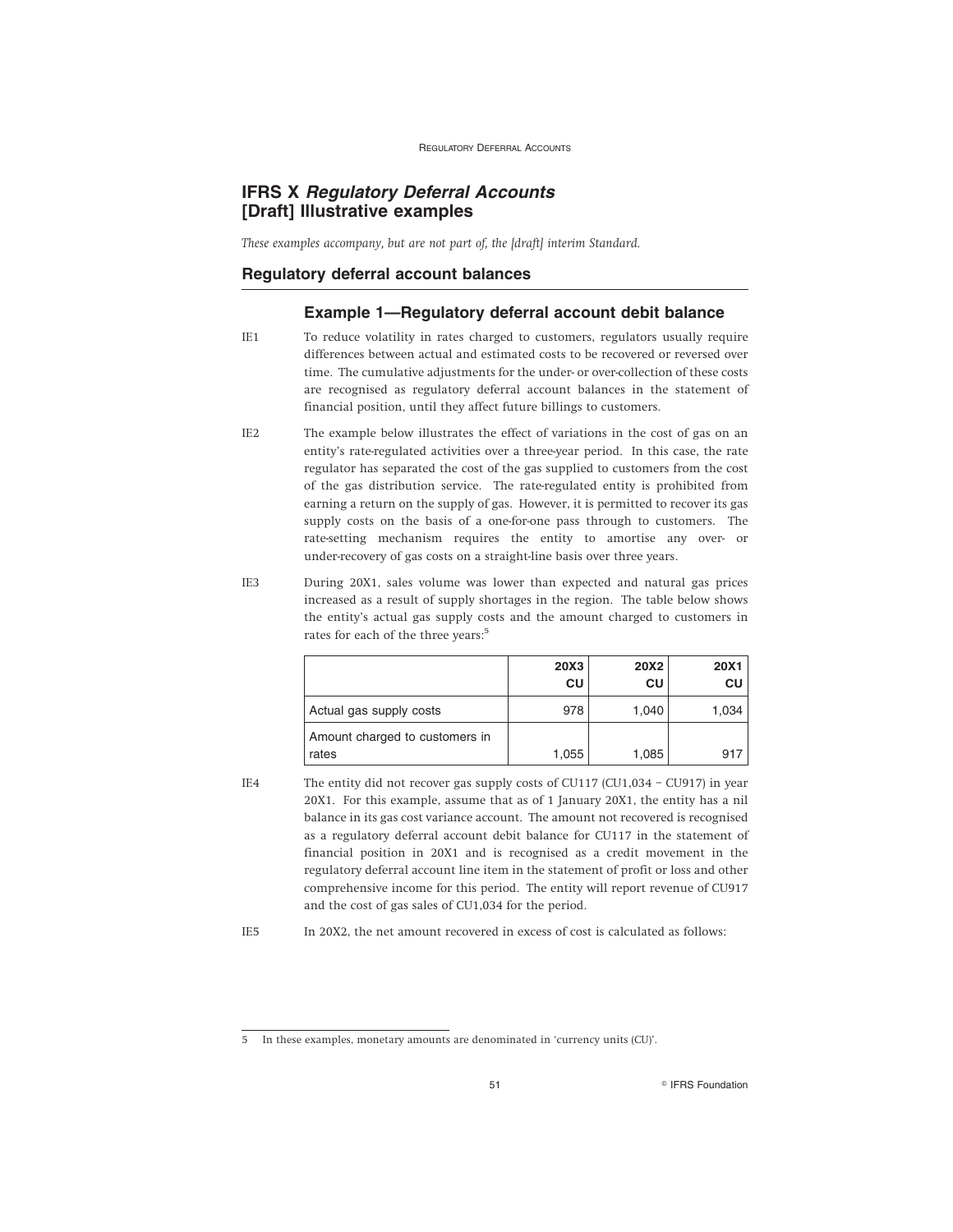### **IFRS X Regulatory Deferral Accounts [Draft] Illustrative examples**

*These examples accompany, but are not part of, the [draft] interim Standard.*

### **Regulatory deferral account balances**

### **Example 1—Regulatory deferral account debit balance**

- IE1 To reduce volatility in rates charged to customers, regulators usually require differences between actual and estimated costs to be recovered or reversed over time. The cumulative adjustments for the under- or over-collection of these costs are recognised as regulatory deferral account balances in the statement of financial position, until they affect future billings to customers.
- IE2 The example below illustrates the effect of variations in the cost of gas on an entity's rate-regulated activities over a three-year period. In this case, the rate regulator has separated the cost of the gas supplied to customers from the cost of the gas distribution service. The rate-regulated entity is prohibited from earning a return on the supply of gas. However, it is permitted to recover its gas supply costs on the basis of a one-for-one pass through to customers. The rate-setting mechanism requires the entity to amortise any over- or under-recovery of gas costs on a straight-line basis over three years.
- IE3 During 20X1, sales volume was lower than expected and natural gas prices increased as a result of supply shortages in the region. The table below shows the entity's actual gas supply costs and the amount charged to customers in rates for each of the three years:<sup>5</sup>

|                                         | 20X3<br>CU | <b>20X2</b><br>CU | <b>20X1</b><br>CU |
|-----------------------------------------|------------|-------------------|-------------------|
| Actual gas supply costs                 | 978        | 1,040             | 1,034             |
| Amount charged to customers in<br>rates | 1,055      | 1,085             | 917               |

IE4 The entity did not recover gas supply costs of CU117 (CU1,034 – CU917) in year 20X1. For this example, assume that as of 1 January 20X1, the entity has a nil balance in its gas cost variance account. The amount not recovered is recognised as a regulatory deferral account debit balance for CU117 in the statement of financial position in 20X1 and is recognised as a credit movement in the regulatory deferral account line item in the statement of profit or loss and other comprehensive income for this period. The entity will report revenue of CU917 and the cost of gas sales of CU1,034 for the period.

IE5 In 20X2, the net amount recovered in excess of cost is calculated as follows:

<sup>5</sup> In these examples, monetary amounts are denominated in 'currency units (CU)'.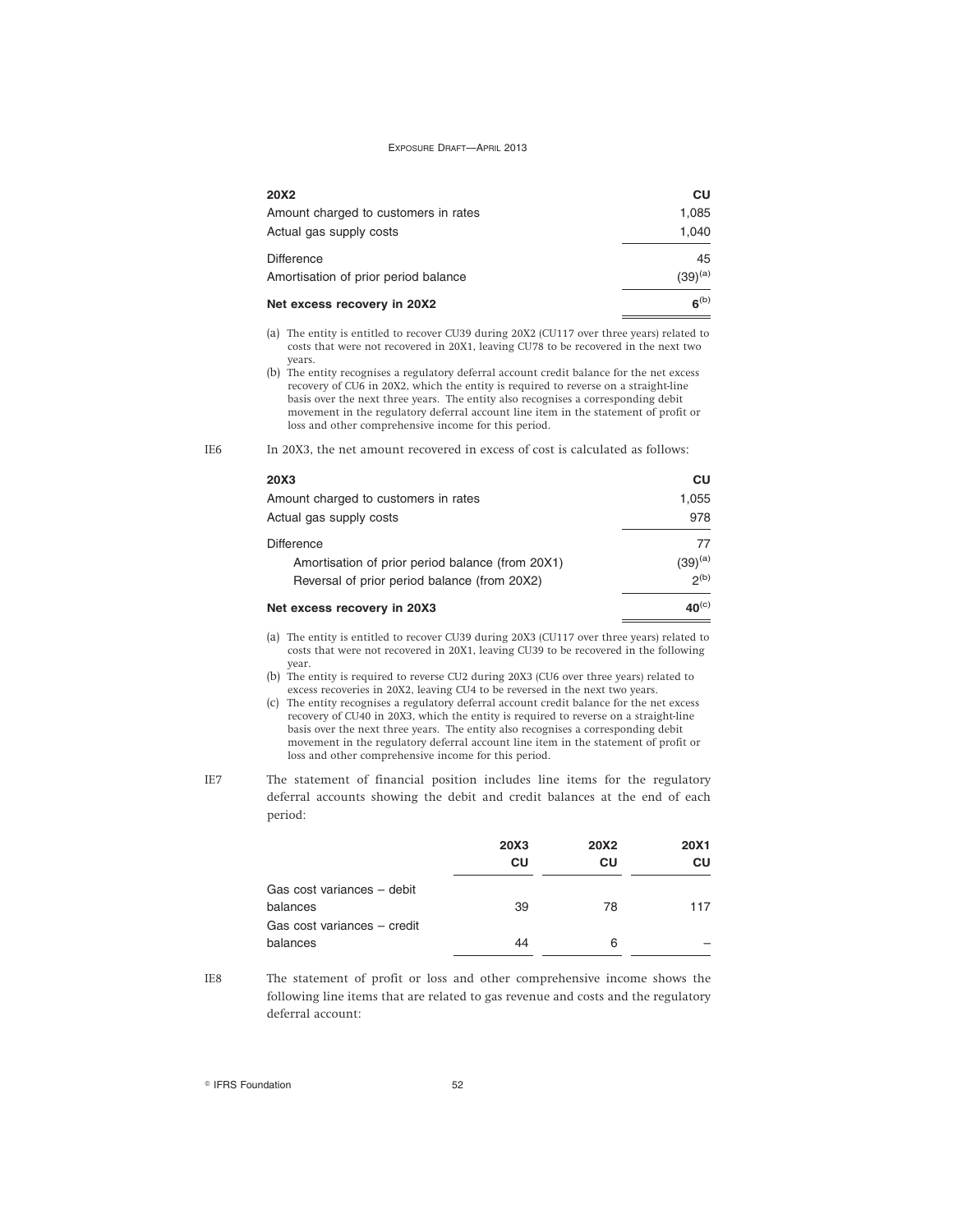| <b>20X2</b>                          | CU                  |
|--------------------------------------|---------------------|
| Amount charged to customers in rates | 1.085               |
| Actual gas supply costs              | 1.040               |
| <b>Difference</b>                    | 45                  |
| Amortisation of prior period balance | (39) <sup>(a)</sup> |
| Net excess recovery in 20X2          | $6^{(b)}$           |

(a) The entity is entitled to recover CU39 during 20X2 (CU117 over three years) related to costs that were not recovered in 20X1, leaving CU78 to be recovered in the next two years.

IE6 In 20X3, the net amount recovered in excess of cost is calculated as follows:

| 20X3                                             | <b>CU</b>        |
|--------------------------------------------------|------------------|
| Amount charged to customers in rates             | 1.055            |
| Actual gas supply costs                          | 978              |
| <b>Difference</b>                                | 77               |
| Amortisation of prior period balance (from 20X1) | $(39)^{(a)}$     |
| Reversal of prior period balance (from 20X2)     | 2 <sup>(b)</sup> |
| Net excess recovery in 20X3                      | $40^{\rm (c)}$   |

(a) The entity is entitled to recover CU39 during 20X3 (CU117 over three years) related to costs that were not recovered in 20X1, leaving CU39 to be recovered in the following year.

(b) The entity is required to reverse CU2 during 20X3 (CU6 over three years) related to excess recoveries in 20X2, leaving CU4 to be reversed in the next two years.

- (c) The entity recognises a regulatory deferral account credit balance for the net excess recovery of CU40 in 20X3, which the entity is required to reverse on a straight-line basis over the next three years. The entity also recognises a corresponding debit movement in the regulatory deferral account line item in the statement of profit or loss and other comprehensive income for this period.
- IE7 The statement of financial position includes line items for the regulatory deferral accounts showing the debit and credit balances at the end of each period:

|                             | 20X3 | <b>20X2</b> | <b>20X1</b> |
|-----------------------------|------|-------------|-------------|
|                             | CU   | CU          | CU          |
| Gas cost variances - debit  |      |             |             |
| balances                    | 39   | 78          | 117         |
| Gas cost variances - credit |      |             |             |
| balances                    | 44   | 6           |             |

IE8 The statement of profit or loss and other comprehensive income shows the following line items that are related to gas revenue and costs and the regulatory deferral account:

<sup>(</sup>b) The entity recognises a regulatory deferral account credit balance for the net excess recovery of CU6 in 20X2, which the entity is required to reverse on a straight-line basis over the next three years. The entity also recognises a corresponding debit movement in the regulatory deferral account line item in the statement of profit or loss and other comprehensive income for this period.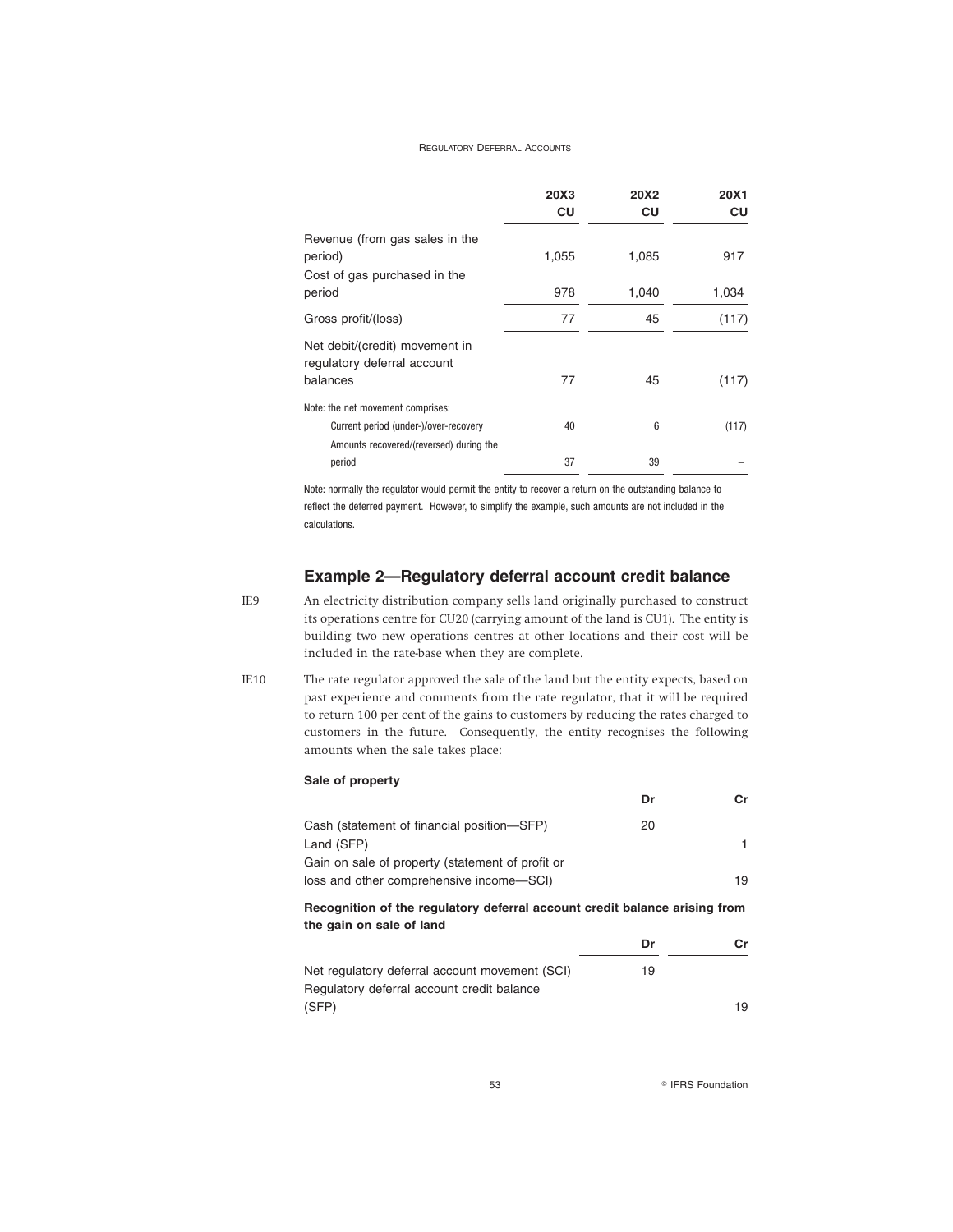|                                                               | 20X3<br>CU | 20X2<br>CU | 20X1<br>CU |
|---------------------------------------------------------------|------------|------------|------------|
| Revenue (from gas sales in the<br>period)                     | 1,055      | 1,085      | 917        |
| Cost of gas purchased in the<br>period                        | 978        | 1,040      | 1,034      |
| Gross profit/(loss)                                           | 77         | 45         | (117)      |
| Net debit/(credit) movement in<br>regulatory deferral account |            |            |            |
| balances                                                      | 77         | 45         | (117)      |
| Note: the net movement comprises:                             |            |            |            |
| Current period (under-)/over-recovery                         | 40         | 6          | (117)      |
| Amounts recovered/(reversed) during the                       |            |            |            |
| period                                                        | 37         | 39         |            |

Note: normally the regulator would permit the entity to recover a return on the outstanding balance to reflect the deferred payment. However, to simplify the example, such amounts are not included in the calculations.

### **Example 2—Regulatory deferral account credit balance**

- IE9 An electricity distribution company sells land originally purchased to construct its operations centre for CU20 (carrying amount of the land is CU1). The entity is building two new operations centres at other locations and their cost will be included in the rate-base when they are complete.
- IE10 The rate regulator approved the sale of the land but the entity expects, based on past experience and comments from the rate regulator, that it will be required to return 100 per cent of the gains to customers by reducing the rates charged to customers in the future. Consequently, the entity recognises the following amounts when the sale takes place:

|  | Sale of property |
|--|------------------|
|--|------------------|

| Cash (statement of financial position-SFP)       | 20 |    |
|--------------------------------------------------|----|----|
| Land (SFP)                                       |    |    |
| Gain on sale of property (statement of profit or |    |    |
| loss and other comprehensive income-SCI)         |    | 19 |

### **Recognition of the regulatory deferral account credit balance arising from the gain on sale of land**

|                                                | Dr | Cr. |
|------------------------------------------------|----|-----|
| Net regulatory deferral account movement (SCI) | 19 |     |
| Regulatory deferral account credit balance     |    |     |
| (SFP)                                          |    | 19  |

53 **R IFRS Foundation**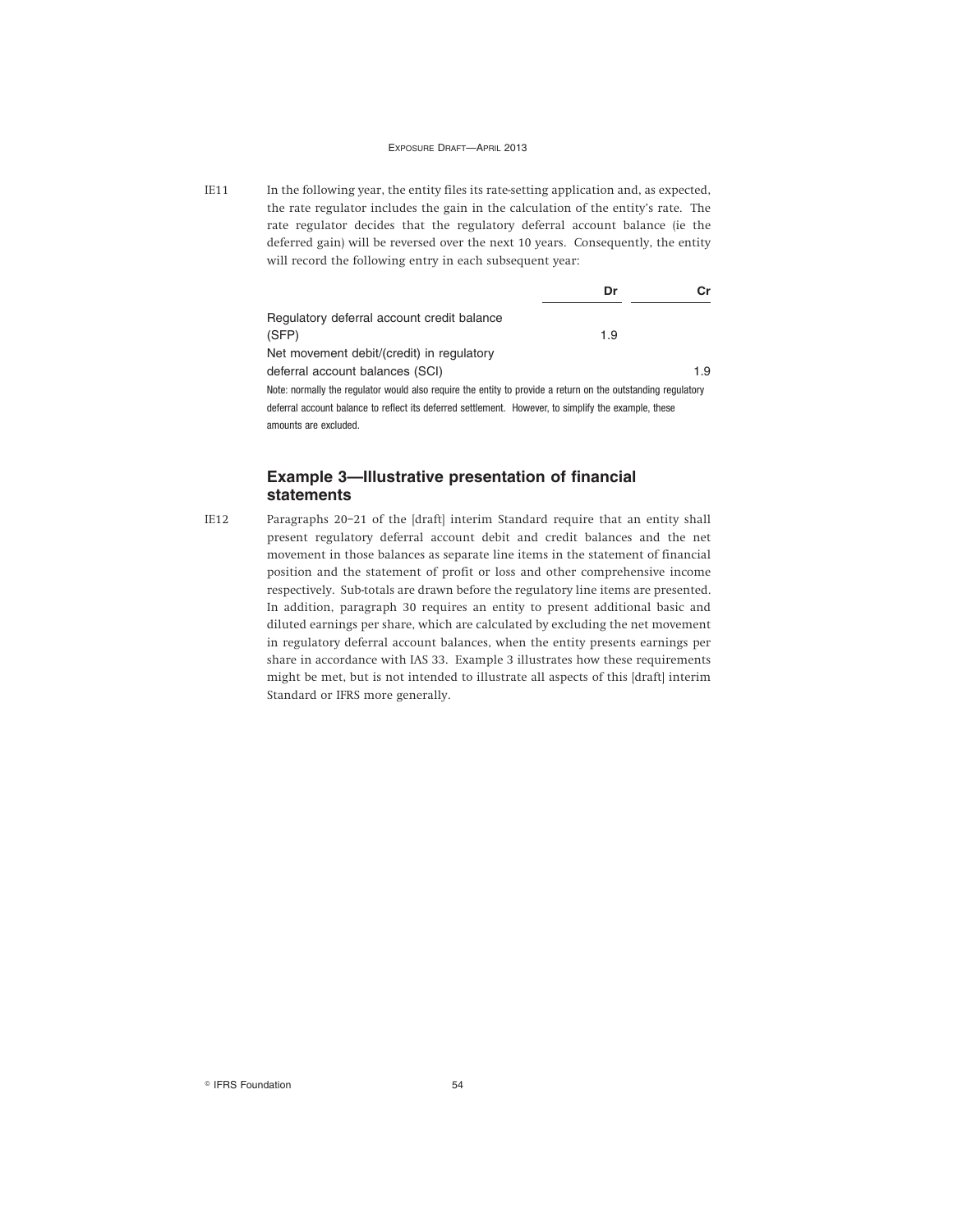IE11 In the following year, the entity files its rate-setting application and, as expected, the rate regulator includes the gain in the calculation of the entity's rate. The rate regulator decides that the regulatory deferral account balance (ie the deferred gain) will be reversed over the next 10 years. Consequently, the entity will record the following entry in each subsequent year:

|                                                                                                              | Dr  | Сr  |
|--------------------------------------------------------------------------------------------------------------|-----|-----|
| Regulatory deferral account credit balance                                                                   |     |     |
| (SFP)                                                                                                        | 1.9 |     |
| Net movement debit/(credit) in regulatory                                                                    |     |     |
| deferral account balances (SCI)                                                                              |     | 1.9 |
| Note: normally the regulator would also require the entity to provide a return on the outstanding regulatory |     |     |
| deferral account balance to reflect its deferred settlement. However, to simplify the example, these         |     |     |

amounts are excluded.

### **Example 3—Illustrative presentation of financial statements**

IE12 Paragraphs 20–21 of the [draft] interim Standard require that an entity shall present regulatory deferral account debit and credit balances and the net movement in those balances as separate line items in the statement of financial position and the statement of profit or loss and other comprehensive income respectively. Sub-totals are drawn before the regulatory line items are presented. In addition, paragraph 30 requires an entity to present additional basic and diluted earnings per share, which are calculated by excluding the net movement in regulatory deferral account balances, when the entity presents earnings per share in accordance with IAS 33. Example 3 illustrates how these requirements might be met, but is not intended to illustrate all aspects of this [draft] interim Standard or IFRS more generally.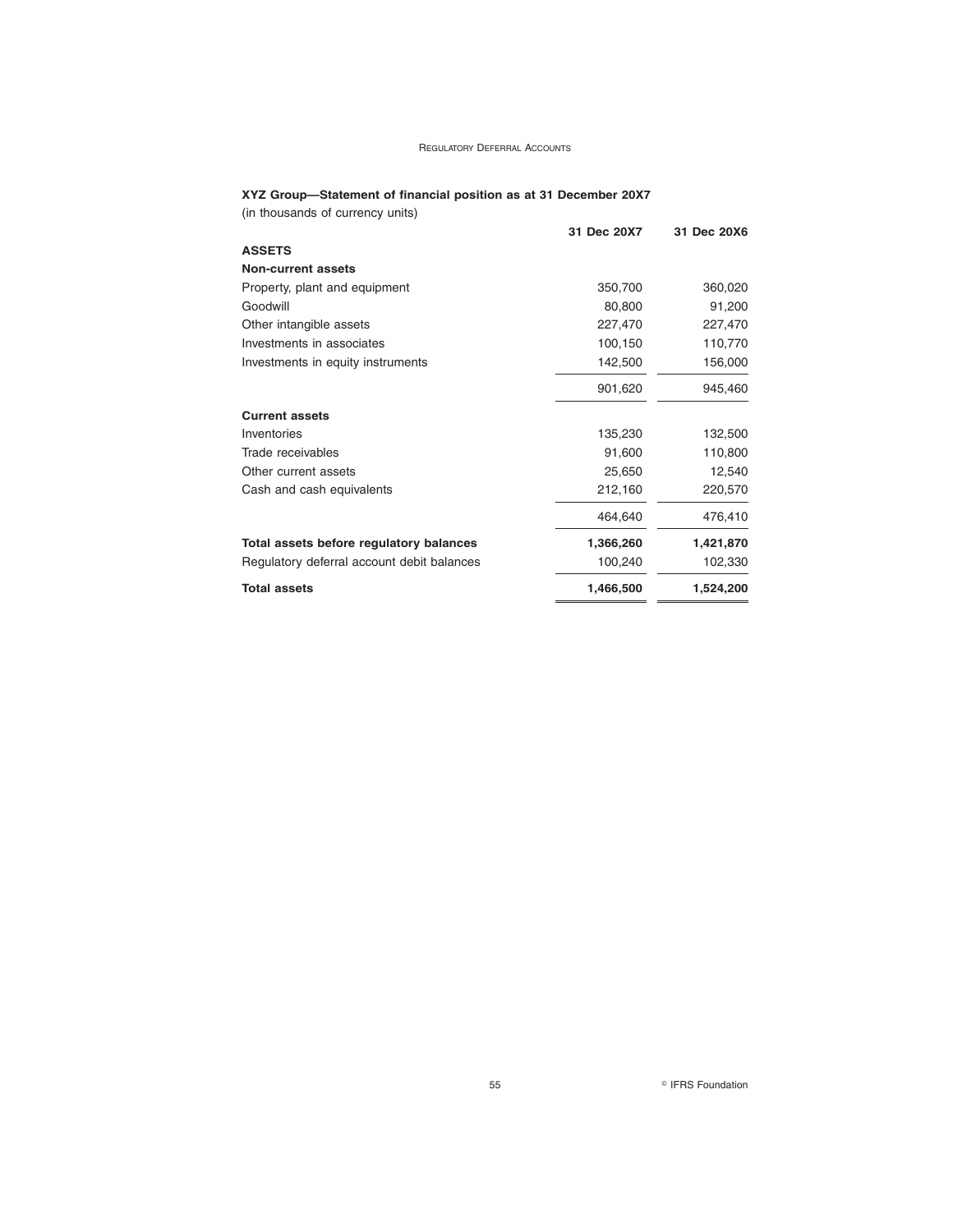### **XYZ Group—Statement of financial position as at 31 December 20X7**

(in thousands of currency units)

|                                            | 31 Dec 20X7 | 31 Dec 20X6 |
|--------------------------------------------|-------------|-------------|
| <b>ASSETS</b>                              |             |             |
| <b>Non-current assets</b>                  |             |             |
| Property, plant and equipment              | 350,700     | 360,020     |
| Goodwill                                   | 80,800      | 91,200      |
| Other intangible assets                    | 227,470     | 227,470     |
| Investments in associates                  | 100,150     | 110,770     |
| Investments in equity instruments          | 142,500     | 156,000     |
|                                            | 901,620     | 945,460     |
| <b>Current assets</b>                      |             |             |
| Inventories                                | 135,230     | 132,500     |
| Trade receivables                          | 91,600      | 110,800     |
| Other current assets                       | 25,650      | 12,540      |
| Cash and cash equivalents                  | 212,160     | 220,570     |
|                                            | 464,640     | 476,410     |
| Total assets before regulatory balances    | 1,366,260   | 1,421,870   |
| Regulatory deferral account debit balances | 100,240     | 102,330     |
| <b>Total assets</b>                        | 1,466,500   | 1,524,200   |

55 **CONSIDERS** Foundation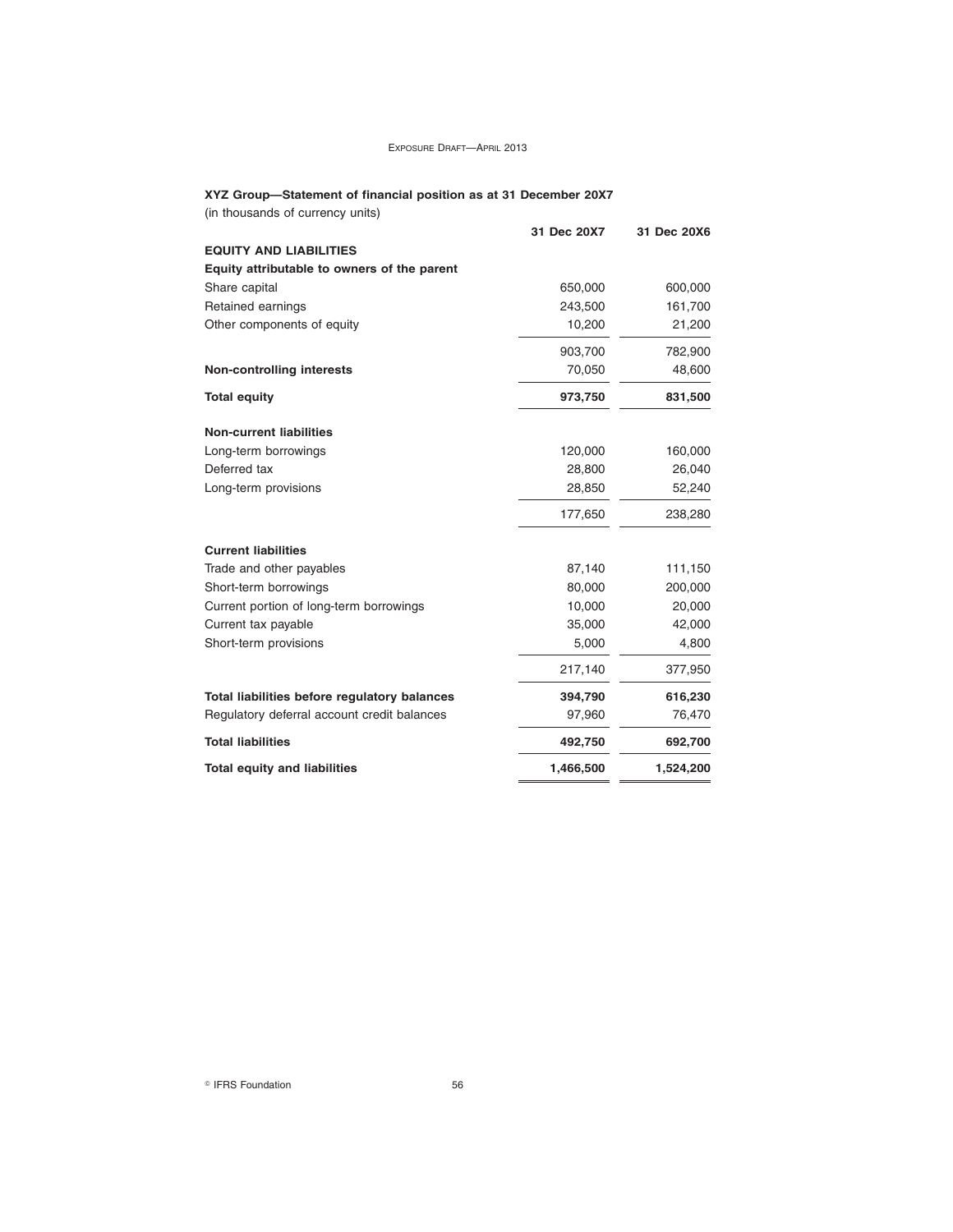#### **XYZ Group—Statement of financial position as at 31 December 20X7**

| (in thousands of currency units)             |             |             |
|----------------------------------------------|-------------|-------------|
|                                              | 31 Dec 20X7 | 31 Dec 20X6 |
| <b>EQUITY AND LIABILITIES</b>                |             |             |
| Equity attributable to owners of the parent  |             |             |
| Share capital                                | 650,000     | 600,000     |
| Retained earnings                            | 243,500     | 161,700     |
| Other components of equity                   | 10,200      | 21,200      |
|                                              | 903,700     | 782,900     |
| <b>Non-controlling interests</b>             | 70,050      | 48,600      |
| <b>Total equity</b>                          | 973,750     | 831,500     |
| <b>Non-current liabilities</b>               |             |             |
| Long-term borrowings                         | 120,000     | 160,000     |
| Deferred tax                                 | 28,800      | 26,040      |
| Long-term provisions                         | 28,850      | 52,240      |
|                                              | 177,650     | 238,280     |
| <b>Current liabilities</b>                   |             |             |
| Trade and other payables                     | 87,140      | 111,150     |
| Short-term borrowings                        | 80,000      | 200,000     |
| Current portion of long-term borrowings      | 10,000      | 20,000      |
| Current tax payable                          | 35,000      | 42,000      |
| Short-term provisions                        | 5,000       | 4,800       |
|                                              | 217,140     | 377,950     |
| Total liabilities before regulatory balances | 394,790     | 616,230     |
| Regulatory deferral account credit balances  | 97,960      | 76,470      |
| <b>Total liabilities</b>                     | 492,750     | 692,700     |
| <b>Total equity and liabilities</b>          | 1,466,500   | 1,524,200   |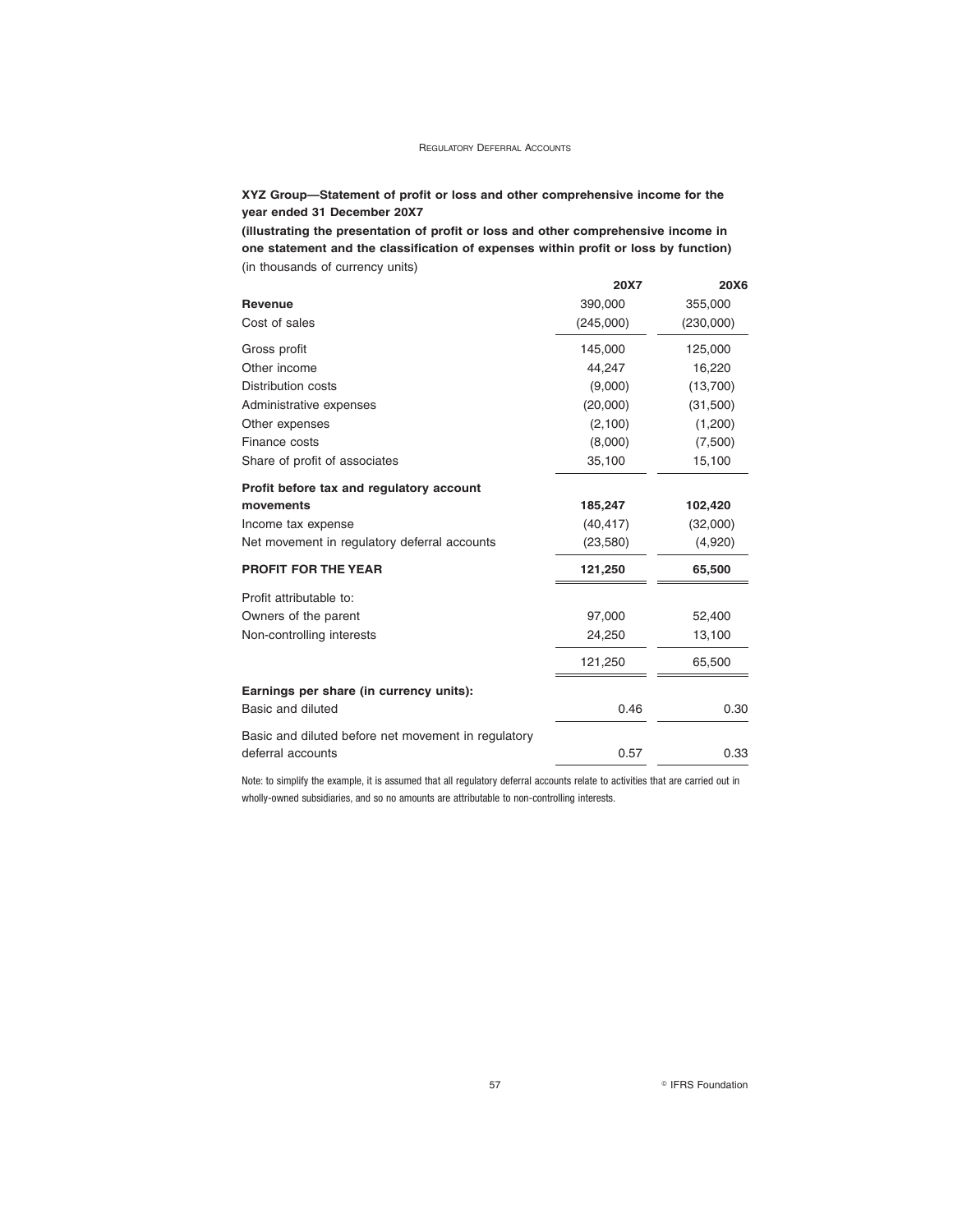### **XYZ Group—Statement of profit or loss and other comprehensive income for the year ended 31 December 20X7**

**(illustrating the presentation of profit or loss and other comprehensive income in one statement and the classification of expenses within profit or loss by function)** (in thousands of currency units)

|                                                     | 20X7      | 20X6      |
|-----------------------------------------------------|-----------|-----------|
| Revenue                                             | 390,000   | 355,000   |
| Cost of sales                                       | (245,000) | (230,000) |
| Gross profit                                        | 145,000   | 125,000   |
| Other income                                        | 44,247    | 16,220    |
| <b>Distribution costs</b>                           | (9,000)   | (13,700)  |
| Administrative expenses                             | (20,000)  | (31,500)  |
| Other expenses                                      | (2,100)   | (1,200)   |
| Finance costs                                       | (8,000)   | (7,500)   |
| Share of profit of associates                       | 35,100    | 15,100    |
| Profit before tax and regulatory account            |           |           |
| movements                                           | 185,247   | 102,420   |
| Income tax expense                                  | (40, 417) | (32,000)  |
| Net movement in regulatory deferral accounts        | (23,580)  | (4,920)   |
| <b>PROFIT FOR THE YEAR</b>                          | 121,250   | 65,500    |
| Profit attributable to:                             |           |           |
| Owners of the parent                                | 97,000    | 52,400    |
| Non-controlling interests                           | 24,250    | 13,100    |
|                                                     | 121,250   | 65,500    |
| Earnings per share (in currency units):             |           |           |
| Basic and diluted                                   | 0.46      | 0.30      |
| Basic and diluted before net movement in regulatory |           |           |
| deferral accounts                                   | 0.57      | 0.33      |

Note: to simplify the example, it is assumed that all regulatory deferral accounts relate to activities that are carried out in wholly-owned subsidiaries, and so no amounts are attributable to non-controlling interests.

57 **B** IFRS Foundation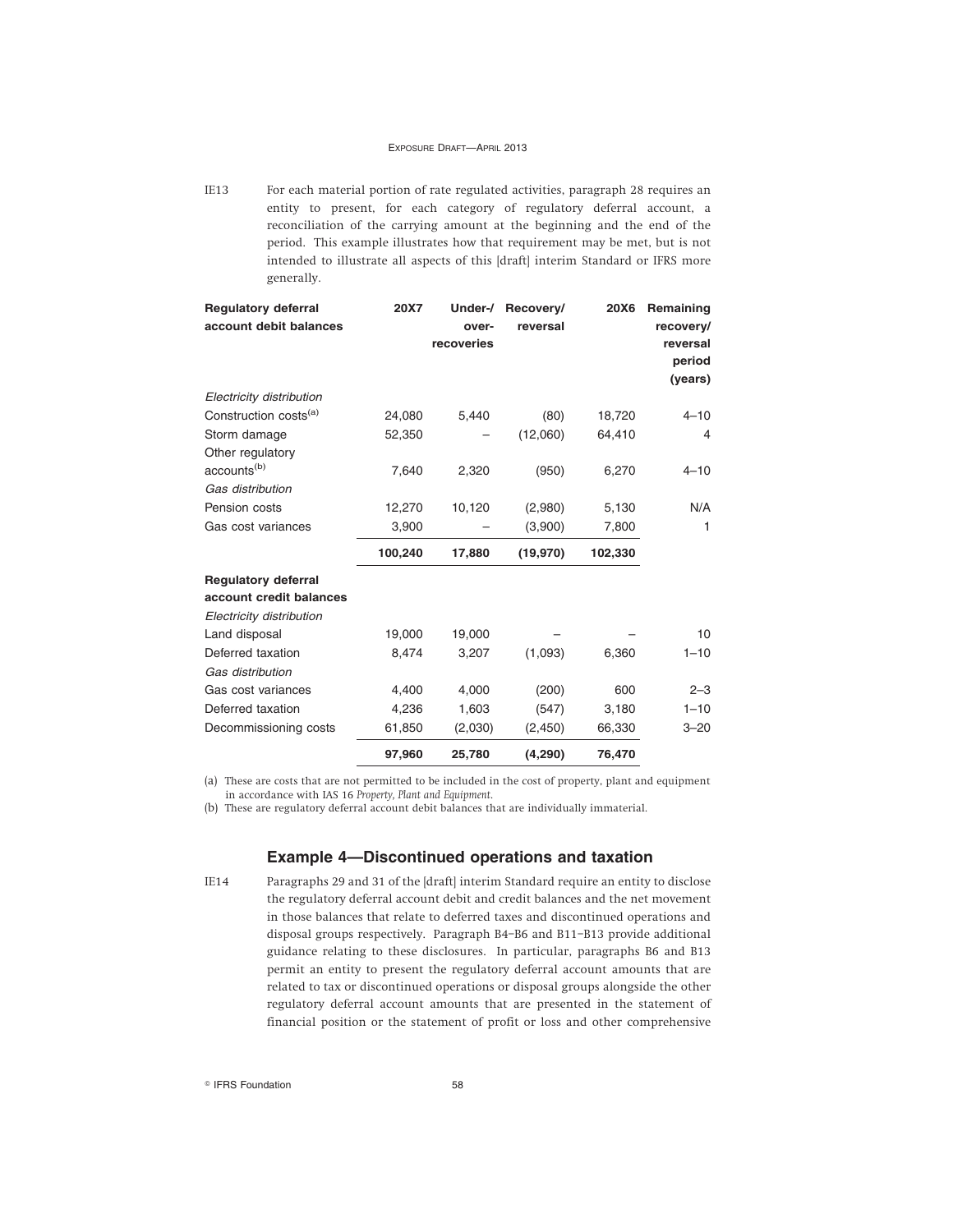IE13 For each material portion of rate regulated activities, paragraph 28 requires an entity to present, for each category of regulatory deferral account, a reconciliation of the carrying amount at the beginning and the end of the period. This example illustrates how that requirement may be met, but is not intended to illustrate all aspects of this [draft] interim Standard or IFRS more generally.

| <b>Regulatory deferral</b><br>account debit balances | 20X7    | Under-/<br>over- | Recovery/<br>reversal | 20X6    | Remaining<br>recovery/ |
|------------------------------------------------------|---------|------------------|-----------------------|---------|------------------------|
|                                                      |         | recoveries       |                       |         | reversal               |
|                                                      |         |                  |                       |         | period                 |
|                                                      |         |                  |                       |         | (years)                |
| Electricity distribution                             |         |                  |                       |         |                        |
| Construction costs <sup>(a)</sup>                    | 24,080  | 5,440            | (80)                  | 18,720  | $4 - 10$               |
| Storm damage                                         | 52,350  |                  | (12,060)              | 64,410  | 4                      |
| Other regulatory                                     |         |                  |                       |         |                        |
| accounts <sup>(b)</sup>                              | 7,640   | 2,320            | (950)                 | 6,270   | $4 - 10$               |
| Gas distribution                                     |         |                  |                       |         |                        |
| Pension costs                                        | 12,270  | 10,120           | (2,980)               | 5,130   | N/A                    |
| Gas cost variances                                   | 3,900   |                  | (3,900)               | 7,800   | 1                      |
|                                                      | 100,240 | 17,880           | (19,970)              | 102,330 |                        |
| <b>Regulatory deferral</b>                           |         |                  |                       |         |                        |
| account credit balances                              |         |                  |                       |         |                        |
| Electricity distribution                             |         |                  |                       |         |                        |
| Land disposal                                        | 19,000  | 19,000           |                       |         | 10                     |
| Deferred taxation                                    | 8,474   | 3,207            | (1,093)               | 6,360   | $1 - 10$               |
| Gas distribution                                     |         |                  |                       |         |                        |
| Gas cost variances                                   | 4,400   | 4,000            | (200)                 | 600     | $2 - 3$                |
| Deferred taxation                                    | 4,236   | 1,603            | (547)                 | 3,180   | $1 - 10$               |
| Decommissioning costs                                | 61,850  | (2,030)          | (2,450)               | 66,330  | $3 - 20$               |
|                                                      | 97,960  | 25,780           | (4, 290)              | 76,470  |                        |

(a) These are costs that are not permitted to be included in the cost of property, plant and equipment in accordance with IAS 16 *Property, Plant and Equipment*.

(b) These are regulatory deferral account debit balances that are individually immaterial.

### **Example 4—Discontinued operations and taxation**

IE14 Paragraphs 29 and 31 of the [draft] interim Standard require an entity to disclose the regulatory deferral account debit and credit balances and the net movement in those balances that relate to deferred taxes and discontinued operations and disposal groups respectively. Paragraph B4–B6 and B11–B13 provide additional guidance relating to these disclosures. In particular, paragraphs B6 and B13 permit an entity to present the regulatory deferral account amounts that are related to tax or discontinued operations or disposal groups alongside the other regulatory deferral account amounts that are presented in the statement of financial position or the statement of profit or loss and other comprehensive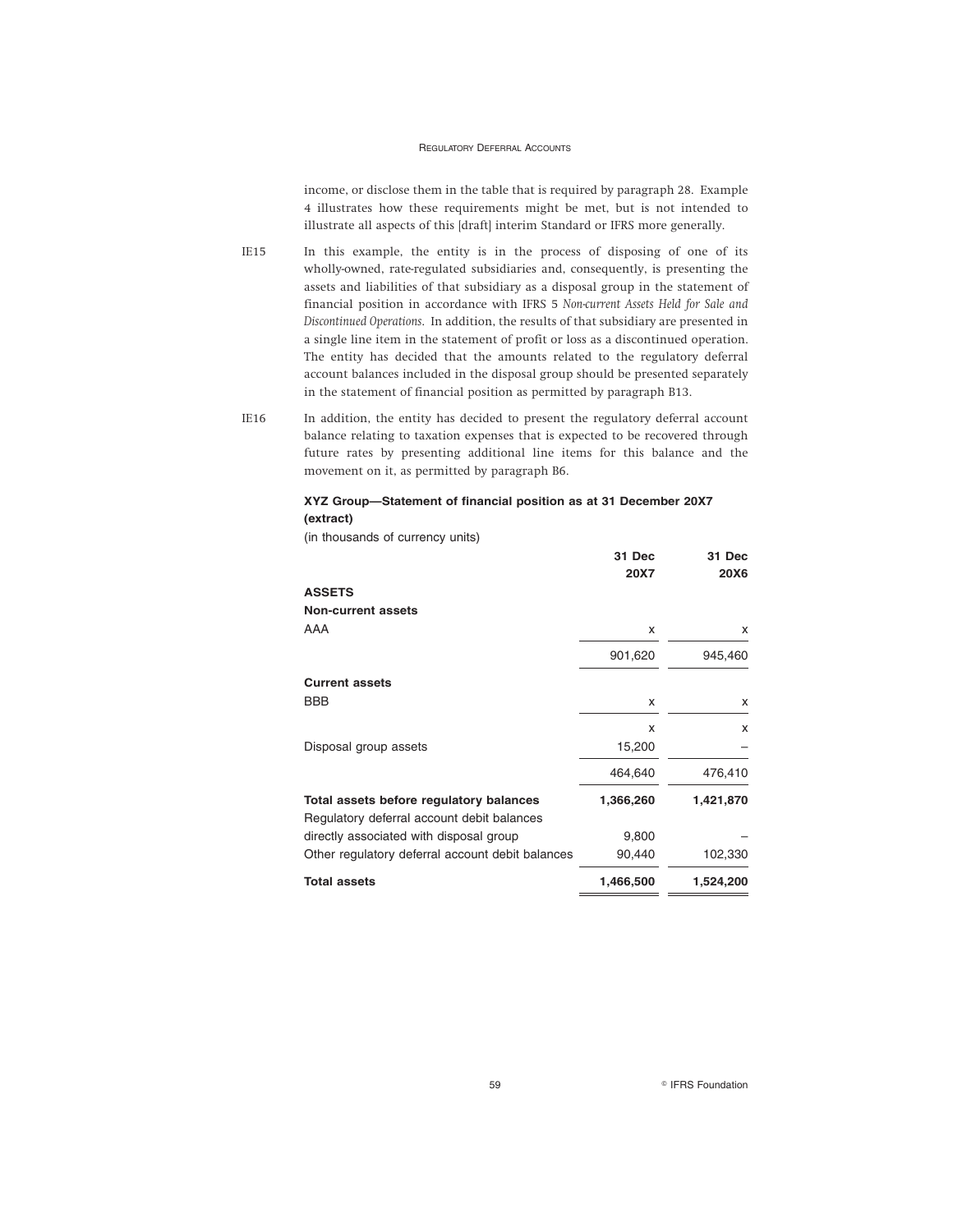income, or disclose them in the table that is required by paragraph 28. Example 4 illustrates how these requirements might be met, but is not intended to illustrate all aspects of this [draft] interim Standard or IFRS more generally.

- IE15 In this example, the entity is in the process of disposing of one of its wholly-owned, rate-regulated subsidiaries and, consequently, is presenting the assets and liabilities of that subsidiary as a disposal group in the statement of financial position in accordance with IFRS 5 *Non-current Assets Held for Sale and Discontinued Operations*. In addition, the results of that subsidiary are presented in a single line item in the statement of profit or loss as a discontinued operation. The entity has decided that the amounts related to the regulatory deferral account balances included in the disposal group should be presented separately in the statement of financial position as permitted by paragraph B13.
- IE16 In addition, the entity has decided to present the regulatory deferral account balance relating to taxation expenses that is expected to be recovered through future rates by presenting additional line items for this balance and the movement on it, as permitted by paragraph B6.

#### **XYZ Group—Statement of financial position as at 31 December 20X7 (extract)**

**31 Dec**

**31 Dec**

(in thousands of currency units)

|                                                  | 31 Dec    | 31 Dec      |
|--------------------------------------------------|-----------|-------------|
|                                                  | 20X7      | <b>20X6</b> |
| <b>ASSETS</b>                                    |           |             |
| Non-current assets                               |           |             |
| AAA                                              | x         | X           |
|                                                  | 901,620   | 945,460     |
| <b>Current assets</b>                            |           |             |
| <b>BBB</b>                                       | x         | x           |
|                                                  | x         | X           |
| Disposal group assets                            | 15,200    |             |
|                                                  | 464,640   | 476,410     |
| Total assets before regulatory balances          | 1,366,260 | 1,421,870   |
| Regulatory deferral account debit balances       |           |             |
| directly associated with disposal group          | 9,800     |             |
| Other regulatory deferral account debit balances | 90,440    | 102,330     |
| <b>Total assets</b>                              | 1,466,500 | 1,524,200   |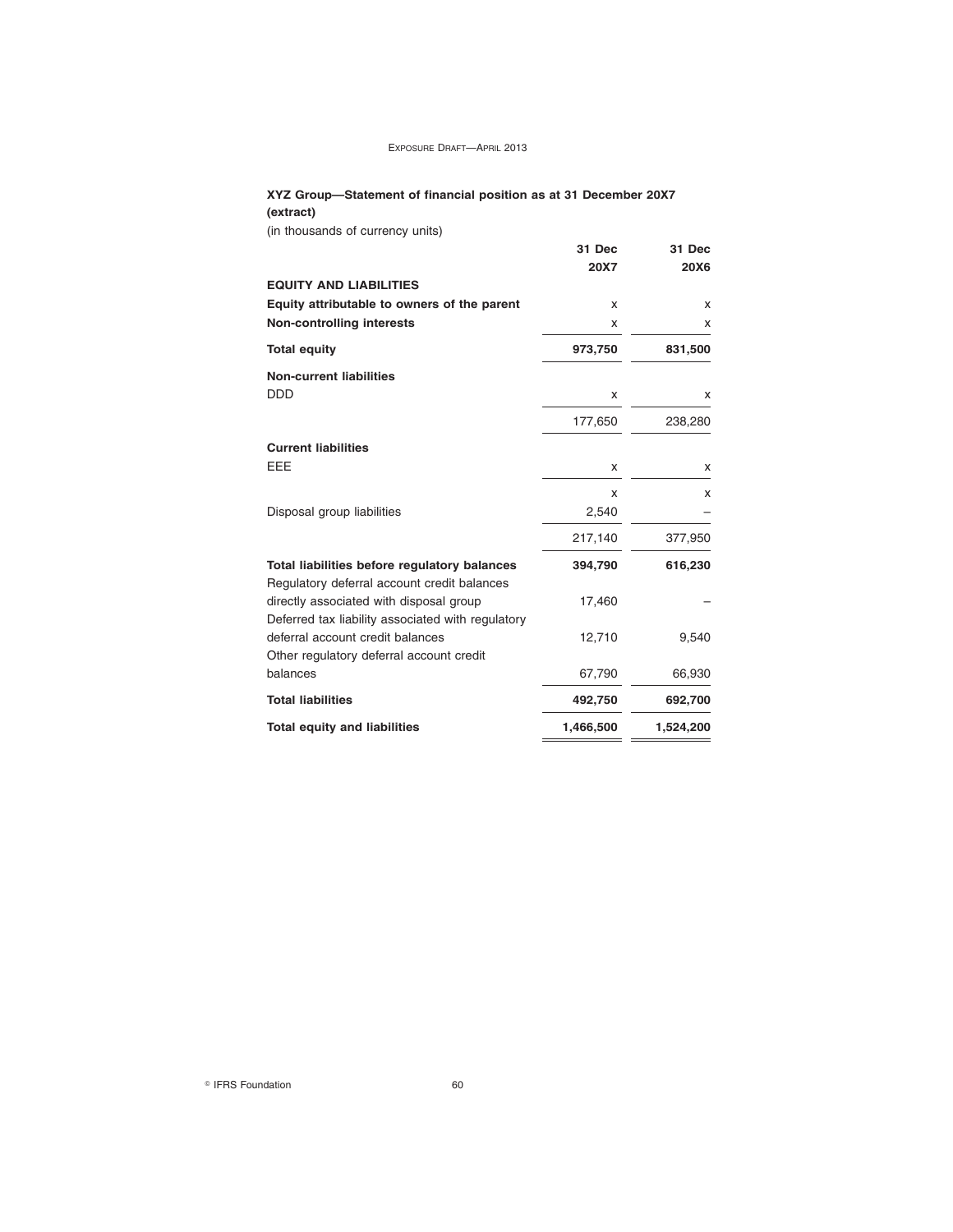### **XYZ Group—Statement of financial position as at 31 December 20X7 (extract)**

(in thousands of currency units)

|                                                   | 31 Dec    | 31 Dec    |
|---------------------------------------------------|-----------|-----------|
|                                                   | 20X7      | 20X6      |
| <b>EQUITY AND LIABILITIES</b>                     |           |           |
| Equity attributable to owners of the parent       | x         | x         |
| <b>Non-controlling interests</b>                  | x         | x         |
|                                                   |           |           |
| <b>Total equity</b>                               | 973,750   | 831,500   |
| <b>Non-current liabilities</b>                    |           |           |
| <b>DDD</b>                                        | x         | x         |
|                                                   | 177,650   | 238,280   |
| <b>Current liabilities</b>                        |           |           |
| EEE                                               | x         | х         |
|                                                   | x         | x         |
| Disposal group liabilities                        | 2,540     |           |
|                                                   | 217,140   | 377,950   |
| Total liabilities before regulatory balances      | 394,790   | 616,230   |
| Regulatory deferral account credit balances       |           |           |
| directly associated with disposal group           | 17,460    |           |
| Deferred tax liability associated with regulatory |           |           |
| deferral account credit balances                  | 12,710    | 9,540     |
| Other regulatory deferral account credit          |           |           |
| balances                                          | 67,790    | 66,930    |
| <b>Total liabilities</b>                          | 492,750   | 692,700   |
| <b>Total equity and liabilities</b>               | 1,466,500 | 1,524,200 |
|                                                   |           |           |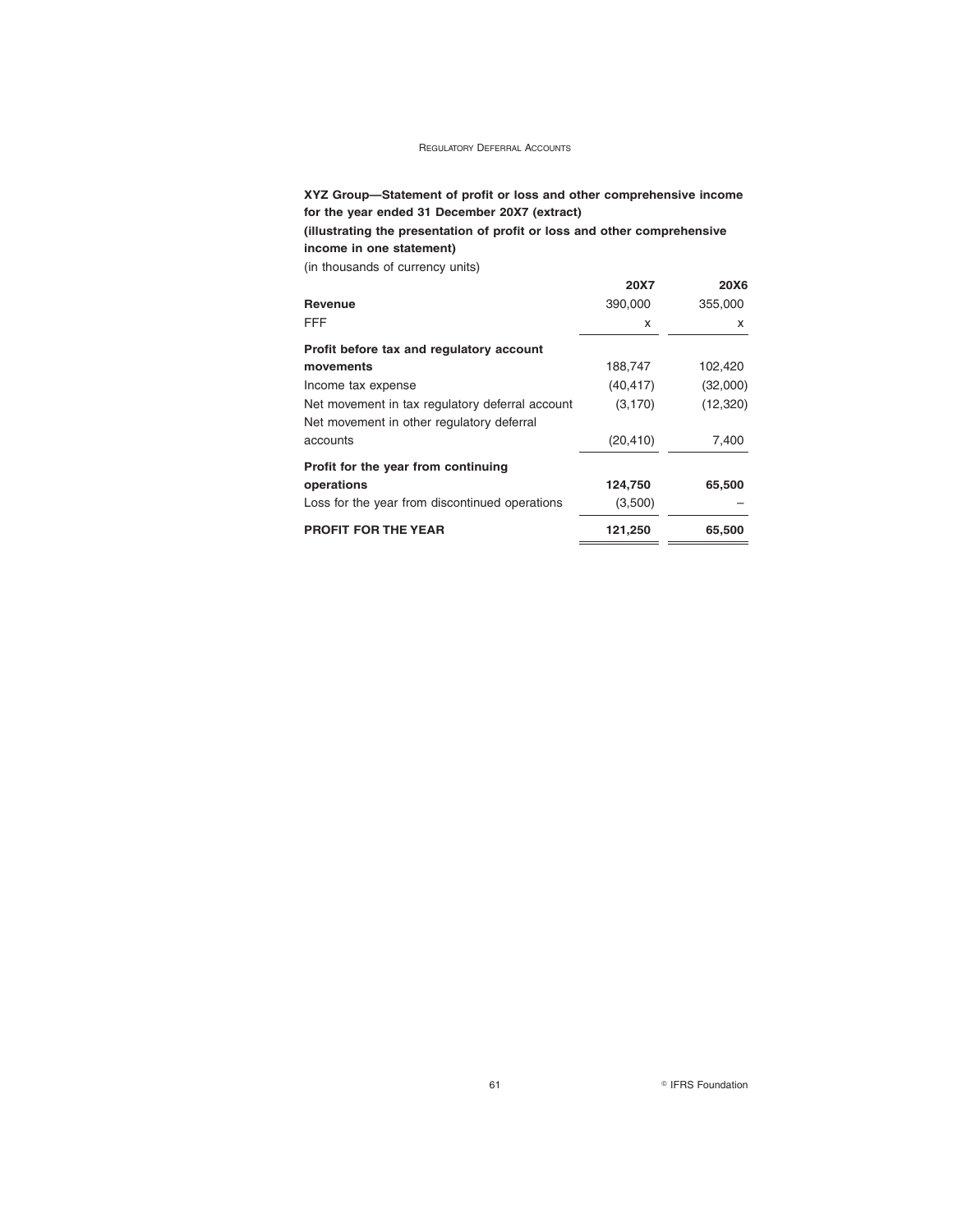### **XYZ Group—Statement of profit or loss and other comprehensive income for the year ended 31 December 20X7 (extract)**

**(illustrating the presentation of profit or loss and other comprehensive income in one statement)**

(in thousands of currency units)

|                                                 | 20X7      | 20X6      |
|-------------------------------------------------|-----------|-----------|
| <b>Revenue</b>                                  | 390,000   | 355,000   |
| FFF                                             | x         | x         |
| Profit before tax and regulatory account        |           |           |
| movements                                       | 188,747   | 102,420   |
| Income tax expense                              | (40, 417) | (32,000)  |
| Net movement in tax regulatory deferral account | (3, 170)  | (12, 320) |
| Net movement in other regulatory deferral       |           |           |
| accounts                                        | (20, 410) | 7,400     |
| Profit for the year from continuing             |           |           |
| operations                                      | 124,750   | 65,500    |
| Loss for the year from discontinued operations  | (3,500)   |           |
| <b>PROFIT FOR THE YEAR</b>                      | 121,250   | 65,500    |
|                                                 |           |           |

61 **Constanting Constanting Constanting Constanting Constanting Constanting Constanting Constanting Constanting Constanting Constanting Constanting Constanting Constanting Constanting Constanting Constanting Constanting Co**